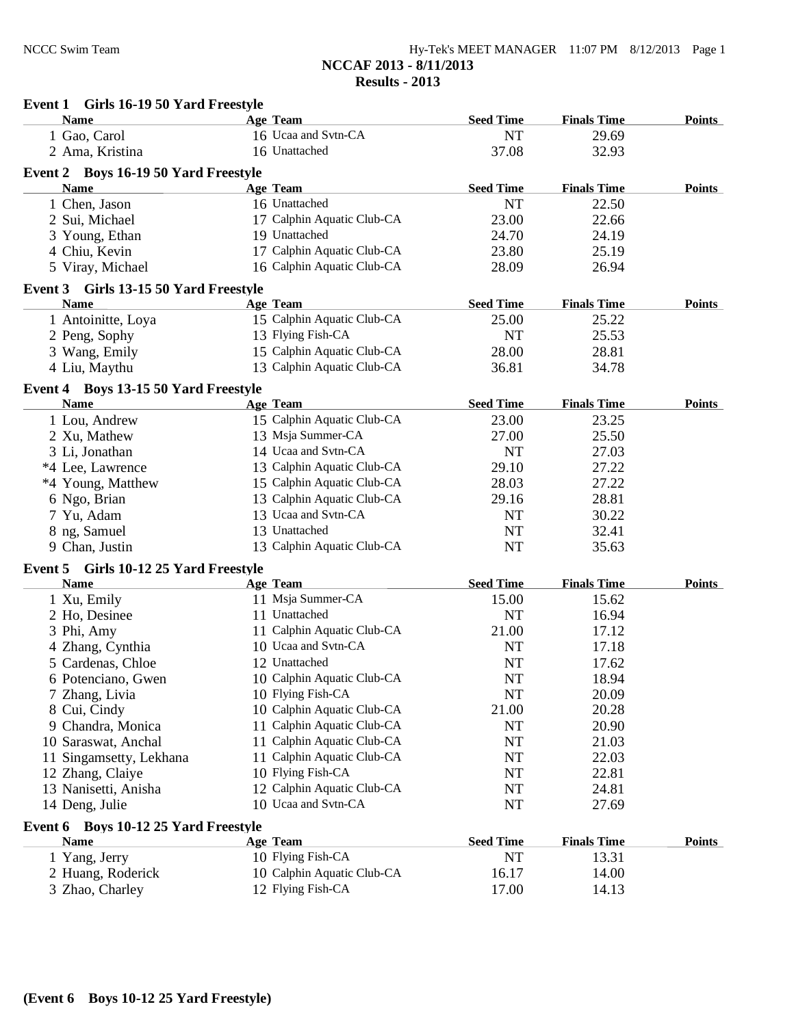**Event 1 Girls 16-19 50 Yard Freestyle**

| <b>Name</b>                              | <b>Age Team</b>            | <b>Seed Time</b> | <b>Finals Time</b> | <b>Points</b> |
|------------------------------------------|----------------------------|------------------|--------------------|---------------|
| 1 Gao, Carol                             | 16 Ucaa and Svtn-CA        | NT               | 29.69              |               |
| 2 Ama, Kristina                          | 16 Unattached              | 37.08            | 32.93              |               |
| Event 2 Boys 16-19 50 Yard Freestyle     |                            |                  |                    |               |
| <b>Name</b>                              | Age Team                   | <b>Seed Time</b> | <b>Finals Time</b> | <b>Points</b> |
| 1 Chen, Jason                            | 16 Unattached              | <b>NT</b>        | 22.50              |               |
| 2 Sui, Michael                           | 17 Calphin Aquatic Club-CA | 23.00            | 22.66              |               |
| 3 Young, Ethan                           | 19 Unattached              | 24.70            | 24.19              |               |
| 4 Chiu, Kevin                            | 17 Calphin Aquatic Club-CA | 23.80            | 25.19              |               |
|                                          | 16 Calphin Aquatic Club-CA |                  |                    |               |
| 5 Viray, Michael                         |                            | 28.09            | 26.94              |               |
| Event 3 Girls 13-15 50 Yard Freestyle    |                            |                  |                    |               |
| Name                                     | <b>Age Team</b>            | <b>Seed Time</b> | <b>Finals Time</b> | <b>Points</b> |
| 1 Antoinitte, Loya                       | 15 Calphin Aquatic Club-CA | 25.00            | 25.22              |               |
| 2 Peng, Sophy                            | 13 Flying Fish-CA          | <b>NT</b>        | 25.53              |               |
| 3 Wang, Emily                            | 15 Calphin Aquatic Club-CA | 28.00            | 28.81              |               |
| 4 Liu, Maythu                            | 13 Calphin Aquatic Club-CA | 36.81            | 34.78              |               |
| Event 4 Boys 13-15 50 Yard Freestyle     |                            |                  |                    |               |
| <b>Name</b>                              | Age Team                   | <b>Seed Time</b> | <b>Finals Time</b> | <b>Points</b> |
| 1 Lou, Andrew                            | 15 Calphin Aquatic Club-CA | 23.00            | 23.25              |               |
| 2 Xu, Mathew                             | 13 Msja Summer-CA          | 27.00            | 25.50              |               |
| 3 Li, Jonathan                           | 14 Ucaa and Svtn-CA        | <b>NT</b>        | 27.03              |               |
| *4 Lee, Lawrence                         | 13 Calphin Aquatic Club-CA | 29.10            | 27.22              |               |
| *4 Young, Matthew                        | 15 Calphin Aquatic Club-CA | 28.03            | 27.22              |               |
| 6 Ngo, Brian                             | 13 Calphin Aquatic Club-CA | 29.16            | 28.81              |               |
| 7 Yu, Adam                               | 13 Ucaa and Svtn-CA        | <b>NT</b>        | 30.22              |               |
|                                          | 13 Unattached              | <b>NT</b>        | 32.41              |               |
| 8 ng, Samuel<br>9 Chan, Justin           | 13 Calphin Aquatic Club-CA | <b>NT</b>        | 35.63              |               |
|                                          |                            |                  |                    |               |
| Girls 10-12 25 Yard Freestyle<br>Event 5 |                            |                  |                    |               |
| <b>Name</b>                              | <b>Age Team</b>            | <b>Seed Time</b> | <b>Finals Time</b> | <b>Points</b> |
| 1 Xu, Emily                              | 11 Msja Summer-CA          | 15.00            | 15.62              |               |
| 2 Ho, Desinee                            | 11 Unattached              | <b>NT</b>        | 16.94              |               |
| 3 Phi, Amy                               | 11 Calphin Aquatic Club-CA | 21.00            | 17.12              |               |
| 4 Zhang, Cynthia                         | 10 Ucaa and Svtn-CA        | <b>NT</b>        | 17.18              |               |
| 5 Cardenas, Chloe                        | 12 Unattached              | <b>NT</b>        | 17.62              |               |
| 6 Potenciano, Gwen                       | 10 Calphin Aquatic Club-CA | NT               | 18.94              |               |
| 7 Zhang, Livia                           | 10 Flying Fish-CA          | NT               | 20.09              |               |
| 8 Cui, Cindy                             | 10 Calphin Aquatic Club-CA | 21.00            | 20.28              |               |
| 9 Chandra, Monica                        | 11 Calphin Aquatic Club-CA | <b>NT</b>        | 20.90              |               |
| 10 Saraswat, Anchal                      | 11 Calphin Aquatic Club-CA | NT               | 21.03              |               |
| 11 Singamsetty, Lekhana                  | 11 Calphin Aquatic Club-CA | NT               | 22.03              |               |
| 12 Zhang, Claiye                         | 10 Flying Fish-CA          | NT               | 22.81              |               |
| 13 Nanisetti, Anisha                     | 12 Calphin Aquatic Club-CA | NT               | 24.81              |               |
| 14 Deng, Julie                           | 10 Ucaa and Svtn-CA        | <b>NT</b>        | 27.69              |               |
|                                          |                            |                  |                    |               |
| Event 6 Boys 10-12 25 Yard Freestyle     | <b>Age Team</b>            | <b>Seed Time</b> | <b>Finals Time</b> | <b>Points</b> |
| <b>Name</b>                              | 10 Flying Fish-CA          |                  |                    |               |
| 1 Yang, Jerry                            |                            | NT               | 13.31              |               |
| 2 Huang, Roderick                        | 10 Calphin Aquatic Club-CA | 16.17            | 14.00              |               |
| 3 Zhao, Charley                          | 12 Flying Fish-CA          | 17.00            | 14.13              |               |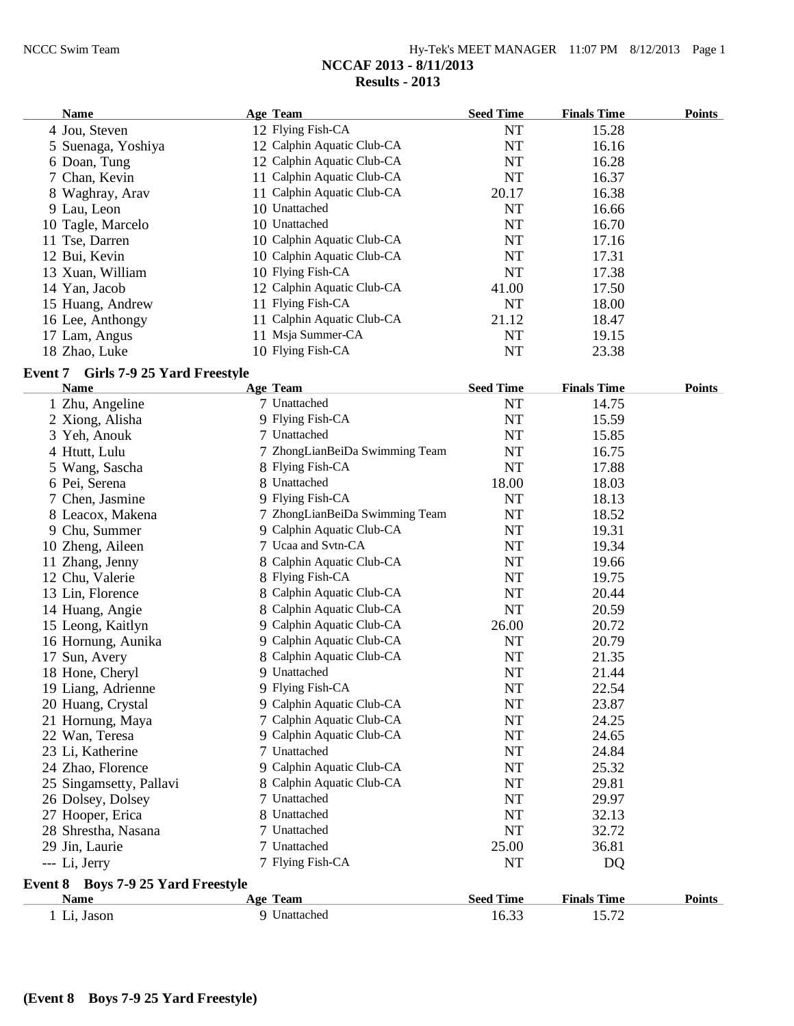| $Hy-Tek's MEET MANAGER$ 11:07 PM $8/12/2013$ Page 1 |  |  |
|-----------------------------------------------------|--|--|
| NCCAF 2013 - 8/11/2013                              |  |  |
| Results $-2013$                                     |  |  |

| <b>Name</b>        | Age Team                   | <b>Seed Time</b> | <b>Finals Time</b> | <b>Points</b> |
|--------------------|----------------------------|------------------|--------------------|---------------|
| 4 Jou, Steven      | 12 Flying Fish-CA          | NT               | 15.28              |               |
| 5 Suenaga, Yoshiya | 12 Calphin Aquatic Club-CA | NT               | 16.16              |               |
| 6 Doan, Tung       | 12 Calphin Aquatic Club-CA | NT               | 16.28              |               |
| 7 Chan, Kevin      | 11 Calphin Aquatic Club-CA | NT               | 16.37              |               |
| 8 Waghray, Arav    | 11 Calphin Aquatic Club-CA | 20.17            | 16.38              |               |
| 9 Lau, Leon        | 10 Unattached              | NT               | 16.66              |               |
| 10 Tagle, Marcelo  | 10 Unattached              | NT               | 16.70              |               |
| 11 Tse, Darren     | 10 Calphin Aquatic Club-CA | NT               | 17.16              |               |
| 12 Bui, Kevin      | 10 Calphin Aquatic Club-CA | NT               | 17.31              |               |
| 13 Xuan, William   | 10 Flying Fish-CA          | NT               | 17.38              |               |
| 14 Yan, Jacob      | 12 Calphin Aquatic Club-CA | 41.00            | 17.50              |               |
| 15 Huang, Andrew   | 11 Flying Fish-CA          | NT               | 18.00              |               |
| 16 Lee, Anthongy   | 11 Calphin Aquatic Club-CA | 21.12            | 18.47              |               |
| 17 Lam, Angus      | 11 Msja Summer-CA          | NT               | 19.15              |               |
| 18 Zhao, Luke      | 10 Flying Fish-CA          | <b>NT</b>        | 23.38              |               |

## **Event 7 Girls 7-9 25 Yard Freestyle**

| <b>Name</b>                        | Age Team                       | <b>Seed Time</b> | <b>Finals Time</b> | <b>Points</b> |
|------------------------------------|--------------------------------|------------------|--------------------|---------------|
| 1 Zhu, Angeline                    | 7 Unattached                   | <b>NT</b>        | 14.75              |               |
| 2 Xiong, Alisha                    | 9 Flying Fish-CA               | <b>NT</b>        | 15.59              |               |
| 3 Yeh, Anouk                       | 7 Unattached                   | <b>NT</b>        | 15.85              |               |
| 4 Htutt, Lulu                      | 7 ZhongLianBeiDa Swimming Team | <b>NT</b>        | 16.75              |               |
| 5 Wang, Sascha                     | 8 Flying Fish-CA               | <b>NT</b>        | 17.88              |               |
| 6 Pei, Serena                      | 8 Unattached                   | 18.00            | 18.03              |               |
| 7 Chen, Jasmine                    | 9 Flying Fish-CA               | <b>NT</b>        | 18.13              |               |
| 8 Leacox, Makena                   | 7 ZhongLianBeiDa Swimming Team | <b>NT</b>        | 18.52              |               |
| 9 Chu, Summer                      | 9 Calphin Aquatic Club-CA      | <b>NT</b>        | 19.31              |               |
| 10 Zheng, Aileen                   | 7 Ucaa and Svtn-CA             | <b>NT</b>        | 19.34              |               |
| 11 Zhang, Jenny                    | 8 Calphin Aquatic Club-CA      | <b>NT</b>        | 19.66              |               |
| 12 Chu, Valerie                    | 8 Flying Fish-CA               | <b>NT</b>        | 19.75              |               |
| 13 Lin, Florence                   | 8 Calphin Aquatic Club-CA      | <b>NT</b>        | 20.44              |               |
| 14 Huang, Angie                    | 8 Calphin Aquatic Club-CA      | <b>NT</b>        | 20.59              |               |
| 15 Leong, Kaitlyn                  | 9 Calphin Aquatic Club-CA      | 26.00            | 20.72              |               |
| 16 Hornung, Aunika                 | 9 Calphin Aquatic Club-CA      | <b>NT</b>        | 20.79              |               |
| 17 Sun, Avery                      | 8 Calphin Aquatic Club-CA      | <b>NT</b>        | 21.35              |               |
| 18 Hone, Cheryl                    | 9 Unattached                   | <b>NT</b>        | 21.44              |               |
| 19 Liang, Adrienne                 | 9 Flying Fish-CA               | <b>NT</b>        | 22.54              |               |
| 20 Huang, Crystal                  | 9 Calphin Aquatic Club-CA      | <b>NT</b>        | 23.87              |               |
| 21 Hornung, Maya                   | 7 Calphin Aquatic Club-CA      | <b>NT</b>        | 24.25              |               |
| 22 Wan, Teresa                     | 9 Calphin Aquatic Club-CA      | <b>NT</b>        | 24.65              |               |
| 23 Li, Katherine                   | 7 Unattached                   | <b>NT</b>        | 24.84              |               |
| 24 Zhao, Florence                  | 9 Calphin Aquatic Club-CA      | <b>NT</b>        | 25.32              |               |
| 25 Singamsetty, Pallavi            | 8 Calphin Aquatic Club-CA      | <b>NT</b>        | 29.81              |               |
| 26 Dolsey, Dolsey                  | 7 Unattached                   | <b>NT</b>        | 29.97              |               |
| 27 Hooper, Erica                   | 8 Unattached                   | <b>NT</b>        | 32.13              |               |
| 28 Shrestha, Nasana                | 7 Unattached                   | <b>NT</b>        | 32.72              |               |
| 29 Jin, Laurie                     | 7 Unattached                   | 25.00            | 36.81              |               |
| --- Li, Jerry                      | 7 Flying Fish-CA               | NT               | DQ                 |               |
| Event 8 Boys 7-9 25 Yard Freestyle |                                |                  |                    |               |
| <b>Name</b>                        | Age Team                       | <b>Seed Time</b> | <b>Finals Time</b> | <b>Points</b> |
| 1 Li, Jason                        | 9 Unattached                   | 16.33            | 15.72              |               |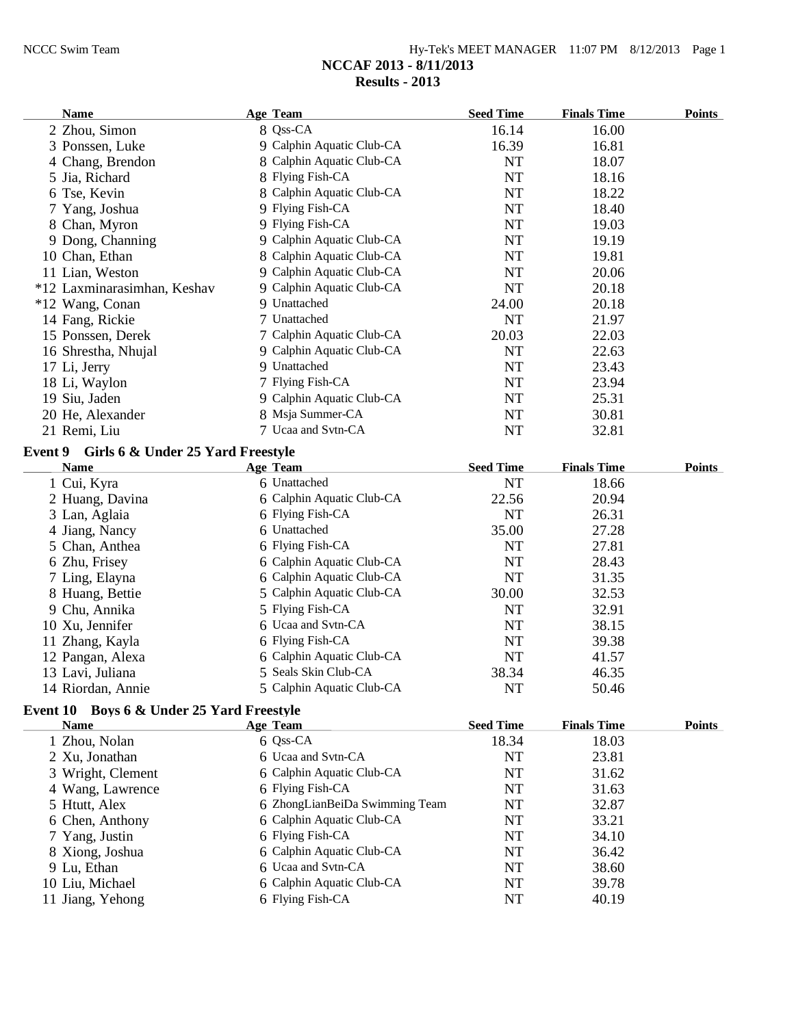| Hy-Tek's MEET MANAGER $11:07$ PM $8/12/2013$ Page 1 |  |  |
|-----------------------------------------------------|--|--|
| NCCAF 2013 - 8/11/2013                              |  |  |
| Results - 2013                                      |  |  |

| Name                        | <b>Age Team</b>           | <b>Seed Time</b> | <b>Finals Time</b> | <b>Points</b> |
|-----------------------------|---------------------------|------------------|--------------------|---------------|
| 2 Zhou, Simon               | 8 Qss-CA                  | 16.14            | 16.00              |               |
| 3 Ponssen, Luke             | 9 Calphin Aquatic Club-CA | 16.39            | 16.81              |               |
| 4 Chang, Brendon            | 8 Calphin Aquatic Club-CA | NT               | 18.07              |               |
| 5 Jia, Richard              | 8 Flying Fish-CA          | NT               | 18.16              |               |
| 6 Tse, Kevin                | 8 Calphin Aquatic Club-CA | <b>NT</b>        | 18.22              |               |
| 7 Yang, Joshua              | 9 Flying Fish-CA          | NT               | 18.40              |               |
| 8 Chan, Myron               | 9 Flying Fish-CA          | NT               | 19.03              |               |
| 9 Dong, Channing            | 9 Calphin Aquatic Club-CA | NT               | 19.19              |               |
| 10 Chan, Ethan              | 8 Calphin Aquatic Club-CA | NT               | 19.81              |               |
| 11 Lian, Weston             | 9 Calphin Aquatic Club-CA | NT               | 20.06              |               |
| *12 Laxminarasimhan, Keshav | 9 Calphin Aquatic Club-CA | NT               | 20.18              |               |
| *12 Wang, Conan             | 9 Unattached              | 24.00            | 20.18              |               |
| 14 Fang, Rickie             | 7 Unattached              | NT               | 21.97              |               |
| 15 Ponssen, Derek           | 7 Calphin Aquatic Club-CA | 20.03            | 22.03              |               |
| 16 Shrestha, Nhujal         | 9 Calphin Aquatic Club-CA | NT               | 22.63              |               |
| 17 Li, Jerry                | 9 Unattached              | NT               | 23.43              |               |
| 18 Li, Waylon               | 7 Flying Fish-CA          | NT               | 23.94              |               |
| 19 Siu, Jaden               | 9 Calphin Aquatic Club-CA | NT               | 25.31              |               |
| 20 He, Alexander            | 8 Msja Summer-CA          | NT               | 30.81              |               |
| 21 Remi, Liu                | 7 Ucaa and Svtn-CA        | NT               | 32.81              |               |

# **Event 9 Girls 6 & Under 25 Yard Freestyle**

| <b>Name</b>       | <b>Age Team</b>           | <b>Seed Time</b> | <b>Finals Time</b> | <b>Points</b> |
|-------------------|---------------------------|------------------|--------------------|---------------|
| 1 Cui, Kyra       | 6 Unattached              | NT               | 18.66              |               |
| 2 Huang, Davina   | 6 Calphin Aquatic Club-CA | 22.56            | 20.94              |               |
| 3 Lan, Aglaia     | 6 Flying Fish-CA          | NT               | 26.31              |               |
| 4 Jiang, Nancy    | 6 Unattached              | 35.00            | 27.28              |               |
| 5 Chan, Anthea    | 6 Flying Fish-CA          | NT               | 27.81              |               |
| 6 Zhu, Frisey     | 6 Calphin Aquatic Club-CA | NT               | 28.43              |               |
| 7 Ling, Elayna    | 6 Calphin Aquatic Club-CA | NT               | 31.35              |               |
| 8 Huang, Bettie   | 5 Calphin Aquatic Club-CA | 30.00            | 32.53              |               |
| 9 Chu, Annika     | 5 Flying Fish-CA          | NT               | 32.91              |               |
| 10 Xu, Jennifer   | 6 Ucaa and Sytn-CA        | NT               | 38.15              |               |
| 11 Zhang, Kayla   | 6 Flying Fish-CA          | NT               | 39.38              |               |
| 12 Pangan, Alexa  | 6 Calphin Aquatic Club-CA | NT               | 41.57              |               |
| 13 Lavi, Juliana  | 5 Seals Skin Club-CA      | 38.34            | 46.35              |               |
| 14 Riordan, Annie | 5 Calphin Aquatic Club-CA | NT               | 50.46              |               |

# **Event 10 Boys 6 & Under 25 Yard Freestyle**

| <b>Name</b>       | Age Team                       | <b>Seed Time</b> | <b>Finals Time</b> | <b>Points</b> |
|-------------------|--------------------------------|------------------|--------------------|---------------|
| 1 Zhou, Nolan     | 6 Qss-CA                       | 18.34            | 18.03              |               |
| 2 Xu, Jonathan    | 6 Ucaa and Svtn-CA             | NT               | 23.81              |               |
| 3 Wright, Clement | 6 Calphin Aquatic Club-CA      | NT               | 31.62              |               |
| 4 Wang, Lawrence  | 6 Flying Fish-CA               | NT               | 31.63              |               |
| 5 Htutt, Alex     | 6 ZhongLianBeiDa Swimming Team | NT               | 32.87              |               |
| 6 Chen, Anthony   | 6 Calphin Aquatic Club-CA      | NT               | 33.21              |               |
| 7 Yang, Justin    | 6 Flying Fish-CA               | NT               | 34.10              |               |
| 8 Xiong, Joshua   | 6 Calphin Aquatic Club-CA      | NT               | 36.42              |               |
| 9 Lu, Ethan       | 6 Ucaa and Svtn-CA             | NT               | 38.60              |               |
| 10 Liu, Michael   | 6 Calphin Aquatic Club-CA      | NT               | 39.78              |               |
| 11 Jiang, Yehong  | 6 Flying Fish-CA               | NT               | 40.19              |               |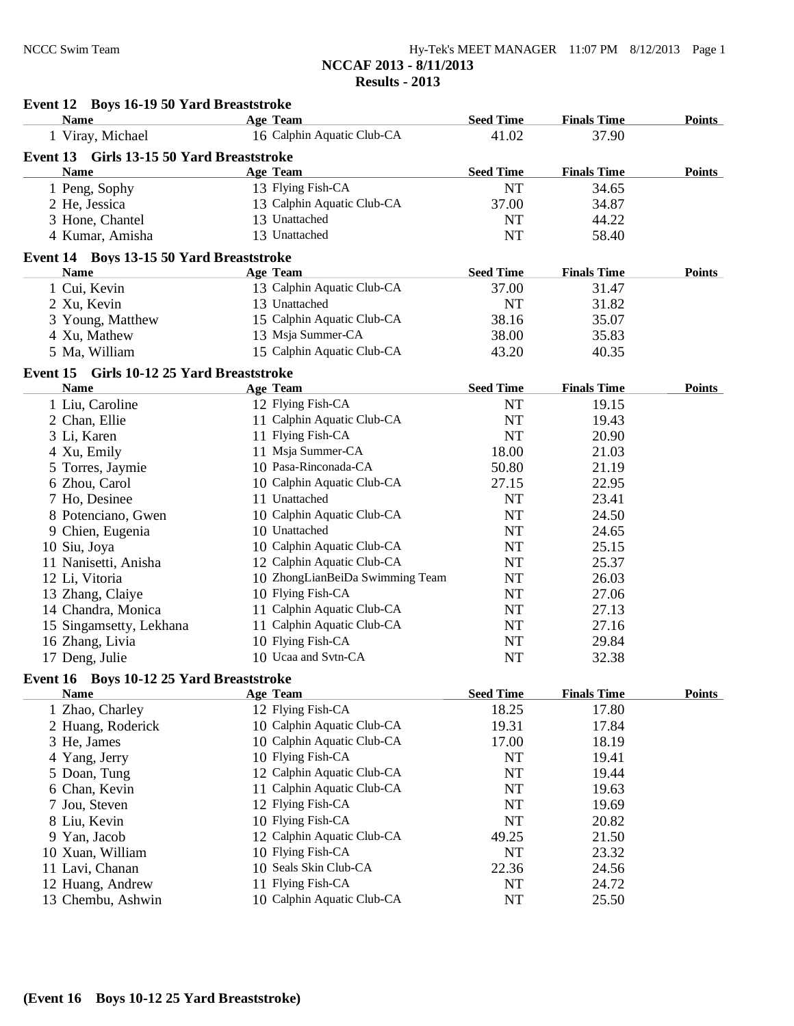| $Hy-Tek's MEET MANAGER$ 11:07 PM $8/12/2013$ Page 1 |  |  |
|-----------------------------------------------------|--|--|
| NCCAF 2013 - 8/11/2013                              |  |  |
| <b>Results - 2013</b>                               |  |  |

| Event 12 Boys 16-19 50 Yard Breaststroke                |                                 |                  |                    |               |
|---------------------------------------------------------|---------------------------------|------------------|--------------------|---------------|
| <b>Name</b>                                             | Age Team                        | <b>Seed Time</b> | <b>Finals Time</b> | <b>Points</b> |
| 1 Viray, Michael                                        | 16 Calphin Aquatic Club-CA      | 41.02            | 37.90              |               |
| Event 13 Girls 13-15 50 Yard Breaststroke               |                                 |                  |                    |               |
| <b>Name</b>                                             | <b>Age Team</b>                 | <b>Seed Time</b> | <b>Finals Time</b> | <b>Points</b> |
| 1 Peng, Sophy                                           | 13 Flying Fish-CA               | <b>NT</b>        | 34.65              |               |
| 2 He, Jessica                                           | 13 Calphin Aquatic Club-CA      | 37.00            | 34.87              |               |
| 3 Hone, Chantel                                         | 13 Unattached                   | <b>NT</b>        | 44.22              |               |
| 4 Kumar, Amisha                                         | 13 Unattached                   | <b>NT</b>        | 58.40              |               |
|                                                         |                                 |                  |                    |               |
| Event 14 Boys 13-15 50 Yard Breaststroke<br><b>Name</b> | <b>Age Team</b>                 | <b>Seed Time</b> | <b>Finals Time</b> | <b>Points</b> |
| 1 Cui, Kevin                                            | 13 Calphin Aquatic Club-CA      | 37.00            | 31.47              |               |
| 2 Xu, Kevin                                             | 13 Unattached                   | <b>NT</b>        | 31.82              |               |
|                                                         | 15 Calphin Aquatic Club-CA      | 38.16            | 35.07              |               |
| 3 Young, Matthew                                        | 13 Msja Summer-CA               | 38.00            | 35.83              |               |
| 4 Xu, Mathew                                            | 15 Calphin Aquatic Club-CA      | 43.20            | 40.35              |               |
| 5 Ma, William                                           |                                 |                  |                    |               |
| Event 15 Girls 10-12 25 Yard Breaststroke               |                                 |                  |                    |               |
| <b>Name</b>                                             | <b>Age Team</b>                 | <b>Seed Time</b> | <b>Finals Time</b> | <b>Points</b> |
| 1 Liu, Caroline                                         | 12 Flying Fish-CA               | <b>NT</b>        | 19.15              |               |
| 2 Chan, Ellie                                           | 11 Calphin Aquatic Club-CA      | <b>NT</b>        | 19.43              |               |
| 3 Li, Karen                                             | 11 Flying Fish-CA               | <b>NT</b>        | 20.90              |               |
| 4 Xu, Emily                                             | 11 Msja Summer-CA               | 18.00            | 21.03              |               |
| 5 Torres, Jaymie                                        | 10 Pasa-Rinconada-CA            | 50.80            | 21.19              |               |
| 6 Zhou, Carol                                           | 10 Calphin Aquatic Club-CA      | 27.15            | 22.95              |               |
| 7 Ho, Desinee                                           | 11 Unattached                   | <b>NT</b>        | 23.41              |               |
| 8 Potenciano, Gwen                                      | 10 Calphin Aquatic Club-CA      | <b>NT</b>        | 24.50              |               |
| 9 Chien, Eugenia                                        | 10 Unattached                   | <b>NT</b>        | 24.65              |               |
| 10 Siu, Joya                                            | 10 Calphin Aquatic Club-CA      | <b>NT</b>        | 25.15              |               |
| 11 Nanisetti, Anisha                                    | 12 Calphin Aquatic Club-CA      | <b>NT</b>        | 25.37              |               |
| 12 Li, Vitoria                                          | 10 ZhongLianBeiDa Swimming Team | NT               | 26.03              |               |
| 13 Zhang, Claiye                                        | 10 Flying Fish-CA               | <b>NT</b>        | 27.06              |               |
| 14 Chandra, Monica                                      | 11 Calphin Aquatic Club-CA      | <b>NT</b>        | 27.13              |               |
| 15 Singamsetty, Lekhana                                 | 11 Calphin Aquatic Club-CA      | NT               | 27.16              |               |
| 16 Zhang, Livia                                         | 10 Flying Fish-CA               | $\rm{NT}$        | 29.84              |               |
| 17 Deng, Julie                                          | 10 Ucaa and Svtn-CA             | <b>NT</b>        | 32.38              |               |
| Event 16 Boys 10-12 25 Yard Breaststroke                |                                 |                  |                    |               |
| <b>Name</b>                                             | <b>Age Team</b>                 | <b>Seed Time</b> | <b>Finals Time</b> | <b>Points</b> |
| 1 Zhao, Charley                                         | 12 Flying Fish-CA               | 18.25            | 17.80              |               |
| 2 Huang, Roderick                                       | 10 Calphin Aquatic Club-CA      | 19.31            | 17.84              |               |
| 3 He, James                                             | 10 Calphin Aquatic Club-CA      | 17.00            | 18.19              |               |
| 4 Yang, Jerry                                           | 10 Flying Fish-CA               | NT               | 19.41              |               |
| 5 Doan, Tung                                            | 12 Calphin Aquatic Club-CA      | $\rm{NT}$        | 19.44              |               |
| 6 Chan, Kevin                                           | 11 Calphin Aquatic Club-CA      | $\rm{NT}$        | 19.63              |               |
| 7 Jou, Steven                                           | 12 Flying Fish-CA               | $\rm{NT}$        | 19.69              |               |
| 8 Liu, Kevin                                            | 10 Flying Fish-CA               | $\rm{NT}$        | 20.82              |               |
| 9 Yan, Jacob                                            | 12 Calphin Aquatic Club-CA      | 49.25            | 21.50              |               |
| 10 Xuan, William                                        | 10 Flying Fish-CA               | NT               | 23.32              |               |
| 11 Lavi, Chanan                                         | 10 Seals Skin Club-CA           | 22.36            | 24.56              |               |
| 12 Huang, Andrew                                        | 11 Flying Fish-CA               | NT               | 24.72              |               |
| 13 Chembu, Ashwin                                       | 10 Calphin Aquatic Club-CA      | NT               | 25.50              |               |
|                                                         |                                 |                  |                    |               |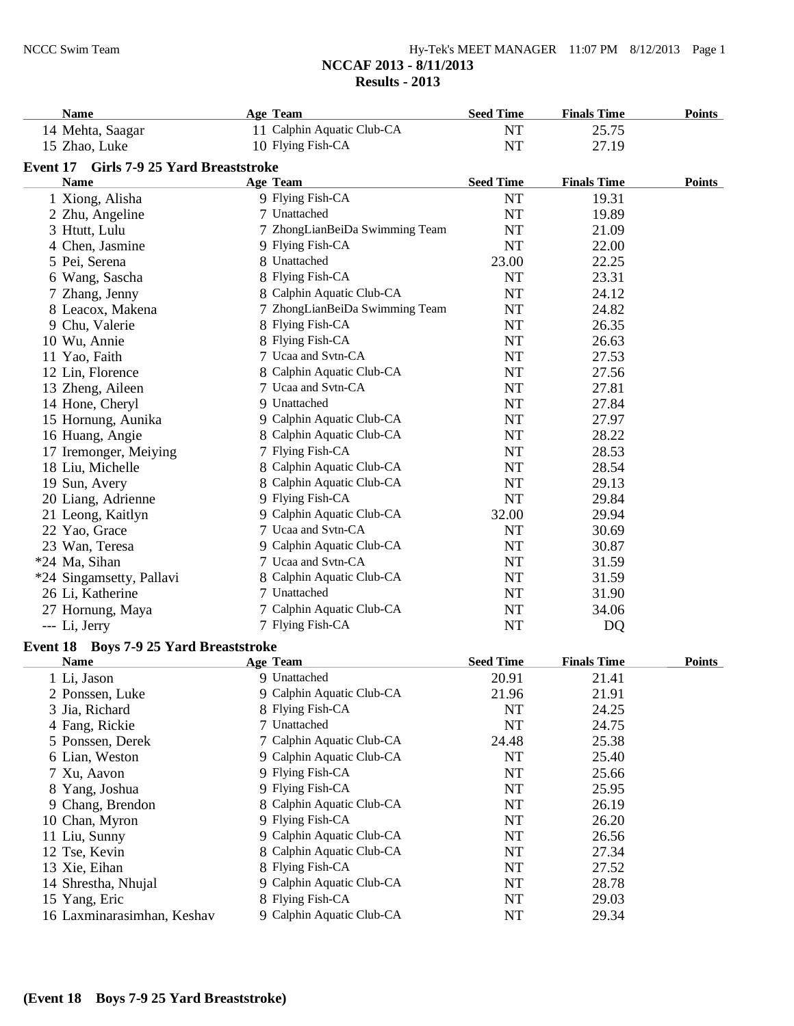| $Hy-Tek's MEET MANAGER$ 11:07 PM $8/12/2013$ Page 1 |  |  |
|-----------------------------------------------------|--|--|
| NCCAF 2013 - 8/11/2013                              |  |  |
| Results $-2013$                                     |  |  |

| <b>Name</b>                             | <b>Age Team</b>                | <b>Seed Time</b> | <b>Finals Time</b> | <b>Points</b> |
|-----------------------------------------|--------------------------------|------------------|--------------------|---------------|
| 14 Mehta, Saagar                        | 11 Calphin Aquatic Club-CA     | NT               | 25.75              |               |
| 15 Zhao, Luke                           | 10 Flying Fish-CA              | <b>NT</b>        | 27.19              |               |
| Event 17 Girls 7-9 25 Yard Breaststroke |                                |                  |                    |               |
| <b>Name</b>                             | <b>Age Team</b>                | <b>Seed Time</b> | <b>Finals Time</b> | Points        |
| 1 Xiong, Alisha                         | 9 Flying Fish-CA               | NT               | 19.31              |               |
| 2 Zhu, Angeline                         | 7 Unattached                   | <b>NT</b>        | 19.89              |               |
| 3 Htutt, Lulu                           | 7 ZhongLianBeiDa Swimming Team | <b>NT</b>        | 21.09              |               |
| 4 Chen, Jasmine                         | 9 Flying Fish-CA               | NT               | 22.00              |               |
| 5 Pei, Serena                           | 8 Unattached                   | 23.00            | 22.25              |               |
| 6 Wang, Sascha                          | 8 Flying Fish-CA               | <b>NT</b>        | 23.31              |               |
| 7 Zhang, Jenny                          | 8 Calphin Aquatic Club-CA      | NT               | 24.12              |               |
| 8 Leacox, Makena                        | 7 ZhongLianBeiDa Swimming Team | $\rm{NT}$        | 24.82              |               |
| 9 Chu, Valerie                          | 8 Flying Fish-CA               | <b>NT</b>        | 26.35              |               |
| 10 Wu, Annie                            | 8 Flying Fish-CA               | $\rm{NT}$        | 26.63              |               |
| 11 Yao, Faith                           | 7 Ucaa and Svtn-CA             | NT               | 27.53              |               |
| 12 Lin, Florence                        | 8 Calphin Aquatic Club-CA      | <b>NT</b>        | 27.56              |               |
| 13 Zheng, Aileen                        | 7 Ucaa and Svtn-CA             | NT               | 27.81              |               |
| 14 Hone, Cheryl                         | 9 Unattached                   | <b>NT</b>        | 27.84              |               |
| 15 Hornung, Aunika                      | 9 Calphin Aquatic Club-CA      | <b>NT</b>        | 27.97              |               |
| 16 Huang, Angie                         | 8 Calphin Aquatic Club-CA      | NT               | 28.22              |               |
| 17 Iremonger, Meiying                   | 7 Flying Fish-CA               | NT               | 28.53              |               |
| 18 Liu, Michelle                        | 8 Calphin Aquatic Club-CA      | NT               | 28.54              |               |
| 19 Sun, Avery                           | 8 Calphin Aquatic Club-CA      | NT               | 29.13              |               |
| 20 Liang, Adrienne                      | 9 Flying Fish-CA               | NT               | 29.84              |               |
| 21 Leong, Kaitlyn                       | 9 Calphin Aquatic Club-CA      | 32.00            | 29.94              |               |
| 22 Yao, Grace                           | 7 Ucaa and Svtn-CA             | <b>NT</b>        | 30.69              |               |
| 23 Wan, Teresa                          | 9 Calphin Aquatic Club-CA      | NT               | 30.87              |               |
| *24 Ma, Sihan                           | 7 Ucaa and Svtn-CA             | <b>NT</b>        | 31.59              |               |
| *24 Singamsetty, Pallavi                | 8 Calphin Aquatic Club-CA      | NT               | 31.59              |               |
| 26 Li, Katherine                        | 7 Unattached                   | NT               | 31.90              |               |
| 27 Hornung, Maya                        | 7 Calphin Aquatic Club-CA      | <b>NT</b>        | 34.06              |               |
| --- Li, Jerry                           | 7 Flying Fish-CA               | NT               | DQ                 |               |
| Event 18 Boys 7-9 25 Yard Breaststroke  |                                |                  |                    |               |
| <b>Name</b>                             | <b>Age Team</b>                | <b>Seed Time</b> | <b>Finals Time</b> | Points        |
| 1 Li, Jason                             | 9 Unattached                   | 20.91            | 21.41              |               |
| 2 Ponssen, Luke                         | 9 Calphin Aquatic Club-CA      | 21.96            | 21.91              |               |
| 3 Jia, Richard                          | 8 Flying Fish-CA               | <b>NT</b>        | 24.25              |               |
| 4 Fang, Rickie                          | 7 Unattached                   | <b>NT</b>        | 24.75              |               |
| 5 Ponssen, Derek                        | 7 Calphin Aquatic Club-CA      | 24.48            | 25.38              |               |

| 3 Jia, Richard             | 8 Flying Fish-CA          | NT    | 24.25 |  |
|----------------------------|---------------------------|-------|-------|--|
| 4 Fang, Rickie             | 7 Unattached              | NT    | 24.75 |  |
| 5 Ponssen, Derek           | 7 Calphin Aquatic Club-CA | 24.48 | 25.38 |  |
| 6 Lian, Weston             | 9 Calphin Aquatic Club-CA | NT    | 25.40 |  |
| 7 Xu, Aavon                | 9 Flying Fish-CA          | NT    | 25.66 |  |
| 8 Yang, Joshua             | 9 Flying Fish-CA          | NT    | 25.95 |  |
| 9 Chang, Brendon           | 8 Calphin Aquatic Club-CA | NT    | 26.19 |  |
| 10 Chan, Myron             | 9 Flying Fish-CA          | NT    | 26.20 |  |
| 11 Liu, Sunny              | 9 Calphin Aquatic Club-CA | NT    | 26.56 |  |
| 12 Tse, Kevin              | 8 Calphin Aquatic Club-CA | NT    | 27.34 |  |
| 13 Xie, Eihan              | 8 Flying Fish-CA          | NT    | 27.52 |  |
| 14 Shrestha, Nhujal        | 9 Calphin Aquatic Club-CA | NT    | 28.78 |  |
| 15 Yang, Eric              | 8 Flying Fish-CA          | NT    | 29.03 |  |
| 16 Laxminarasimhan, Keshav | 9 Calphin Aquatic Club-CA | NT    | 29.34 |  |
|                            |                           |       |       |  |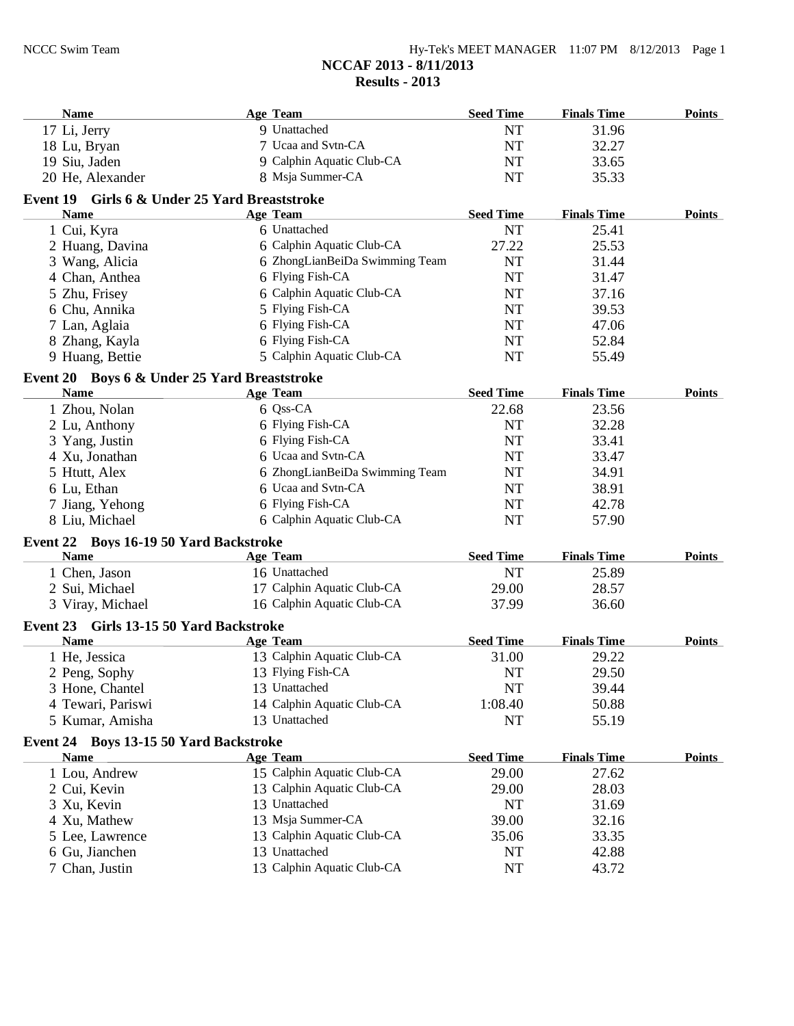| Name                                          | <b>Age Team</b>                | <b>Seed Time</b> | <b>Finals Time</b> | <b>Points</b> |
|-----------------------------------------------|--------------------------------|------------------|--------------------|---------------|
| 17 Li, Jerry                                  | 9 Unattached                   | <b>NT</b>        | 31.96              |               |
| 18 Lu, Bryan                                  | 7 Ucaa and Svtn-CA             | NT               | 32.27              |               |
| 19 Siu, Jaden                                 | 9 Calphin Aquatic Club-CA      | <b>NT</b>        | 33.65              |               |
| 20 He, Alexander                              | 8 Msja Summer-CA               | NT               | 35.33              |               |
| Event 19 Girls 6 & Under 25 Yard Breaststroke |                                |                  |                    |               |
| <b>Name</b>                                   | <b>Age Team</b>                | <b>Seed Time</b> | <b>Finals Time</b> | <b>Points</b> |
| 1 Cui, Kyra                                   | 6 Unattached                   | <b>NT</b>        | 25.41              |               |
| 2 Huang, Davina                               | 6 Calphin Aquatic Club-CA      | 27.22            | 25.53              |               |
| 3 Wang, Alicia                                | 6 ZhongLianBeiDa Swimming Team | <b>NT</b>        | 31.44              |               |
| 4 Chan, Anthea                                | 6 Flying Fish-CA               | <b>NT</b>        | 31.47              |               |
| 5 Zhu, Frisey                                 | 6 Calphin Aquatic Club-CA      | NT               | 37.16              |               |
| 6 Chu, Annika                                 | 5 Flying Fish-CA               | <b>NT</b>        | 39.53              |               |
| 7 Lan, Aglaia                                 | 6 Flying Fish-CA               | <b>NT</b>        | 47.06              |               |
| 8 Zhang, Kayla                                | 6 Flying Fish-CA               | <b>NT</b>        | 52.84              |               |
| 9 Huang, Bettie                               | 5 Calphin Aquatic Club-CA      | NT               | 55.49              |               |
| Event 20 Boys 6 & Under 25 Yard Breaststroke  |                                |                  |                    |               |
| <b>Name</b>                                   | <b>Age Team</b>                | <b>Seed Time</b> | <b>Finals Time</b> | <b>Points</b> |
| 1 Zhou, Nolan                                 | 6 Qss-CA                       | 22.68            | 23.56              |               |
| 2 Lu, Anthony                                 | 6 Flying Fish-CA               | NT               | 32.28              |               |
| 3 Yang, Justin                                | 6 Flying Fish-CA               | NT               | 33.41              |               |
| 4 Xu, Jonathan                                | 6 Ucaa and Svtn-CA             | NT               | 33.47              |               |
| 5 Htutt, Alex                                 | 6 ZhongLianBeiDa Swimming Team | NT               | 34.91              |               |
| 6 Lu, Ethan                                   | 6 Ucaa and Svtn-CA             | <b>NT</b>        | 38.91              |               |
| 7 Jiang, Yehong                               | 6 Flying Fish-CA               | <b>NT</b>        | 42.78              |               |
| 8 Liu, Michael                                | 6 Calphin Aquatic Club-CA      | NT               | 57.90              |               |
| Event 22 Boys 16-19 50 Yard Backstroke        |                                |                  |                    |               |
| <b>Name</b>                                   | <b>Age Team</b>                | <b>Seed Time</b> | <b>Finals Time</b> | <b>Points</b> |
| 1 Chen, Jason                                 | 16 Unattached                  | NT               | 25.89              |               |
| 2 Sui, Michael                                | 17 Calphin Aquatic Club-CA     | 29.00            | 28.57              |               |
| 3 Viray, Michael                              | 16 Calphin Aquatic Club-CA     | 37.99            | 36.60              |               |
| Event 23 Girls 13-15 50 Yard Backstroke       |                                |                  |                    |               |
| <b>Name</b>                                   | <b>Age Team</b>                | <b>Seed Time</b> | <b>Finals Time</b> | <b>Points</b> |
| 1 He, Jessica                                 | 13 Calphin Aquatic Club-CA     | 31.00            | 29.22              |               |
| 2 Peng, Sophy                                 | 13 Flying Fish-CA              | <b>NT</b>        | 29.50              |               |
| 3 Hone, Chantel                               | 13 Unattached                  | NT               | 39.44              |               |
| 4 Tewari, Pariswi                             | 14 Calphin Aquatic Club-CA     | 1:08.40          | 50.88              |               |
| 5 Kumar, Amisha                               | 13 Unattached                  | NT               | 55.19              |               |
| Event 24 Boys 13-15 50 Yard Backstroke        |                                |                  |                    |               |
| <b>Name</b>                                   | <b>Age Team</b>                | <b>Seed Time</b> | <b>Finals Time</b> | <b>Points</b> |
| 1 Lou, Andrew                                 | 15 Calphin Aquatic Club-CA     | 29.00            | 27.62              |               |
| 2 Cui, Kevin                                  | 13 Calphin Aquatic Club-CA     | 29.00            | 28.03              |               |
| 3 Xu, Kevin                                   | 13 Unattached                  | NT               | 31.69              |               |
| 4 Xu, Mathew                                  | 13 Msja Summer-CA              | 39.00            | 32.16              |               |
| 5 Lee, Lawrence                               | 13 Calphin Aquatic Club-CA     | 35.06            | 33.35              |               |
| 6 Gu, Jianchen                                | 13 Unattached                  | NT               | 42.88              |               |
| 7 Chan, Justin                                | 13 Calphin Aquatic Club-CA     | NT               | 43.72              |               |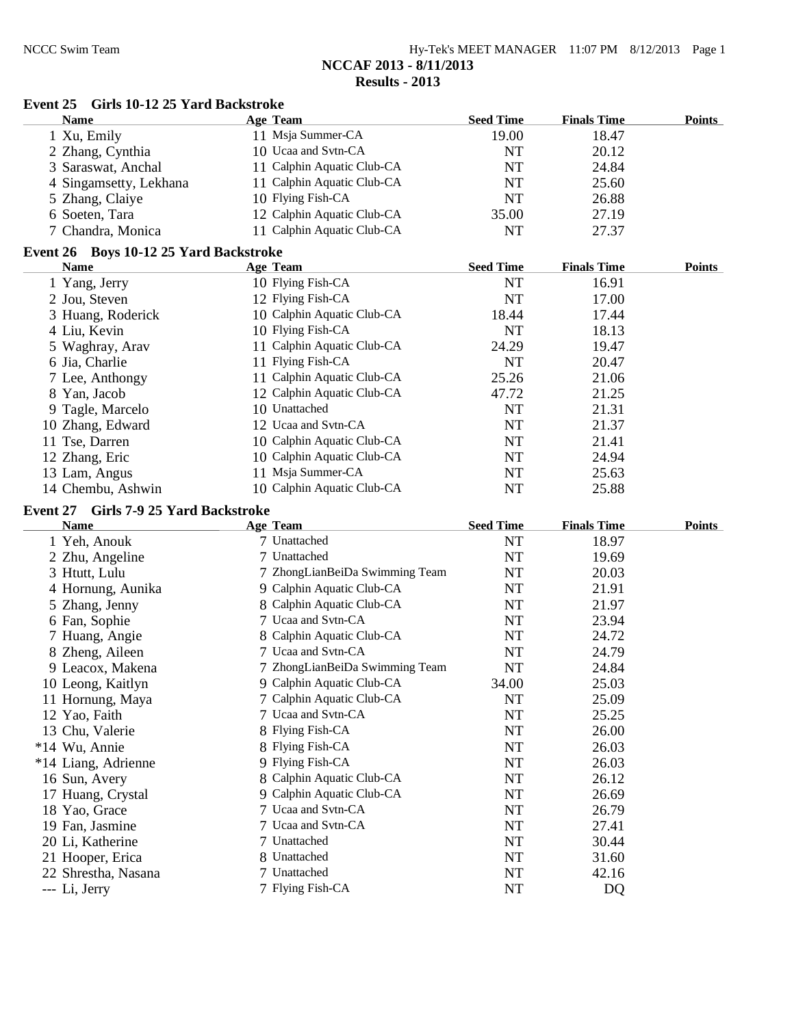| $Hy-Tek's MEET MANAGER$ 11:07 PM $8/12/2013$ Page 1 |  |  |
|-----------------------------------------------------|--|--|
| NCCAF 2013 - 8/11/2013                              |  |  |
| Results - 2013                                      |  |  |

| Event 25 Girls 10-12 25 Yard Backstroke              |                                  |                  |                    |               |
|------------------------------------------------------|----------------------------------|------------------|--------------------|---------------|
| <b>Name</b>                                          | <b>Age Team</b>                  | <b>Seed Time</b> | <b>Finals Time</b> | <b>Points</b> |
| 1 Xu, Emily                                          | 11 Msja Summer-CA                | 19.00            | 18.47              |               |
| 2 Zhang, Cynthia                                     | 10 Ucaa and Svtn-CA              | <b>NT</b>        | 20.12              |               |
| 3 Saraswat, Anchal                                   | 11 Calphin Aquatic Club-CA       | NT               | 24.84              |               |
| 4 Singamsetty, Lekhana                               | 11 Calphin Aquatic Club-CA       | <b>NT</b>        | 25.60              |               |
| 5 Zhang, Claiye                                      | 10 Flying Fish-CA                | <b>NT</b>        | 26.88              |               |
| 6 Soeten, Tara                                       | 12 Calphin Aquatic Club-CA       | 35.00            | 27.19              |               |
| 7 Chandra, Monica                                    | 11 Calphin Aquatic Club-CA       | <b>NT</b>        | 27.37              |               |
| Event 26 Boys 10-12 25 Yard Backstroke               |                                  |                  |                    |               |
| Name                                                 | <b>Age Team</b>                  | <b>Seed Time</b> | <b>Finals Time</b> | <b>Points</b> |
| 1 Yang, Jerry                                        | 10 Flying Fish-CA                | NT               | 16.91              |               |
| 2 Jou, Steven                                        | 12 Flying Fish-CA                | <b>NT</b>        | 17.00              |               |
| 3 Huang, Roderick                                    | 10 Calphin Aquatic Club-CA       | 18.44            | 17.44              |               |
| 4 Liu, Kevin                                         | 10 Flying Fish-CA                | <b>NT</b>        | 18.13              |               |
| 5 Waghray, Arav                                      | 11 Calphin Aquatic Club-CA       | 24.29            | 19.47              |               |
| 6 Jia, Charlie                                       | 11 Flying Fish-CA                | <b>NT</b>        | 20.47              |               |
| 7 Lee, Anthongy                                      | 11 Calphin Aquatic Club-CA       | 25.26            | 21.06              |               |
| 8 Yan, Jacob                                         | 12 Calphin Aquatic Club-CA       | 47.72            | 21.25              |               |
| 9 Tagle, Marcelo                                     | 10 Unattached                    | <b>NT</b>        | 21.31              |               |
| 10 Zhang, Edward                                     | 12 Ucaa and Svtn-CA              | <b>NT</b>        | 21.37              |               |
| 11 Tse, Darren                                       | 10 Calphin Aquatic Club-CA       | NT               | 21.41              |               |
| 12 Zhang, Eric                                       | 10 Calphin Aquatic Club-CA       | NT               | 24.94              |               |
| 13 Lam, Angus                                        | 11 Msja Summer-CA                | NT               | 25.63              |               |
| 14 Chembu, Ashwin                                    | 10 Calphin Aquatic Club-CA       | <b>NT</b>        | 25.88              |               |
|                                                      |                                  |                  |                    |               |
| Event 27 Girls 7-9 25 Yard Backstroke<br><b>Name</b> | <b>Age Team</b>                  | <b>Seed Time</b> | <b>Finals Time</b> | <b>Points</b> |
| 1 Yeh, Anouk                                         | 7 Unattached                     | <b>NT</b>        | 18.97              |               |
| 2 Zhu, Angeline                                      | 7 Unattached                     | <b>NT</b>        | 19.69              |               |
| 3 Htutt, Lulu                                        | 7 ZhongLianBeiDa Swimming Team   | NT               | 20.03              |               |
| 4 Hornung, Aunika                                    | 9 Calphin Aquatic Club-CA        | NT               | 21.91              |               |
|                                                      | 8 Calphin Aquatic Club-CA        |                  |                    |               |
| 5 Zhang, Jenny                                       |                                  | NT               | 21.97              |               |
| 6 Fan, Sophie                                        | 7 Ucaa and Svtn-CA               | NT               | 23.94              |               |
| 7 Huang, Angie                                       | 8 Calphin Aquatic Club-CA        | NT               | 24.72              |               |
|                                                      |                                  |                  |                    |               |
| 8 Zheng, Aileen                                      | 7 Ucaa and Svtn-CA               | NT               | 24.79              |               |
| 9 Leacox, Makena                                     | 7 ZhongLianBeiDa Swimming Team   | NT               | 24.84              |               |
| 10 Leong, Kaitlyn                                    | 9 Calphin Aquatic Club-CA        | 34.00            | 25.03              |               |
| 11 Hornung, Maya                                     | 7 Calphin Aquatic Club-CA        | NT               | 25.09              |               |
| 12 Yao, Faith                                        | 7 Ucaa and Svtn-CA               | NT               | 25.25              |               |
| 13 Chu, Valerie                                      | 8 Flying Fish-CA                 | NT               | 26.00              |               |
| *14 Wu, Annie                                        | 8 Flying Fish-CA                 | NT               | 26.03              |               |
| *14 Liang, Adrienne                                  | 9 Flying Fish-CA                 | NT               | 26.03              |               |
| 16 Sun, Avery                                        | 8 Calphin Aquatic Club-CA        | NT               | 26.12              |               |
| 17 Huang, Crystal                                    | 9 Calphin Aquatic Club-CA        | NT               | 26.69              |               |
| 18 Yao, Grace                                        | 7 Ucaa and Svtn-CA               | NT               | 26.79              |               |
| 19 Fan, Jasmine                                      | 7 Ucaa and Svtn-CA               | NT               | 27.41              |               |
| 20 Li, Katherine                                     | 7 Unattached                     | NT               | 30.44              |               |
| 21 Hooper, Erica                                     | 8 Unattached                     | NT               | 31.60              |               |
| 22 Shrestha, Nasana<br>--- Li, Jerry                 | 7 Unattached<br>7 Flying Fish-CA | NT<br>NT         | 42.16<br>DQ        |               |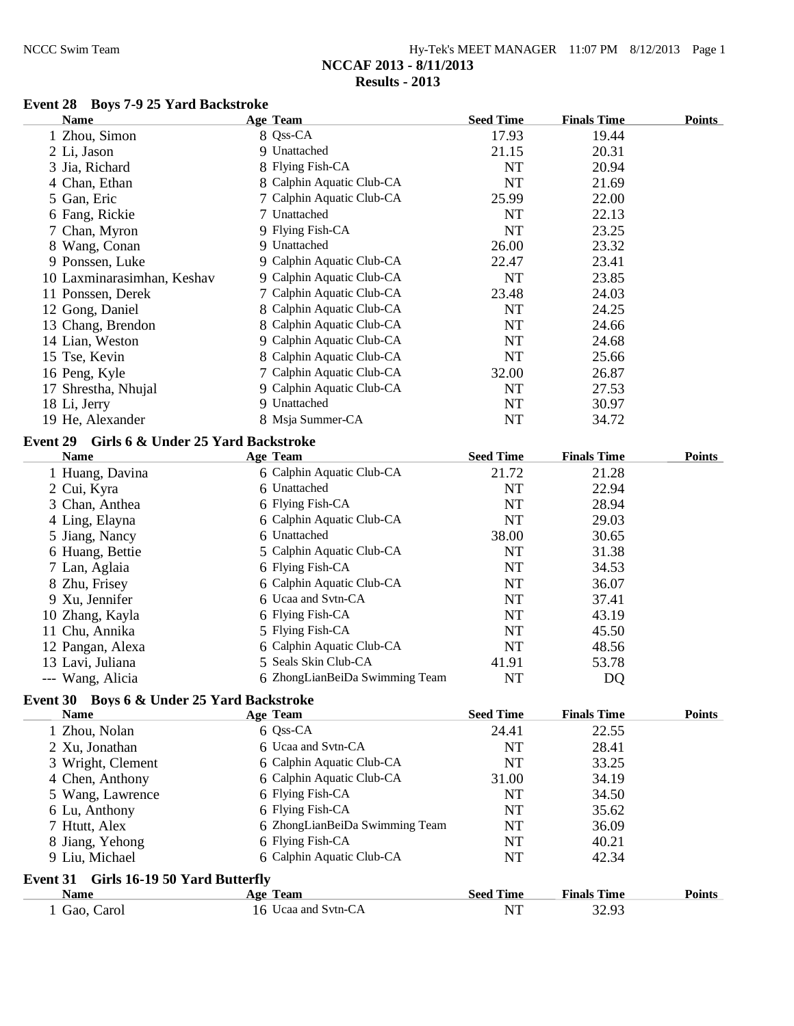| Hy-Tek's MEET MANAGER $11:07$ PM $8/12/2013$ Page 1 |  |  |
|-----------------------------------------------------|--|--|
| NCCAF 2013 - 8/11/2013                              |  |  |
| Results - 2013                                      |  |  |

## **Event 28 Boys 7-9 25 Yard Backstroke**

| <b>Name</b>                                 | <b>Age Team</b>                | <b>Seed Time</b>   | <b>Finals Time</b> | <b>Points</b> |
|---------------------------------------------|--------------------------------|--------------------|--------------------|---------------|
| 1 Zhou, Simon                               | 8 Qss-CA                       | 17.93              | 19.44              |               |
| 2 Li, Jason                                 | 9 Unattached                   | 21.15              | 20.31              |               |
| 3 Jia, Richard                              | 8 Flying Fish-CA               | NT                 | 20.94              |               |
| 4 Chan, Ethan                               | 8 Calphin Aquatic Club-CA      | $\rm{NT}$          | 21.69              |               |
| 5 Gan, Eric                                 | 7 Calphin Aquatic Club-CA      | 25.99              | 22.00              |               |
| 6 Fang, Rickie                              | 7 Unattached                   | <b>NT</b>          | 22.13              |               |
| 7 Chan, Myron                               | 9 Flying Fish-CA               | <b>NT</b>          | 23.25              |               |
| 8 Wang, Conan                               | 9 Unattached                   | 26.00              | 23.32              |               |
| 9 Ponssen, Luke                             | 9 Calphin Aquatic Club-CA      | 22.47              | 23.41              |               |
| 10 Laxminarasimhan, Keshav                  | 9 Calphin Aquatic Club-CA      | <b>NT</b>          | 23.85              |               |
| 11 Ponssen, Derek                           | 7 Calphin Aquatic Club-CA      | 23.48              | 24.03              |               |
| 12 Gong, Daniel                             | 8 Calphin Aquatic Club-CA      | <b>NT</b>          | 24.25              |               |
| 13 Chang, Brendon                           | 8 Calphin Aquatic Club-CA      | NT                 | 24.66              |               |
| 14 Lian, Weston                             | 9 Calphin Aquatic Club-CA      | $\rm{NT}$          | 24.68              |               |
| 15 Tse, Kevin                               | 8 Calphin Aquatic Club-CA      | <b>NT</b>          | 25.66              |               |
| 16 Peng, Kyle                               | 7 Calphin Aquatic Club-CA      | 32.00              | 26.87              |               |
|                                             | 9 Calphin Aquatic Club-CA      | <b>NT</b>          | 27.53              |               |
| 17 Shrestha, Nhujal                         | 9 Unattached                   | $\rm{NT}$          | 30.97              |               |
| 18 Li, Jerry                                | 8 Msja Summer-CA               | <b>NT</b>          |                    |               |
| 19 He, Alexander                            |                                |                    | 34.72              |               |
| Event 29 Girls 6 & Under 25 Yard Backstroke |                                |                    |                    |               |
| <b>Name</b>                                 | <b>Age Team</b>                | <b>Seed Time</b>   | <b>Finals Time</b> | <b>Points</b> |
| 1 Huang, Davina                             | 6 Calphin Aquatic Club-CA      | 21.72              | 21.28              |               |
| 2 Cui, Kyra                                 | 6 Unattached                   | NT                 | 22.94              |               |
| 3 Chan, Anthea                              | 6 Flying Fish-CA               | <b>NT</b>          | 28.94              |               |
| 4 Ling, Elayna                              | 6 Calphin Aquatic Club-CA      | $\rm{NT}$          | 29.03              |               |
| 5 Jiang, Nancy                              | 6 Unattached                   | 38.00              | 30.65              |               |
| 6 Huang, Bettie                             | 5 Calphin Aquatic Club-CA      | NT                 | 31.38              |               |
| 7 Lan, Aglaia                               | 6 Flying Fish-CA               | $\rm{NT}$          | 34.53              |               |
| 8 Zhu, Frisey                               | 6 Calphin Aquatic Club-CA      | <b>NT</b>          | 36.07              |               |
| 9 Xu, Jennifer                              | 6 Ucaa and Svtn-CA             | <b>NT</b>          | 37.41              |               |
| 10 Zhang, Kayla                             | 6 Flying Fish-CA               | NT                 | 43.19              |               |
| 11 Chu, Annika                              | 5 Flying Fish-CA               | NT                 | 45.50              |               |
| 12 Pangan, Alexa                            | 6 Calphin Aquatic Club-CA      | NT                 | 48.56              |               |
| 13 Lavi, Juliana                            | 5 Seals Skin Club-CA           | 41.91              | 53.78              |               |
| --- Wang, Alicia                            | 6 ZhongLianBeiDa Swimming Team | <b>NT</b>          | DQ                 |               |
| Event 30 Boys 6 & Under 25 Yard Backstroke  |                                |                    |                    |               |
| Name                                        | <b>Age Team</b>                | <b>Seed Time</b>   | <b>Finals Time</b> | <b>Points</b> |
| 1 Zhou, Nolan                               | 6 Qss-CA                       | 24.41              | 22.55              |               |
| 2 Xu, Jonathan                              | 6 Ucaa and Svtn-CA             | <b>NT</b>          | 28.41              |               |
|                                             | 6 Calphin Aquatic Club-CA      | <b>NT</b>          | 33.25              |               |
| 3 Wright, Clement                           | 6 Calphin Aquatic Club-CA      |                    |                    |               |
| 4 Chen, Anthony                             | 6 Flying Fish-CA               | 31.00<br><b>NT</b> | 34.19              |               |
| 5 Wang, Lawrence                            |                                |                    | 34.50              |               |
| 6 Lu, Anthony                               | 6 Flying Fish-CA               | <b>NT</b>          | 35.62              |               |
| 7 Htutt, Alex                               | 6 ZhongLianBeiDa Swimming Team | <b>NT</b>          | 36.09              |               |
| 8 Jiang, Yehong                             | 6 Flying Fish-CA               | NT                 | 40.21              |               |
| 9 Liu, Michael                              | 6 Calphin Aquatic Club-CA      | NT                 | 42.34              |               |
| Girls 16-19 50 Yard Butterfly<br>Event 31   |                                |                    |                    |               |
| <b>Name</b>                                 | <b>Age Team</b>                | <b>Seed Time</b>   | <b>Finals Time</b> | <b>Points</b> |
| 1 Gao, Carol                                | 16 Ucaa and Svtn-CA            | NT                 | 32.93              |               |
|                                             |                                |                    |                    |               |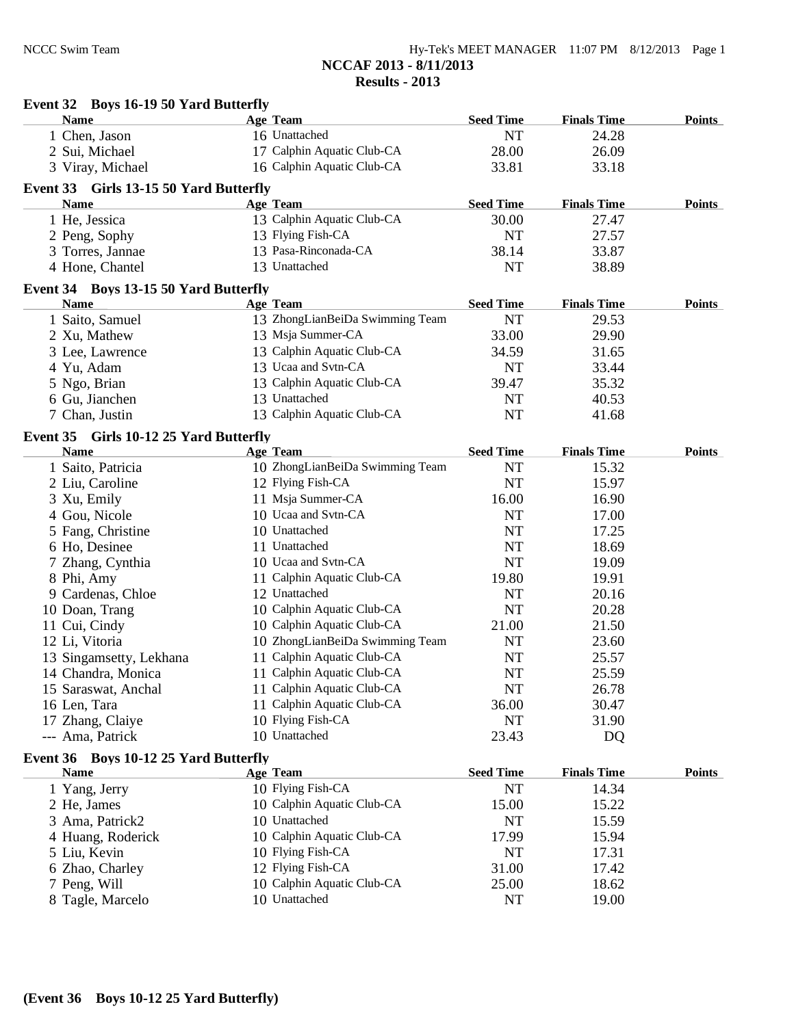**Event 32 Boys 16-19 50 Yard Butterfly**

| <b>Name</b>                            | <b>Age Team</b>                 | <b>Seed Time</b> | <b>Finals Time</b> | <b>Points</b> |
|----------------------------------------|---------------------------------|------------------|--------------------|---------------|
| 1 Chen, Jason                          | 16 Unattached                   | <b>NT</b>        | 24.28              |               |
| 2 Sui, Michael                         | 17 Calphin Aquatic Club-CA      | 28.00            | 26.09              |               |
| 3 Viray, Michael                       | 16 Calphin Aquatic Club-CA      | 33.81            | 33.18              |               |
| Event 33 Girls 13-15 50 Yard Butterfly |                                 |                  |                    |               |
| <b>Name</b>                            | <b>Age Team</b>                 | <b>Seed Time</b> | <b>Finals Time</b> | Points        |
| 1 He, Jessica                          | 13 Calphin Aquatic Club-CA      | 30.00            | 27.47              |               |
| 2 Peng, Sophy                          | 13 Flying Fish-CA               | <b>NT</b>        | 27.57              |               |
| 3 Torres, Jannae                       | 13 Pasa-Rinconada-CA            | 38.14            | 33.87              |               |
|                                        | 13 Unattached                   | <b>NT</b>        | 38.89              |               |
| 4 Hone, Chantel                        |                                 |                  |                    |               |
| Event 34 Boys 13-15 50 Yard Butterfly  |                                 |                  |                    |               |
| <b>Name</b>                            | <b>Age Team</b>                 | <b>Seed Time</b> | <b>Finals Time</b> | Points        |
| 1 Saito, Samuel                        | 13 ZhongLianBeiDa Swimming Team | <b>NT</b>        | 29.53              |               |
| 2 Xu, Mathew                           | 13 Msja Summer-CA               | 33.00            | 29.90              |               |
| 3 Lee, Lawrence                        | 13 Calphin Aquatic Club-CA      | 34.59            | 31.65              |               |
| 4 Yu, Adam                             | 13 Ucaa and Svtn-CA             | <b>NT</b>        | 33.44              |               |
| 5 Ngo, Brian                           | 13 Calphin Aquatic Club-CA      | 39.47            | 35.32              |               |
| 6 Gu, Jianchen                         | 13 Unattached                   | <b>NT</b>        | 40.53              |               |
| 7 Chan, Justin                         | 13 Calphin Aquatic Club-CA      | <b>NT</b>        | 41.68              |               |
| Event 35 Girls 10-12 25 Yard Butterfly |                                 |                  |                    |               |
| <b>Name</b>                            | <b>Age Team</b>                 | <b>Seed Time</b> | <b>Finals Time</b> | Points        |
| 1 Saito, Patricia                      | 10 ZhongLianBeiDa Swimming Team | <b>NT</b>        | 15.32              |               |
| 2 Liu, Caroline                        | 12 Flying Fish-CA               | <b>NT</b>        | 15.97              |               |
| 3 Xu, Emily                            | 11 Msja Summer-CA               | 16.00            | 16.90              |               |
| 4 Gou, Nicole                          | 10 Ucaa and Svtn-CA             | <b>NT</b>        | 17.00              |               |
|                                        | 10 Unattached                   | NT               |                    |               |
| 5 Fang, Christine                      |                                 |                  | 17.25              |               |
| 6 Ho, Desinee                          | 11 Unattached                   | <b>NT</b>        | 18.69              |               |
| 7 Zhang, Cynthia                       | 10 Ucaa and Svtn-CA             | <b>NT</b>        | 19.09              |               |
| 8 Phi, Amy                             | 11 Calphin Aquatic Club-CA      | 19.80            | 19.91              |               |
| 9 Cardenas, Chloe                      | 12 Unattached                   | <b>NT</b>        | 20.16              |               |
| 10 Doan, Trang                         | 10 Calphin Aquatic Club-CA      | NT               | 20.28              |               |
| 11 Cui, Cindy                          | 10 Calphin Aquatic Club-CA      | 21.00            | 21.50              |               |
| 12 Li, Vitoria                         | 10 ZhongLianBeiDa Swimming Team | <b>NT</b>        | 23.60              |               |
| 13 Singamsetty, Lekhana                | 11 Calphin Aquatic Club-CA      | <b>NT</b>        | 25.57              |               |
| 14 Chandra, Monica                     | 11 Calphin Aquatic Club-CA      | <b>NT</b>        | 25.59              |               |
| 15 Saraswat, Anchal                    | 11 Calphin Aquatic Club-CA      | <b>NT</b>        | 26.78              |               |
| 16 Len, Tara                           | 11 Calphin Aquatic Club-CA      | 36.00            | 30.47              |               |
| 17 Zhang, Claiye                       | 10 Flying Fish-CA               | <b>NT</b>        | 31.90              |               |
| --- Ama, Patrick                       | 10 Unattached                   | 23.43            | DQ                 |               |
| Event 36 Boys 10-12 25 Yard Butterfly  |                                 |                  |                    |               |
| <b>Name</b>                            | <b>Age Team</b>                 | <b>Seed Time</b> | <b>Finals Time</b> | <b>Points</b> |
| 1 Yang, Jerry                          | 10 Flying Fish-CA               | $\rm{NT}$        | 14.34              |               |
| 2 He, James                            | 10 Calphin Aquatic Club-CA      | 15.00            | 15.22              |               |
| 3 Ama, Patrick2                        | 10 Unattached                   | <b>NT</b>        | 15.59              |               |
| 4 Huang, Roderick                      | 10 Calphin Aquatic Club-CA      | 17.99            | 15.94              |               |
| 5 Liu, Kevin                           | 10 Flying Fish-CA               | <b>NT</b>        | 17.31              |               |
|                                        | 12 Flying Fish-CA               | 31.00            | 17.42              |               |
| 6 Zhao, Charley                        | 10 Calphin Aquatic Club-CA      |                  |                    |               |
| 7 Peng, Will                           |                                 | 25.00            | 18.62              |               |
| 8 Tagle, Marcelo                       | 10 Unattached                   | NT               | 19.00              |               |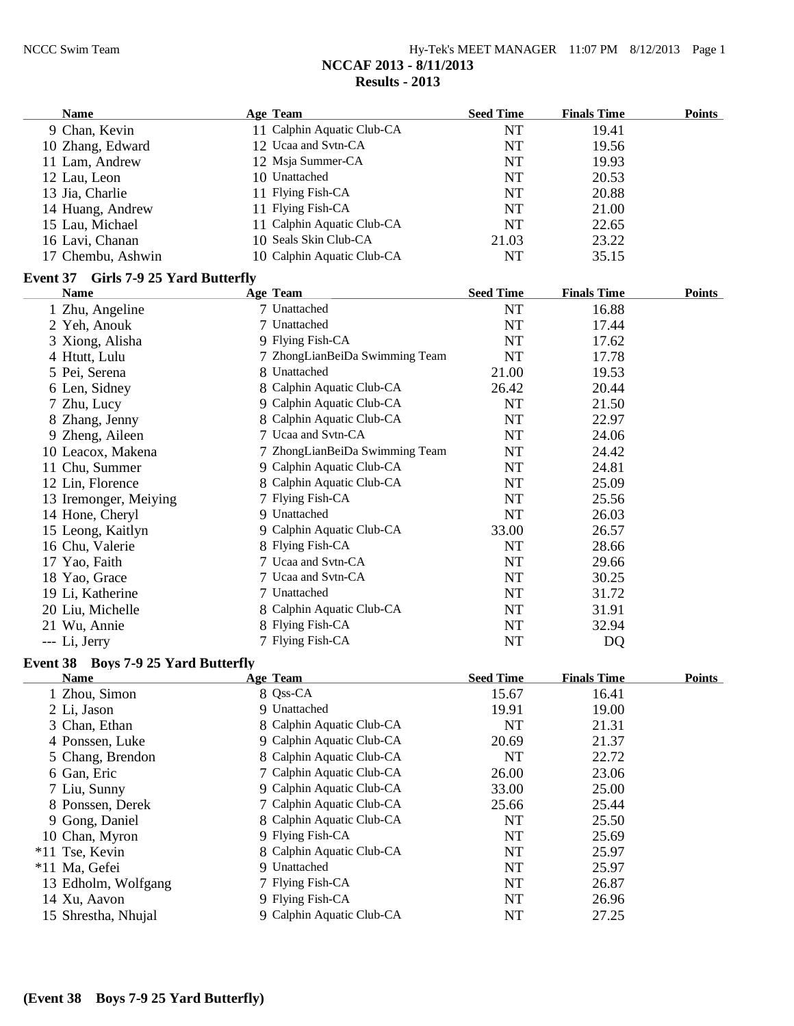| $Hy-Tek's MEET MANAGER$ 11:07 PM $8/12/2013$ Page 1 |  |  |
|-----------------------------------------------------|--|--|
| NCCAF 2013 - 8/11/2013                              |  |  |
| Results $-2013$                                     |  |  |

| <b>Name</b>                                | <b>Age Team</b>                | <b>Seed Time</b> | <b>Finals Time</b> | <b>Points</b> |
|--------------------------------------------|--------------------------------|------------------|--------------------|---------------|
| 9 Chan, Kevin                              | 11 Calphin Aquatic Club-CA     | <b>NT</b>        | 19.41              |               |
| 10 Zhang, Edward                           | 12 Ucaa and Svtn-CA            | <b>NT</b>        | 19.56              |               |
| 11 Lam, Andrew                             | 12 Msja Summer-CA              | NT               | 19.93              |               |
| 12 Lau, Leon                               | 10 Unattached                  | NT               | 20.53              |               |
| 13 Jia, Charlie                            | 11 Flying Fish-CA              | <b>NT</b>        | 20.88              |               |
| 14 Huang, Andrew                           | 11 Flying Fish-CA              | NT               | 21.00              |               |
| 15 Lau, Michael                            | 11 Calphin Aquatic Club-CA     | <b>NT</b>        | 22.65              |               |
| 16 Lavi, Chanan                            | 10 Seals Skin Club-CA          | 21.03            | 23.22              |               |
| 17 Chembu, Ashwin                          | 10 Calphin Aquatic Club-CA     | NT               | 35.15              |               |
| Event 37 Girls 7-9 25 Yard Butterfly       |                                |                  |                    |               |
| <b>Name</b>                                | <b>Age Team</b>                | <b>Seed Time</b> | <b>Finals Time</b> | <b>Points</b> |
| 1 Zhu, Angeline                            | 7 Unattached                   | NT               | 16.88              |               |
| 2 Yeh, Anouk                               | 7 Unattached                   | NT               | 17.44              |               |
| 3 Xiong, Alisha                            | 9 Flying Fish-CA               | NT               | 17.62              |               |
| 4 Htutt, Lulu                              | 7 ZhongLianBeiDa Swimming Team | <b>NT</b>        | 17.78              |               |
| 5 Pei, Serena                              | 8 Unattached                   | 21.00            | 19.53              |               |
| 6 Len, Sidney                              | 8 Calphin Aquatic Club-CA      | 26.42            | 20.44              |               |
| 7 Zhu, Lucy                                | 9 Calphin Aquatic Club-CA      | <b>NT</b>        | 21.50              |               |
| 8 Zhang, Jenny                             | 8 Calphin Aquatic Club-CA      | NT               | 22.97              |               |
| 9 Zheng, Aileen                            | 7 Ucaa and Svtn-CA             | NT               | 24.06              |               |
| 10 Leacox, Makena                          | 7 ZhongLianBeiDa Swimming Team | <b>NT</b>        | 24.42              |               |
| 11 Chu, Summer                             | 9 Calphin Aquatic Club-CA      | <b>NT</b>        | 24.81              |               |
| 12 Lin, Florence                           | 8 Calphin Aquatic Club-CA      | <b>NT</b>        | 25.09              |               |
| 13 Iremonger, Meiying                      | 7 Flying Fish-CA               | <b>NT</b>        | 25.56              |               |
| 14 Hone, Cheryl                            | 9 Unattached                   | <b>NT</b>        | 26.03              |               |
| 15 Leong, Kaitlyn                          | 9 Calphin Aquatic Club-CA      | 33.00            | 26.57              |               |
| 16 Chu, Valerie                            | 8 Flying Fish-CA               | <b>NT</b>        | 28.66              |               |
| 17 Yao, Faith                              | 7 Ucaa and Svtn-CA             | <b>NT</b>        | 29.66              |               |
| 18 Yao, Grace                              | 7 Ucaa and Svtn-CA             | <b>NT</b>        | 30.25              |               |
| 19 Li, Katherine                           | 7 Unattached                   | <b>NT</b>        | 31.72              |               |
| 20 Liu, Michelle                           | 8 Calphin Aquatic Club-CA      | <b>NT</b>        | 31.91              |               |
| 21 Wu, Annie                               | 8 Flying Fish-CA               | <b>NT</b>        | 32.94              |               |
| --- Li, Jerry                              | 7 Flying Fish-CA               | NT               | DQ                 |               |
|                                            |                                |                  |                    |               |
| <b>Event 38 Boys 7-9 25 Yard Butterfly</b> |                                |                  |                    |               |
| <b>Name</b>                                | <b>Age Team</b>                | <b>Seed Time</b> | <b>Finals Time</b> | <b>Points</b> |
| 1 Zhou, Simon                              | 8 Qss-CA                       | 15.67            | 16.41              |               |
| 2 Li, Jason                                | 9 Unattached                   | 19.91            | 19.00              |               |
| 3 Chan, Ethan                              | 8 Calphin Aquatic Club-CA      | NT               | 21.31              |               |
| 4 Ponssen, Luke                            | 9 Calphin Aquatic Club-CA      | 20.69            | 21.37              |               |
| 5 Chang, Brendon                           | 8 Calphin Aquatic Club-CA      | NT               | 22.72              |               |
| 6 Gan, Eric                                | 7 Calphin Aquatic Club-CA      | 26.00            | 23.06              |               |
| 7 Liu, Sunny                               | 9 Calphin Aquatic Club-CA      | 33.00            | 25.00              |               |
| 8 Ponssen, Derek                           | 7 Calphin Aquatic Club-CA      | 25.66            | 25.44              |               |
| 9 Gong, Daniel                             | 8 Calphin Aquatic Club-CA      | NT               | 25.50              |               |
| 10 Chan, Myron                             | 9 Flying Fish-CA               | NT               | 25.69              |               |
| *11 Tse, Kevin                             | 8 Calphin Aquatic Club-CA      | <b>NT</b>        | 25.97              |               |
| *11 Ma, Gefei                              | 9 Unattached                   | NT               | 25.97              |               |
| 13 Edholm, Wolfgang                        | 7 Flying Fish-CA               | NT               | 26.87              |               |
| 14 Xu, Aavon                               | 9 Flying Fish-CA               | NT               | 26.96              |               |
| 15 Shrestha, Nhujal                        | 9 Calphin Aquatic Club-CA      | NT               | 27.25              |               |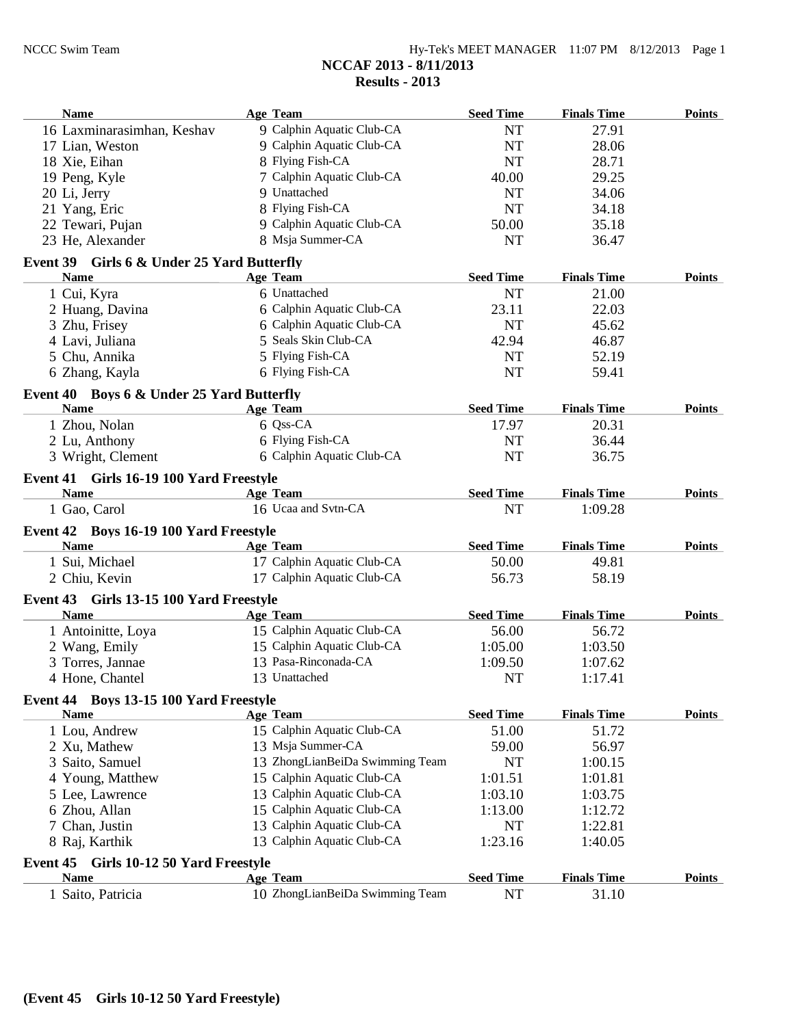| <b>Name</b>                                              | Age Team                        | <b>Seed Time</b> | <b>Finals Time</b> | <b>Points</b> |
|----------------------------------------------------------|---------------------------------|------------------|--------------------|---------------|
| 16 Laxminarasimhan, Keshav                               | 9 Calphin Aquatic Club-CA       | <b>NT</b>        | 27.91              |               |
| 17 Lian, Weston                                          | 9 Calphin Aquatic Club-CA       | <b>NT</b>        | 28.06              |               |
| 18 Xie, Eihan                                            | 8 Flying Fish-CA                | <b>NT</b>        | 28.71              |               |
| 19 Peng, Kyle                                            | 7 Calphin Aquatic Club-CA       | 40.00            | 29.25              |               |
| 20 Li, Jerry                                             | 9 Unattached                    | <b>NT</b>        | 34.06              |               |
| 21 Yang, Eric                                            | 8 Flying Fish-CA                | <b>NT</b>        | 34.18              |               |
| 22 Tewari, Pujan                                         | 9 Calphin Aquatic Club-CA       | 50.00            | 35.18              |               |
| 23 He, Alexander                                         | 8 Msja Summer-CA                | NT               | 36.47              |               |
| Event 39 Girls 6 & Under 25 Yard Butterfly               |                                 |                  |                    |               |
| <b>Name</b>                                              | <b>Age Team</b>                 | <b>Seed Time</b> | <b>Finals Time</b> | <b>Points</b> |
| 1 Cui, Kyra                                              | 6 Unattached                    | <b>NT</b>        | 21.00              |               |
| 2 Huang, Davina                                          | 6 Calphin Aquatic Club-CA       | 23.11            | 22.03              |               |
| 3 Zhu, Frisey                                            | 6 Calphin Aquatic Club-CA       | <b>NT</b>        | 45.62              |               |
| 4 Lavi, Juliana                                          | 5 Seals Skin Club-CA            | 42.94            | 46.87              |               |
| 5 Chu, Annika                                            | 5 Flying Fish-CA                | <b>NT</b>        | 52.19              |               |
| 6 Zhang, Kayla                                           | 6 Flying Fish-CA                | <b>NT</b>        | 59.41              |               |
|                                                          |                                 |                  |                    |               |
| Event 40 Boys 6 & Under 25 Yard Butterfly<br><b>Name</b> | <b>Age Team</b>                 | <b>Seed Time</b> | <b>Finals Time</b> | <b>Points</b> |
| 1 Zhou, Nolan                                            | 6 Qss-CA                        | 17.97            | 20.31              |               |
|                                                          | 6 Flying Fish-CA                |                  |                    |               |
| 2 Lu, Anthony                                            | 6 Calphin Aquatic Club-CA       | NT               | 36.44              |               |
| 3 Wright, Clement                                        |                                 | NT               | 36.75              |               |
| Event 41 Girls 16-19 100 Yard Freestyle                  |                                 |                  |                    |               |
| <b>Name</b>                                              | <b>Age Team</b>                 | <b>Seed Time</b> | <b>Finals Time</b> | <b>Points</b> |
| 1 Gao, Carol                                             | 16 Ucaa and Svtn-CA             | <b>NT</b>        | 1:09.28            |               |
| Event 42 Boys 16-19 100 Yard Freestyle                   |                                 |                  |                    |               |
| <b>Name</b>                                              | <b>Age Team</b>                 | <b>Seed Time</b> | <b>Finals Time</b> | <b>Points</b> |
| 1 Sui, Michael                                           | 17 Calphin Aquatic Club-CA      | 50.00            | 49.81              |               |
| 2 Chiu, Kevin                                            | 17 Calphin Aquatic Club-CA      | 56.73            | 58.19              |               |
| Event 43 Girls 13-15 100 Yard Freestyle                  |                                 |                  |                    |               |
| <b>Name</b>                                              | <b>Age Team</b>                 | <b>Seed Time</b> | <b>Finals Time</b> | <b>Points</b> |
| 1 Antoinitte, Loya                                       | 15 Calphin Aquatic Club-CA      | 56.00            | 56.72              |               |
| 2 Wang, Emily                                            | 15 Calphin Aquatic Club-CA      | 1:05.00          | 1:03.50            |               |
| 3 Torres, Jannae                                         | 13 Pasa-Rinconada-CA            | 1:09.50          | 1:07.62            |               |
| 4 Hone, Chantel                                          | 13 Unattached                   | NT               | 1:17.41            |               |
| Event 44 Boys 13-15 100 Yard Freestyle                   |                                 |                  |                    |               |
| <b>Name</b>                                              | <b>Age Team</b>                 | <b>Seed Time</b> | <b>Finals Time</b> | <b>Points</b> |
| 1 Lou, Andrew                                            | 15 Calphin Aquatic Club-CA      | 51.00            | 51.72              |               |
| 2 Xu, Mathew                                             | 13 Msja Summer-CA               | 59.00            | 56.97              |               |
| 3 Saito, Samuel                                          | 13 ZhongLianBeiDa Swimming Team | NT               | 1:00.15            |               |
| 4 Young, Matthew                                         | 15 Calphin Aquatic Club-CA      | 1:01.51          | 1:01.81            |               |
| 5 Lee, Lawrence                                          | 13 Calphin Aquatic Club-CA      | 1:03.10          | 1:03.75            |               |
| 6 Zhou, Allan                                            | 15 Calphin Aquatic Club-CA      | 1:13.00          | 1:12.72            |               |
| 7 Chan, Justin                                           | 13 Calphin Aquatic Club-CA      | NT               | 1:22.81            |               |
| 8 Raj, Karthik                                           | 13 Calphin Aquatic Club-CA      | 1:23.16          | 1:40.05            |               |
|                                                          |                                 |                  |                    |               |
| Event 45 Girls 10-12 50 Yard Freestyle                   |                                 |                  |                    |               |
| <b>Name</b>                                              | <b>Age Team</b>                 | <b>Seed Time</b> | <b>Finals Time</b> | <b>Points</b> |
| 1 Saito, Patricia                                        | 10 ZhongLianBeiDa Swimming Team | <b>NT</b>        | 31.10              |               |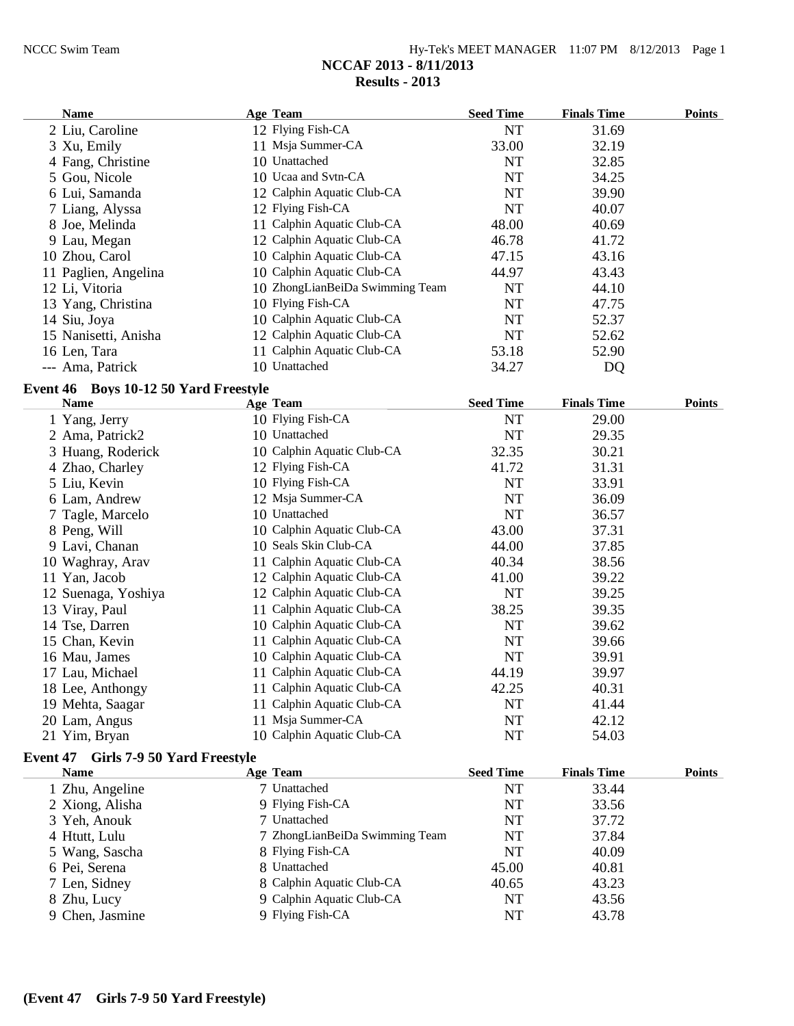| $Hv-Tek's MEET MANAGER$ 11:07 PM $8/12/2013$ Page 1 |  |  |
|-----------------------------------------------------|--|--|
| NCCAF 2013 - 8/11/2013                              |  |  |
| Results - 2013                                      |  |  |

| Name                 | <b>Age Team</b>                 | <b>Seed Time</b> | <b>Finals Time</b> | <b>Points</b> |
|----------------------|---------------------------------|------------------|--------------------|---------------|
| 2 Liu, Caroline      | 12 Flying Fish-CA               | <b>NT</b>        | 31.69              |               |
| 3 Xu, Emily          | 11 Msja Summer-CA               | 33.00            | 32.19              |               |
| 4 Fang, Christine    | 10 Unattached                   | NT               | 32.85              |               |
| 5 Gou, Nicole        | 10 Ucaa and Svtn-CA             | <b>NT</b>        | 34.25              |               |
| 6 Lui, Samanda       | 12 Calphin Aquatic Club-CA      | <b>NT</b>        | 39.90              |               |
| 7 Liang, Alyssa      | 12 Flying Fish-CA               | NT               | 40.07              |               |
| 8 Joe, Melinda       | 11 Calphin Aquatic Club-CA      | 48.00            | 40.69              |               |
| 9 Lau, Megan         | 12 Calphin Aquatic Club-CA      | 46.78            | 41.72              |               |
| 10 Zhou, Carol       | 10 Calphin Aquatic Club-CA      | 47.15            | 43.16              |               |
| 11 Paglien, Angelina | 10 Calphin Aquatic Club-CA      | 44.97            | 43.43              |               |
| 12 Li, Vitoria       | 10 ZhongLianBeiDa Swimming Team | <b>NT</b>        | 44.10              |               |
| 13 Yang, Christina   | 10 Flying Fish-CA               | NT               | 47.75              |               |
| 14 Siu, Joya         | 10 Calphin Aquatic Club-CA      | <b>NT</b>        | 52.37              |               |
| 15 Nanisetti, Anisha | 12 Calphin Aquatic Club-CA      | NT               | 52.62              |               |
| 16 Len, Tara         | 11 Calphin Aquatic Club-CA      | 53.18            | 52.90              |               |
| --- Ama, Patrick     | 10 Unattached                   | 34.27            | DQ                 |               |

## **Event 46 Boys 10-12 50 Yard Freestyle**

| <b>Name</b>         | Age Team                   | <b>Seed Time</b> | <b>Finals Time</b> | <b>Points</b> |
|---------------------|----------------------------|------------------|--------------------|---------------|
| 1 Yang, Jerry       | 10 Flying Fish-CA          | NT               | 29.00              |               |
| 2 Ama, Patrick2     | 10 Unattached              | NT               | 29.35              |               |
| 3 Huang, Roderick   | 10 Calphin Aquatic Club-CA | 32.35            | 30.21              |               |
| 4 Zhao, Charley     | 12 Flying Fish-CA          | 41.72            | 31.31              |               |
| 5 Liu, Kevin        | 10 Flying Fish-CA          | NT               | 33.91              |               |
| 6 Lam, Andrew       | 12 Msja Summer-CA          | NT               | 36.09              |               |
| 7 Tagle, Marcelo    | 10 Unattached              | NT               | 36.57              |               |
| 8 Peng, Will        | 10 Calphin Aquatic Club-CA | 43.00            | 37.31              |               |
| 9 Lavi, Chanan      | 10 Seals Skin Club-CA      | 44.00            | 37.85              |               |
| 10 Waghray, Arav    | 11 Calphin Aquatic Club-CA | 40.34            | 38.56              |               |
| 11 Yan, Jacob       | 12 Calphin Aquatic Club-CA | 41.00            | 39.22              |               |
| 12 Suenaga, Yoshiya | 12 Calphin Aquatic Club-CA | NT               | 39.25              |               |
| 13 Viray, Paul      | 11 Calphin Aquatic Club-CA | 38.25            | 39.35              |               |
| 14 Tse, Darren      | 10 Calphin Aquatic Club-CA | NT               | 39.62              |               |
| 15 Chan, Kevin      | 11 Calphin Aquatic Club-CA | NT               | 39.66              |               |
| 16 Mau, James       | 10 Calphin Aquatic Club-CA | NT               | 39.91              |               |
| 17 Lau, Michael     | 11 Calphin Aquatic Club-CA | 44.19            | 39.97              |               |
| 18 Lee, Anthongy    | 11 Calphin Aquatic Club-CA | 42.25            | 40.31              |               |
| 19 Mehta, Saagar    | 11 Calphin Aquatic Club-CA | NT               | 41.44              |               |
| 20 Lam, Angus       | 11 Msja Summer-CA          | NT               | 42.12              |               |
| 21 Yim, Bryan       | 10 Calphin Aquatic Club-CA | NT               | 54.03              |               |

# **Event 47 Girls 7-9 50 Yard Freestyle**

| <b>Name</b>     | Age Team                       | <b>Seed Time</b> | <b>Finals Time</b> | <b>Points</b> |
|-----------------|--------------------------------|------------------|--------------------|---------------|
| 1 Zhu, Angeline | 7 Unattached                   | NT               | 33.44              |               |
| 2 Xiong, Alisha | 9 Flying Fish-CA               | NT               | 33.56              |               |
| 3 Yeh, Anouk    | 7 Unattached                   | <b>NT</b>        | 37.72              |               |
| 4 Htutt, Lulu   | 7 ZhongLianBeiDa Swimming Team | NT               | 37.84              |               |
| 5 Wang, Sascha  | 8 Flying Fish-CA               | NT               | 40.09              |               |
| 6 Pei, Serena   | 8 Unattached                   | 45.00            | 40.81              |               |
| 7 Len, Sidney   | 8 Calphin Aquatic Club-CA      | 40.65            | 43.23              |               |
| 8 Zhu, Lucy     | 9 Calphin Aquatic Club-CA      | <b>NT</b>        | 43.56              |               |
| 9 Chen, Jasmine | 9 Flying Fish-CA               | NT               | 43.78              |               |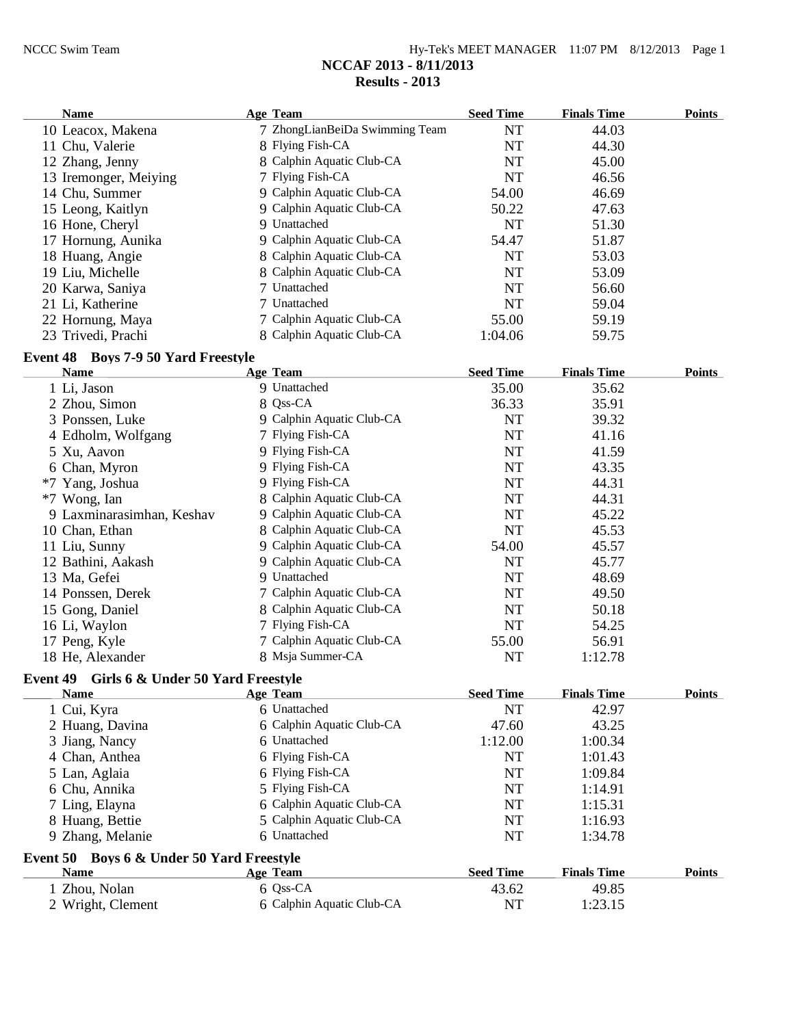# **Results - 2013 Name Age Team Seed Time Finals Time Points** 10 Leacox, Makena 7 ZhongLianBeiDa Swimming Team NT 44.03<br>11 Chu, Valerie 8 Flying Fish-CA NT 44.30 11 Chu, Valerie 8 Flying Fish-CA NT 12 Zhang, Jenny 8 Calphin Aquatic Club-CA NT 45.00<br>
13 Iremonger, Meiving 7 Flying Fish-CA NT 46.56 13 Iremonger, Meiying 7 Flying Fish-CA NT 46.56<br>14 Chu Summer 9 Calphin Aquatic Club-CA 54.00 46.69  $\overline{9}$  Calphin Aquatic Club-CA

| 14 Chu, Suinner    | 9 Calphill Aquatic Club-CA | <b>J4.UU</b> | 40.09 |  |
|--------------------|----------------------------|--------------|-------|--|
| 15 Leong, Kaitlyn  | 9 Calphin Aquatic Club-CA  | 50.22        | 47.63 |  |
| 16 Hone, Cheryl    | 9 Unattached               | NT           | 51.30 |  |
| 17 Hornung, Aunika | 9 Calphin Aquatic Club-CA  | 54.47        | 51.87 |  |
| 18 Huang, Angie    | 8 Calphin Aquatic Club-CA  | NT           | 53.03 |  |
| 19 Liu, Michelle   | 8 Calphin Aquatic Club-CA  | NT           | 53.09 |  |
| 20 Karwa, Saniya   | 7 Unattached               | NT           | 56.60 |  |
| 21 Li, Katherine   | 7 Unattached               | NT           | 59.04 |  |
| 22 Hornung, Maya   | 7 Calphin Aquatic Club-CA  | 55.00        | 59.19 |  |
| 23 Trivedi, Prachi | 8 Calphin Aquatic Club-CA  | 1:04.06      | 59.75 |  |

#### **Event 48 Boys 7-9 50 Yard Freestyle**

| <b>Name</b>                                | <b>Age Team</b>           | <b>Seed Time</b> | <b>Finals Time</b> | <b>Points</b> |
|--------------------------------------------|---------------------------|------------------|--------------------|---------------|
| 1 Li, Jason                                | 9 Unattached              | 35.00            | 35.62              |               |
| 2 Zhou, Simon                              | 8 Qss-CA                  | 36.33            | 35.91              |               |
| 3 Ponssen, Luke                            | 9 Calphin Aquatic Club-CA | <b>NT</b>        | 39.32              |               |
| 4 Edholm, Wolfgang                         | 7 Flying Fish-CA          | NT               | 41.16              |               |
| 5 Xu, Aavon                                | 9 Flying Fish-CA          | <b>NT</b>        | 41.59              |               |
| 6 Chan, Myron                              | 9 Flying Fish-CA          | NT               | 43.35              |               |
| *7 Yang, Joshua                            | 9 Flying Fish-CA          | <b>NT</b>        | 44.31              |               |
| *7 Wong, Ian                               | 8 Calphin Aquatic Club-CA | <b>NT</b>        | 44.31              |               |
| 9 Laxminarasimhan, Keshav                  | 9 Calphin Aquatic Club-CA | <b>NT</b>        | 45.22              |               |
| 10 Chan, Ethan                             | 8 Calphin Aquatic Club-CA | <b>NT</b>        | 45.53              |               |
| 11 Liu, Sunny                              | 9 Calphin Aquatic Club-CA | 54.00            | 45.57              |               |
| 12 Bathini, Aakash                         | 9 Calphin Aquatic Club-CA | <b>NT</b>        | 45.77              |               |
| 13 Ma, Gefei                               | 9 Unattached              | <b>NT</b>        | 48.69              |               |
| 14 Ponssen, Derek                          | 7 Calphin Aquatic Club-CA | <b>NT</b>        | 49.50              |               |
| 15 Gong, Daniel                            | 8 Calphin Aquatic Club-CA | <b>NT</b>        | 50.18              |               |
| 16 Li, Waylon                              | 7 Flying Fish-CA          | <b>NT</b>        | 54.25              |               |
| 17 Peng, Kyle                              | 7 Calphin Aquatic Club-CA | 55.00            | 56.91              |               |
| 18 He, Alexander                           | 8 Msja Summer-CA          | <b>NT</b>        | 1:12.78            |               |
| Event 49 Girls 6 & Under 50 Yard Freestyle |                           |                  |                    |               |
| <b>Name</b>                                | <b>Age Team</b>           | <b>Seed Time</b> | <b>Finals Time</b> | <b>Points</b> |
| 1 Cui, Kyra                                | 6 Unattached              | <b>NT</b>        | 42.97              |               |
| 2 Huang, Davina                            | 6 Calphin Aquatic Club-CA | 47.60            | 43.25              |               |
| 3 Jiang, Nancy                             | 6 Unattached              | 1:12.00          | 1:00.34            |               |
| 4 Chan, Anthea                             | 6 Flying Fish-CA          | <b>NT</b>        | 1:01.43            |               |
| 5 Lan, Aglaia                              | 6 Flying Fish-CA          | NT               | 1:09.84            |               |
| 6 Chu, Annika                              | 5 Flying Fish-CA          | NT               | 1:14.91            |               |
| 7 Ling, Elayna                             | 6 Calphin Aquatic Club-CA | NT               | 1:15.31            |               |
| 8 Huang, Bettie                            | 5 Calphin Aquatic Club-CA | <b>NT</b>        | 1:16.93            |               |
| 9 Zhang, Melanie                           | 6 Unattached              | <b>NT</b>        | 1:34.78            |               |
| Event 50 Boys 6 & Under 50 Yard Freestyle  |                           |                  |                    |               |
| <b>Name</b>                                | Age Team                  | <b>Seed Time</b> | <b>Finals Time</b> | <b>Points</b> |
| 1 Zhou, Nolan                              | 6 Qss-CA                  | 43.62            | 49.85              |               |
| 2 Wright, Clement                          | 6 Calphin Aquatic Club-CA | <b>NT</b>        | 1:23.15            |               |
|                                            |                           |                  |                    |               |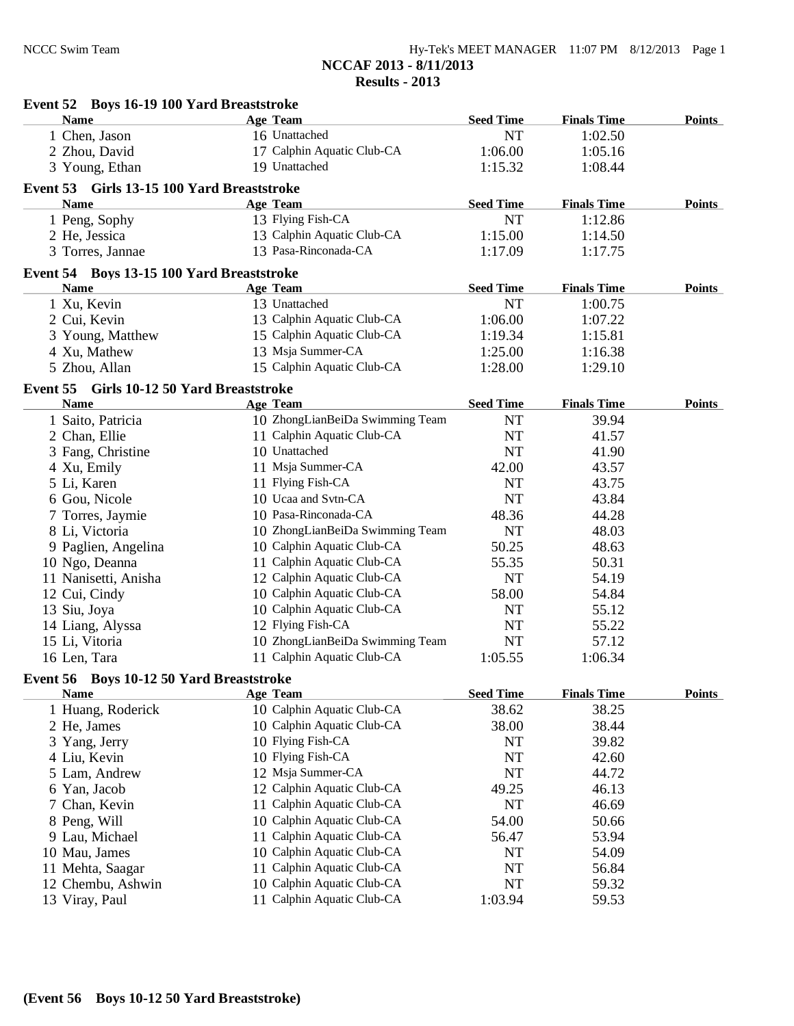| Event 52 Boys 16-19 100 Yard Breaststroke  |                                 |                  |                    |               |
|--------------------------------------------|---------------------------------|------------------|--------------------|---------------|
| <b>Name</b>                                | <b>Age Team</b>                 | <b>Seed Time</b> | <b>Finals Time</b> | <b>Points</b> |
| 1 Chen, Jason                              | 16 Unattached                   | NT               | 1:02.50            |               |
| 2 Zhou, David                              | 17 Calphin Aquatic Club-CA      | 1:06.00          | 1:05.16            |               |
| 3 Young, Ethan                             | 19 Unattached                   | 1:15.32          | 1:08.44            |               |
| Event 53 Girls 13-15 100 Yard Breaststroke |                                 |                  |                    |               |
| <b>Name</b>                                | <b>Age Team</b>                 | <b>Seed Time</b> | <b>Finals Time</b> | Points        |
| 1 Peng, Sophy                              | 13 Flying Fish-CA               | NT               | 1:12.86            |               |
| 2 He, Jessica                              | 13 Calphin Aquatic Club-CA      | 1:15.00          | 1:14.50            |               |
| 3 Torres, Jannae                           | 13 Pasa-Rinconada-CA            | 1:17.09          | 1:17.75            |               |
|                                            |                                 |                  |                    |               |
| Event 54 Boys 13-15 100 Yard Breaststroke  |                                 |                  |                    |               |
| <b>Name</b>                                | <b>Age Team</b>                 | <b>Seed Time</b> | <b>Finals Time</b> | <b>Points</b> |
| 1 Xu, Kevin                                | 13 Unattached                   | NT               | 1:00.75            |               |
| 2 Cui, Kevin                               | 13 Calphin Aquatic Club-CA      | 1:06.00          | 1:07.22            |               |
| 3 Young, Matthew                           | 15 Calphin Aquatic Club-CA      | 1:19.34          | 1:15.81            |               |
| 4 Xu, Mathew                               | 13 Msja Summer-CA               | 1:25.00          | 1:16.38            |               |
| 5 Zhou, Allan                              | 15 Calphin Aquatic Club-CA      | 1:28.00          | 1:29.10            |               |
| Event 55 Girls 10-12 50 Yard Breaststroke  |                                 |                  |                    |               |
| <b>Name</b>                                | <b>Age Team</b>                 | <b>Seed Time</b> | <b>Finals Time</b> | <b>Points</b> |
| 1 Saito, Patricia                          | 10 ZhongLianBeiDa Swimming Team | NT               | 39.94              |               |
| 2 Chan, Ellie                              | 11 Calphin Aquatic Club-CA      | NT               | 41.57              |               |
| 3 Fang, Christine                          | 10 Unattached                   | NT               | 41.90              |               |
| 4 Xu, Emily                                | 11 Msja Summer-CA               | 42.00            | 43.57              |               |
| 5 Li, Karen                                | 11 Flying Fish-CA               | NT               | 43.75              |               |
| 6 Gou, Nicole                              | 10 Ucaa and Svtn-CA             | <b>NT</b>        | 43.84              |               |
| 7 Torres, Jaymie                           | 10 Pasa-Rinconada-CA            | 48.36            | 44.28              |               |
| 8 Li, Victoria                             | 10 ZhongLianBeiDa Swimming Team | NT               | 48.03              |               |
| 9 Paglien, Angelina                        | 10 Calphin Aquatic Club-CA      | 50.25            | 48.63              |               |
| 10 Ngo, Deanna                             | 11 Calphin Aquatic Club-CA      | 55.35            | 50.31              |               |
| 11 Nanisetti, Anisha                       | 12 Calphin Aquatic Club-CA      | NT               | 54.19              |               |
| 12 Cui, Cindy                              | 10 Calphin Aquatic Club-CA      | 58.00            | 54.84              |               |
| 13 Siu, Joya                               | 10 Calphin Aquatic Club-CA      | NT               | 55.12              |               |
| 14 Liang, Alyssa                           | 12 Flying Fish-CA               | <b>NT</b>        | 55.22              |               |
| 15 Li, Vitoria                             | 10 ZhongLianBeiDa Swimming Team | NT               | 57.12              |               |
| 16 Len, Tara                               | 11 Calphin Aquatic Club-CA      | 1:05.55          | 1:06.34            |               |
| Event 56 Boys 10-12 50 Yard Breaststroke   |                                 |                  |                    |               |
| <b>Name</b>                                | <b>Age Team</b>                 | <b>Seed Time</b> | <b>Finals Time</b> | <b>Points</b> |
| 1 Huang, Roderick                          | 10 Calphin Aquatic Club-CA      | 38.62            | 38.25              |               |
| 2 He, James                                | 10 Calphin Aquatic Club-CA      | 38.00            | 38.44              |               |
| 3 Yang, Jerry                              | 10 Flying Fish-CA               | NT               | 39.82              |               |
| 4 Liu, Kevin                               | 10 Flying Fish-CA               | NT               | 42.60              |               |
| 5 Lam, Andrew                              | 12 Msja Summer-CA               | <b>NT</b>        | 44.72              |               |
| 6 Yan, Jacob                               | 12 Calphin Aquatic Club-CA      | 49.25            | 46.13              |               |
| 7 Chan, Kevin                              | 11 Calphin Aquatic Club-CA      | NT               | 46.69              |               |
| 8 Peng, Will                               | 10 Calphin Aquatic Club-CA      | 54.00            | 50.66              |               |
| 9 Lau, Michael                             | 11 Calphin Aquatic Club-CA      | 56.47            | 53.94              |               |
| 10 Mau, James                              | 10 Calphin Aquatic Club-CA      | NT               | 54.09              |               |
| 11 Mehta, Saagar                           | 11 Calphin Aquatic Club-CA      | NT               | 56.84              |               |
| 12 Chembu, Ashwin                          | 10 Calphin Aquatic Club-CA      | NT               | 59.32              |               |
|                                            | 11 Calphin Aquatic Club-CA      | 1:03.94          |                    |               |
| 13 Viray, Paul                             |                                 |                  | 59.53              |               |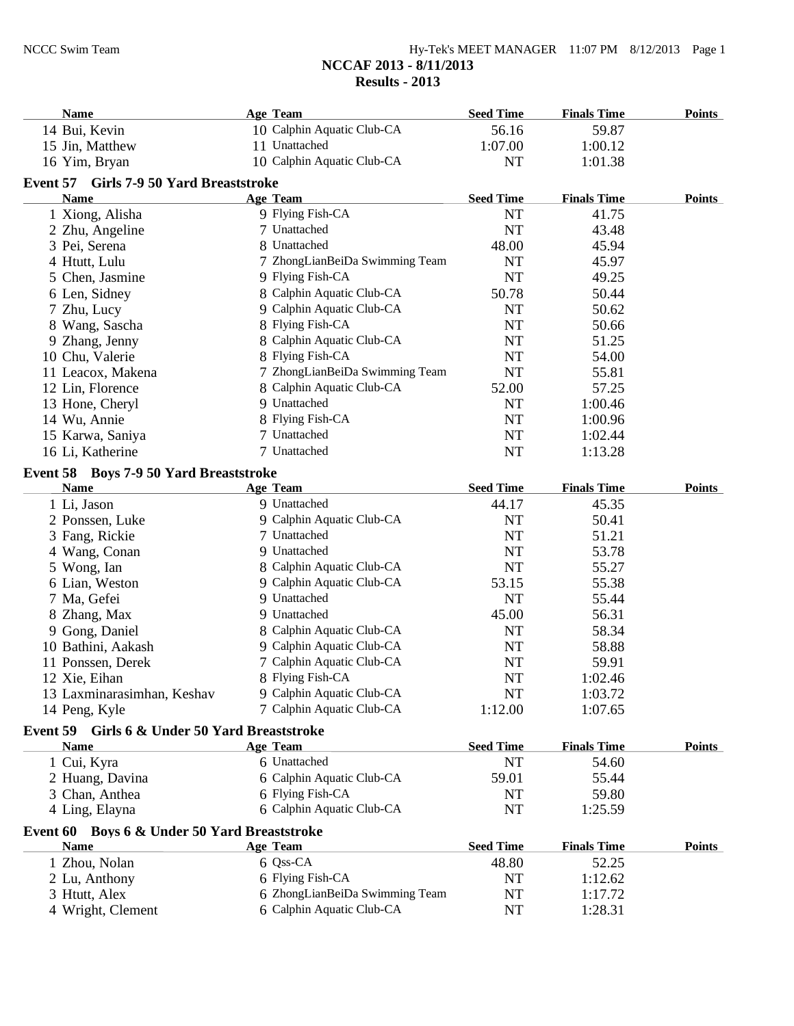#### NCCC Swim Team Hy-Tek's MEET MANAGER 11:07 PM 8/12/2013 Page 1 **NCCAF 2013 - 8/11/2013 Results - 2013**

| <b>Name</b>                                   | <b>Age Team</b>                | <b>Seed Time</b> | <b>Finals Time</b> | <b>Points</b> |
|-----------------------------------------------|--------------------------------|------------------|--------------------|---------------|
| 14 Bui, Kevin                                 | 10 Calphin Aquatic Club-CA     | 56.16            | 59.87              |               |
| 15 Jin, Matthew                               | 11 Unattached                  | 1:07.00          | 1:00.12            |               |
| 16 Yim, Bryan                                 | 10 Calphin Aquatic Club-CA     | <b>NT</b>        | 1:01.38            |               |
| Event 57 Girls 7-9 50 Yard Breaststroke       |                                |                  |                    |               |
| <b>Name</b>                                   | <b>Age Team</b>                | <b>Seed Time</b> | <b>Finals Time</b> | <b>Points</b> |
| 1 Xiong, Alisha                               | 9 Flying Fish-CA               | <b>NT</b>        | 41.75              |               |
| 2 Zhu, Angeline                               | 7 Unattached                   | <b>NT</b>        | 43.48              |               |
| 3 Pei, Serena                                 | 8 Unattached                   | 48.00            | 45.94              |               |
| 4 Htutt, Lulu                                 | 7 ZhongLianBeiDa Swimming Team | <b>NT</b>        | 45.97              |               |
| 5 Chen, Jasmine                               | 9 Flying Fish-CA               | <b>NT</b>        | 49.25              |               |
| 6 Len, Sidney                                 | 8 Calphin Aquatic Club-CA      | 50.78            | 50.44              |               |
|                                               | 9 Calphin Aquatic Club-CA      | <b>NT</b>        | 50.62              |               |
| 7 Zhu, Lucy                                   | 8 Flying Fish-CA               | <b>NT</b>        | 50.66              |               |
| 8 Wang, Sascha                                | 8 Calphin Aquatic Club-CA      | NT               | 51.25              |               |
| 9 Zhang, Jenny                                |                                |                  |                    |               |
| 10 Chu, Valerie                               | 8 Flying Fish-CA               | NT               | 54.00              |               |
| 11 Leacox, Makena                             | 7 ZhongLianBeiDa Swimming Team | NT               | 55.81              |               |
| 12 Lin, Florence                              | 8 Calphin Aquatic Club-CA      | 52.00            | 57.25              |               |
| 13 Hone, Cheryl                               | 9 Unattached                   | NT               | 1:00.46            |               |
| 14 Wu, Annie                                  | 8 Flying Fish-CA               | NT               | 1:00.96            |               |
| 15 Karwa, Saniya                              | 7 Unattached                   | NT               | 1:02.44            |               |
| 16 Li, Katherine                              | 7 Unattached                   | <b>NT</b>        | 1:13.28            |               |
| Event 58 Boys 7-9 50 Yard Breaststroke        |                                |                  |                    |               |
| <b>Name</b>                                   | Age Team                       | <b>Seed Time</b> | <b>Finals Time</b> | <b>Points</b> |
| 1 Li, Jason                                   | 9 Unattached                   | 44.17            | 45.35              |               |
| 2 Ponssen, Luke                               | 9 Calphin Aquatic Club-CA      | NT               | 50.41              |               |
| 3 Fang, Rickie                                | 7 Unattached                   | <b>NT</b>        | 51.21              |               |
| 4 Wang, Conan                                 | 9 Unattached                   | NT               | 53.78              |               |
| 5 Wong, Ian                                   | 8 Calphin Aquatic Club-CA      | <b>NT</b>        | 55.27              |               |
| 6 Lian, Weston                                | 9 Calphin Aquatic Club-CA      | 53.15            | 55.38              |               |
| 7 Ma, Gefei                                   | 9 Unattached                   | NT               | 55.44              |               |
| 8 Zhang, Max                                  | 9 Unattached                   | 45.00            | 56.31              |               |
| 9 Gong, Daniel                                | 8 Calphin Aquatic Club-CA      | NT               | 58.34              |               |
| 10 Bathini, Aakash                            | 9 Calphin Aquatic Club-CA      | <b>NT</b>        | 58.88              |               |
| 11 Ponssen, Derek                             | 7 Calphin Aquatic Club-CA      | NT               | 59.91              |               |
| 12 Xie, Eihan                                 | 8 Flying Fish-CA               | NT               | 1:02.46            |               |
| 13 Laxminarasimhan, Keshav                    | 9 Calphin Aquatic Club-CA      | NT               | 1:03.72            |               |
| 14 Peng, Kyle                                 | 7 Calphin Aquatic Club-CA      | 1:12.00          | 1:07.65            |               |
|                                               |                                |                  |                    |               |
| Event 59 Girls 6 & Under 50 Yard Breaststroke |                                |                  |                    |               |
| <b>Name</b>                                   | <b>Age Team</b>                | <b>Seed Time</b> | <b>Finals Time</b> | <b>Points</b> |
| 1 Cui, Kyra                                   | 6 Unattached                   | <b>NT</b>        | 54.60              |               |
| 2 Huang, Davina                               | 6 Calphin Aquatic Club-CA      | 59.01            | 55.44              |               |
| 3 Chan, Anthea                                | 6 Flying Fish-CA               | NT               | 59.80              |               |
| 4 Ling, Elayna                                | 6 Calphin Aquatic Club-CA      | NT               | 1:25.59            |               |
| Event 60 Boys 6 & Under 50 Yard Breaststroke  |                                |                  |                    |               |
| <b>Name</b>                                   | <b>Age Team</b>                | <b>Seed Time</b> | <b>Finals Time</b> | Points        |
| 1 Zhou, Nolan                                 | 6 Qss-CA                       | 48.80            | 52.25              |               |
| 2 Lu, Anthony                                 | 6 Flying Fish-CA               | NT               | 1:12.62            |               |
| 3 Htutt, Alex                                 | 6 ZhongLianBeiDa Swimming Team | NT               | 1:17.72            |               |
| 4 Wright, Clement                             | 6 Calphin Aquatic Club-CA      | NT               | 1:28.31            |               |
|                                               |                                |                  |                    |               |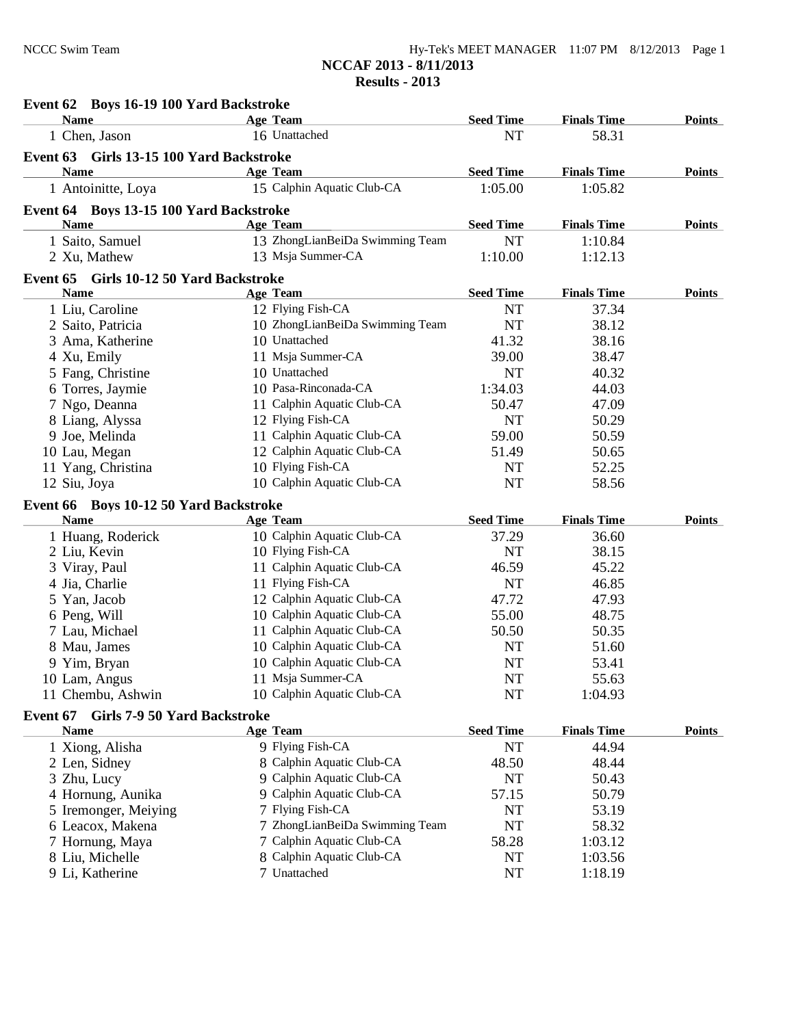| Hy-Tek's MEET MANAGER 11:07 PM 8/12/2013 Page 1 |  |  |
|-------------------------------------------------|--|--|
| NCCAF 2013 - 8/11/2013                          |  |  |
| <b>Results - 2013</b>                           |  |  |

| Event 62 Boys 16-19 100 Yard Backstroke         |                                 |                  |                    |               |
|-------------------------------------------------|---------------------------------|------------------|--------------------|---------------|
| <b>Name</b>                                     | <b>Age Team</b>                 | <b>Seed Time</b> | <b>Finals Time</b> | <b>Points</b> |
| 1 Chen, Jason                                   | 16 Unattached                   | <b>NT</b>        | 58.31              |               |
| Event 63 Girls 13-15 100 Yard Backstroke        |                                 |                  |                    |               |
| Name                                            | <b>Age Team</b>                 | <b>Seed Time</b> | <b>Finals Time</b> | Points        |
| 1 Antoinitte, Loya                              | 15 Calphin Aquatic Club-CA      | 1:05.00          | 1:05.82            |               |
| Event 64 Boys 13-15 100 Yard Backstroke         |                                 |                  |                    |               |
| Name                                            | <b>Age Team</b>                 | <b>Seed Time</b> | <b>Finals Time</b> | <b>Points</b> |
| 1 Saito, Samuel                                 | 13 ZhongLianBeiDa Swimming Team | <b>NT</b>        | 1:10.84            |               |
| 2 Xu, Mathew                                    | 13 Msja Summer-CA               | 1:10.00          | 1:12.13            |               |
| Event 65 Girls 10-12 50 Yard Backstroke         |                                 |                  |                    |               |
| <b>Name</b>                                     | <b>Age Team</b>                 | <b>Seed Time</b> | <b>Finals Time</b> | <b>Points</b> |
| 1 Liu, Caroline                                 | 12 Flying Fish-CA               | <b>NT</b>        | 37.34              |               |
| 2 Saito, Patricia                               | 10 ZhongLianBeiDa Swimming Team | <b>NT</b>        | 38.12              |               |
| 3 Ama, Katherine                                | 10 Unattached                   | 41.32            | 38.16              |               |
| 4 Xu, Emily                                     | 11 Msja Summer-CA               | 39.00            | 38.47              |               |
| 5 Fang, Christine                               | 10 Unattached                   | <b>NT</b>        | 40.32              |               |
| 6 Torres, Jaymie                                | 10 Pasa-Rinconada-CA            | 1:34.03          | 44.03              |               |
| 7 Ngo, Deanna                                   | 11 Calphin Aquatic Club-CA      | 50.47            | 47.09              |               |
| 8 Liang, Alyssa                                 | 12 Flying Fish-CA               | <b>NT</b>        | 50.29              |               |
| 9 Joe, Melinda                                  | 11 Calphin Aquatic Club-CA      | 59.00            | 50.59              |               |
| 10 Lau, Megan                                   | 12 Calphin Aquatic Club-CA      | 51.49            | 50.65              |               |
| 11 Yang, Christina                              | 10 Flying Fish-CA               | <b>NT</b>        | 52.25              |               |
| 12 Siu, Joya                                    | 10 Calphin Aquatic Club-CA      | <b>NT</b>        | 58.56              |               |
| Event 66 Boys 10-12 50 Yard Backstroke          |                                 |                  |                    |               |
| <b>Name</b>                                     | <b>Age Team</b>                 | <b>Seed Time</b> | <b>Finals Time</b> | <b>Points</b> |
| 1 Huang, Roderick                               | 10 Calphin Aquatic Club-CA      | 37.29            | 36.60              |               |
| 2 Liu, Kevin                                    | 10 Flying Fish-CA               | <b>NT</b>        | 38.15              |               |
| 3 Viray, Paul                                   | 11 Calphin Aquatic Club-CA      | 46.59            | 45.22              |               |
| 4 Jia, Charlie                                  | 11 Flying Fish-CA               | <b>NT</b>        | 46.85              |               |
| 5 Yan, Jacob                                    | 12 Calphin Aquatic Club-CA      | 47.72            | 47.93              |               |
| 6 Peng, Will                                    | 10 Calphin Aquatic Club-CA      | 55.00            | 48.75              |               |
| 7 Lau, Michael                                  | 11 Calphin Aquatic Club-CA      | 50.50            | 50.35              |               |
| 8 Mau, James                                    | 10 Calphin Aquatic Club-CA      | <b>NT</b>        | 51.60              |               |
| 9 Yim, Bryan                                    | 10 Calphin Aquatic Club-CA      | NT               | 53.41              |               |
| 10 Lam, Angus                                   | 11 Msja Summer-CA               | NT               | 55.63              |               |
| 11 Chembu, Ashwin                               | 10 Calphin Aquatic Club-CA      | <b>NT</b>        | 1:04.93            |               |
| <b>Girls 7-9 50 Yard Backstroke</b><br>Event 67 |                                 |                  |                    |               |
| <b>Name</b>                                     | <b>Age Team</b>                 | <b>Seed Time</b> | <b>Finals Time</b> | <b>Points</b> |
| 1 Xiong, Alisha                                 | 9 Flying Fish-CA                | <b>NT</b>        | 44.94              |               |
| 2 Len, Sidney                                   | 8 Calphin Aquatic Club-CA       | 48.50            | 48.44              |               |
| 3 Zhu, Lucy                                     | 9 Calphin Aquatic Club-CA       | <b>NT</b>        | 50.43              |               |
| 4 Hornung, Aunika                               | 9 Calphin Aquatic Club-CA       | 57.15            | 50.79              |               |
| 5 Iremonger, Meiying                            | 7 Flying Fish-CA                | <b>NT</b>        | 53.19              |               |
| 6 Leacox, Makena                                | 7 ZhongLianBeiDa Swimming Team  | NT               | 58.32              |               |
| 7 Hornung, Maya                                 | 7 Calphin Aquatic Club-CA       | 58.28            | 1:03.12            |               |
| 8 Liu, Michelle                                 | 8 Calphin Aquatic Club-CA       | <b>NT</b>        | 1:03.56            |               |
| 9 Li, Katherine                                 | 7 Unattached                    | NT               | 1:18.19            |               |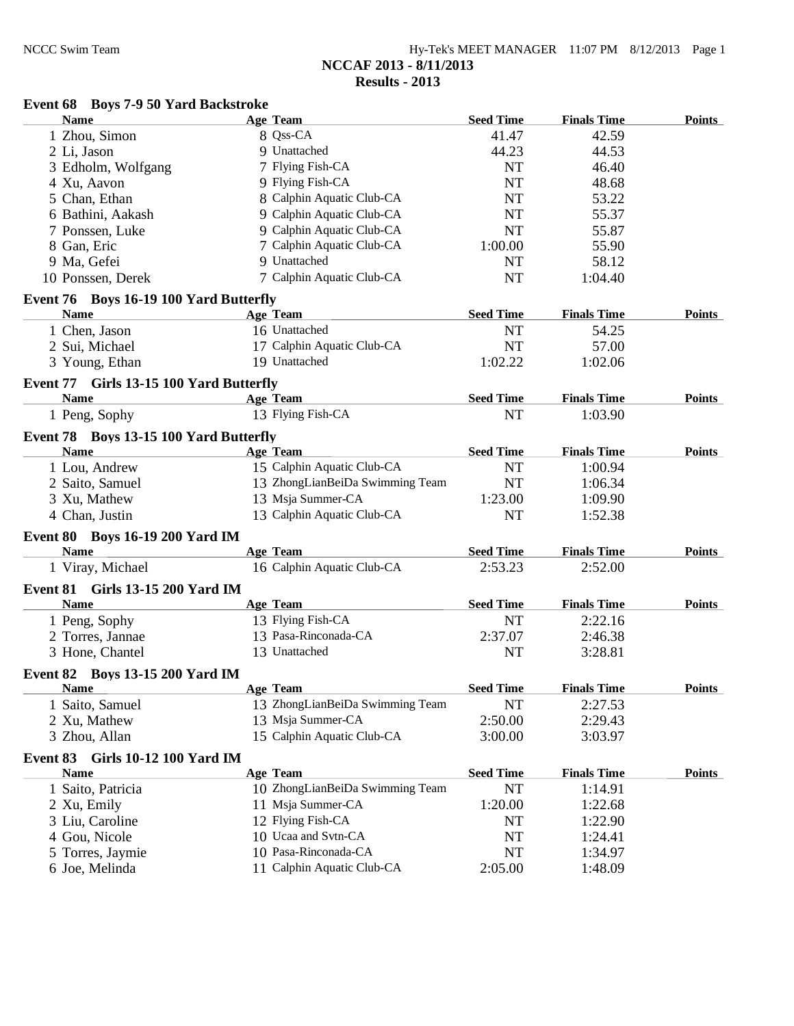| Hy-Tek's MEET MANAGER $11:07$ PM $8/12/2013$ Page 1 |  |  |
|-----------------------------------------------------|--|--|
| NCCAF 2013 - 8/11/2013                              |  |  |
| Results - 2013                                      |  |  |

## **Event 68 Boys 7-9 50 Yard Backstroke**

| <b>Name</b>                             | <b>Age Team</b>                 | <b>Seed Time</b> | <b>Finals Time</b> | <b>Points</b> |
|-----------------------------------------|---------------------------------|------------------|--------------------|---------------|
| 1 Zhou, Simon                           | 8 Qss-CA                        | 41.47            | 42.59              |               |
| 2 Li, Jason                             | 9 Unattached                    | 44.23            | 44.53              |               |
| 3 Edholm, Wolfgang                      | 7 Flying Fish-CA                | NT               | 46.40              |               |
| 4 Xu, Aavon                             | 9 Flying Fish-CA                | <b>NT</b>        | 48.68              |               |
| 5 Chan, Ethan                           | 8 Calphin Aquatic Club-CA       | NT               | 53.22              |               |
| 6 Bathini, Aakash                       | 9 Calphin Aquatic Club-CA       | NT               | 55.37              |               |
| 7 Ponssen, Luke                         | 9 Calphin Aquatic Club-CA       | NT               | 55.87              |               |
| 8 Gan, Eric                             | 7 Calphin Aquatic Club-CA       | 1:00.00          | 55.90              |               |
| 9 Ma, Gefei                             | 9 Unattached                    | NT               | 58.12              |               |
| 10 Ponssen, Derek                       | 7 Calphin Aquatic Club-CA       | NT               | 1:04.40            |               |
| Event 76 Boys 16-19 100 Yard Butterfly  |                                 |                  |                    |               |
| <b>Name</b>                             | <b>Age Team</b>                 | <b>Seed Time</b> | <b>Finals Time</b> | <b>Points</b> |
| 1 Chen, Jason                           | 16 Unattached                   | NT               | 54.25              |               |
| 2 Sui, Michael                          | 17 Calphin Aquatic Club-CA      | NT               | 57.00              |               |
| 3 Young, Ethan                          | 19 Unattached                   | 1:02.22          | 1:02.06            |               |
|                                         |                                 |                  |                    |               |
| Event 77 Girls 13-15 100 Yard Butterfly |                                 |                  |                    |               |
| <b>Name</b>                             | Age Team                        | <b>Seed Time</b> | <b>Finals Time</b> | <b>Points</b> |
| 1 Peng, Sophy                           | 13 Flying Fish-CA               | <b>NT</b>        | 1:03.90            |               |
| Event 78 Boys 13-15 100 Yard Butterfly  |                                 |                  |                    |               |
| <b>Name</b>                             | Age Team                        | <b>Seed Time</b> | <b>Finals Time</b> | <b>Points</b> |
| 1 Lou, Andrew                           | 15 Calphin Aquatic Club-CA      | NT               | 1:00.94            |               |
| 2 Saito, Samuel                         | 13 ZhongLianBeiDa Swimming Team | NT               | 1:06.34            |               |
| 3 Xu, Mathew                            | 13 Msja Summer-CA               | 1:23.00          | 1:09.90            |               |
| 4 Chan, Justin                          | 13 Calphin Aquatic Club-CA      | <b>NT</b>        | 1:52.38            |               |
| <b>Event 80 Boys 16-19 200 Yard IM</b>  |                                 |                  |                    |               |
| <b>Name</b>                             | <b>Age Team</b>                 | <b>Seed Time</b> | <b>Finals Time</b> | <b>Points</b> |
| 1 Viray, Michael                        | 16 Calphin Aquatic Club-CA      | 2:53.23          | 2:52.00            |               |
| Event 81 Girls 13-15 200 Yard IM        |                                 |                  |                    |               |
| Name                                    | <b>Age Team</b>                 | <b>Seed Time</b> | <b>Finals Time</b> | <b>Points</b> |
| 1 Peng, Sophy                           | 13 Flying Fish-CA               | NT               | 2:22.16            |               |
| 2 Torres, Jannae                        | 13 Pasa-Rinconada-CA            | 2:37.07          |                    |               |
|                                         | 13 Unattached                   | <b>NT</b>        | 2:46.38<br>3:28.81 |               |
| 3 Hone, Chantel                         |                                 |                  |                    |               |
| Event 82 Boys 13-15 200 Yard IM         |                                 |                  |                    |               |
| Name                                    | <b>Age Team</b>                 | <b>Seed Time</b> | <b>Finals Time</b> | <b>Points</b> |
| 1 Saito, Samuel                         | 13 ZhongLianBeiDa Swimming Team | NT               | 2:27.53            |               |
| 2 Xu, Mathew                            | 13 Msja Summer-CA               | 2:50.00          | 2:29.43            |               |
| 3 Zhou, Allan                           | 15 Calphin Aquatic Club-CA      | 3:00.00          | 3:03.97            |               |
| Girls 10-12 100 Yard IM<br>Event 83     |                                 |                  |                    |               |
| <u>Name</u>                             | <b>Age Team</b>                 | <b>Seed Time</b> | <b>Finals Time</b> | <b>Points</b> |
| 1 Saito, Patricia                       | 10 ZhongLianBeiDa Swimming Team | NT               | 1:14.91            |               |
| 2 Xu, Emily                             | 11 Msja Summer-CA               | 1:20.00          | 1:22.68            |               |
| 3 Liu, Caroline                         | 12 Flying Fish-CA               | NT               | 1:22.90            |               |
| 4 Gou, Nicole                           | 10 Ucaa and Svtn-CA             | NT               | 1:24.41            |               |
| 5 Torres, Jaymie                        | 10 Pasa-Rinconada-CA            | <b>NT</b>        | 1:34.97            |               |
| 6 Joe, Melinda                          | 11 Calphin Aquatic Club-CA      | 2:05.00          | 1:48.09            |               |
|                                         |                                 |                  |                    |               |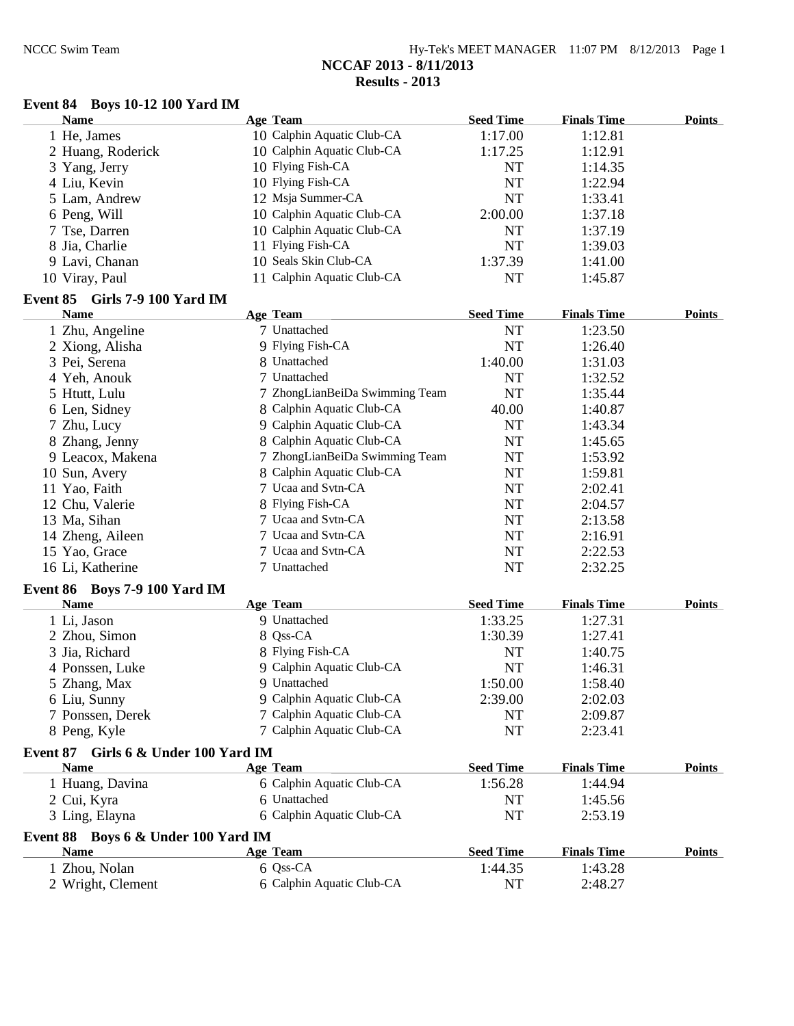## **Event 84 Boys 10-12 100 Yard IM**

| <b>Name</b>       | Age Team                   | <b>Seed Time</b> | <b>Finals Time</b> | <b>Points</b> |
|-------------------|----------------------------|------------------|--------------------|---------------|
| 1 He, James       | 10 Calphin Aquatic Club-CA | 1:17.00          | 1:12.81            |               |
| 2 Huang, Roderick | 10 Calphin Aquatic Club-CA | 1:17.25          | 1:12.91            |               |
| 3 Yang, Jerry     | 10 Flying Fish-CA          | <b>NT</b>        | 1:14.35            |               |
| 4 Liu, Kevin      | 10 Flying Fish-CA          | NT               | 1:22.94            |               |
| 5 Lam, Andrew     | 12 Msja Summer-CA          | <b>NT</b>        | 1:33.41            |               |
| 6 Peng, Will      | 10 Calphin Aquatic Club-CA | 2:00.00          | 1:37.18            |               |
| 7 Tse, Darren     | 10 Calphin Aquatic Club-CA | NT               | 1:37.19            |               |
| 8 Jia, Charlie    | 11 Flying Fish-CA          | <b>NT</b>        | 1:39.03            |               |
| 9 Lavi, Chanan    | 10 Seals Skin Club-CA      | 1:37.39          | 1:41.00            |               |
| 10 Viray, Paul    | 11 Calphin Aquatic Club-CA | NT               | 1:45.87            |               |
|                   |                            |                  |                    |               |

## **Event 85 Girls 7-9 100 Yard IM**

| <b>Name</b>      | <b>Age Team</b>                | <b>Seed Time</b> | <b>Finals Time</b> | <b>Points</b> |
|------------------|--------------------------------|------------------|--------------------|---------------|
| 1 Zhu, Angeline  | 7 Unattached                   | <b>NT</b>        | 1:23.50            |               |
| 2 Xiong, Alisha  | 9 Flying Fish-CA               | NT               | 1:26.40            |               |
| 3 Pei, Serena    | 8 Unattached                   | 1:40.00          | 1:31.03            |               |
| 4 Yeh, Anouk     | 7 Unattached                   | NT               | 1:32.52            |               |
| 5 Htutt, Lulu    | 7 ZhongLianBeiDa Swimming Team | NT               | 1:35.44            |               |
| 6 Len, Sidney    | 8 Calphin Aquatic Club-CA      | 40.00            | 1:40.87            |               |
| 7 Zhu, Lucy      | 9 Calphin Aquatic Club-CA      | <b>NT</b>        | 1:43.34            |               |
| 8 Zhang, Jenny   | 8 Calphin Aquatic Club-CA      | <b>NT</b>        | 1:45.65            |               |
| 9 Leacox, Makena | 7 ZhongLianBeiDa Swimming Team | NT               | 1:53.92            |               |
| 10 Sun, Avery    | 8 Calphin Aquatic Club-CA      | NT               | 1:59.81            |               |
| 11 Yao, Faith    | 7 Ucaa and Svtn-CA             | NT               | 2:02.41            |               |
| 12 Chu, Valerie  | 8 Flying Fish-CA               | NT               | 2:04.57            |               |
| 13 Ma, Sihan     | 7 Ucaa and Svtn-CA             | <b>NT</b>        | 2:13.58            |               |
| 14 Zheng, Aileen | 7 Ucaa and Svtn-CA             | NT               | 2:16.91            |               |
| 15 Yao, Grace    | 7 Ucaa and Svtn-CA             | <b>NT</b>        | 2:22.53            |               |
| 16 Li, Katherine | 7 Unattached                   | <b>NT</b>        | 2:32.25            |               |

## **Event 86 Boys 7-9 100 Yard IM**

| <b>Name</b>                          | <b>Age Team</b>           | <b>Seed Time</b> | <b>Finals Time</b> | <b>Points</b> |
|--------------------------------------|---------------------------|------------------|--------------------|---------------|
| 1 Li, Jason                          | 9 Unattached              | 1:33.25          | 1:27.31            |               |
| 2 Zhou, Simon                        | 8 Qss-CA                  | 1:30.39          | 1:27.41            |               |
| 3 Jia, Richard                       | 8 Flying Fish-CA          | NT               | 1:40.75            |               |
| 4 Ponssen, Luke                      | 9 Calphin Aquatic Club-CA | NT               | 1:46.31            |               |
| 5 Zhang, Max                         | 9 Unattached              | 1:50.00          | 1:58.40            |               |
| 6 Liu, Sunny                         | 9 Calphin Aquatic Club-CA | 2:39.00          | 2:02.03            |               |
| 7 Ponssen, Derek                     | 7 Calphin Aquatic Club-CA | NT               | 2:09.87            |               |
| 8 Peng, Kyle                         | 7 Calphin Aquatic Club-CA | NT               | 2:23.41            |               |
| Event 87 Girls 6 & Under 100 Yard IM |                           |                  |                    |               |
| <b>Name</b>                          | Age Team                  | <b>Seed Time</b> | <b>Finals Time</b> | <b>Points</b> |
| 1 Huang, Davina                      | 6 Calphin Aquatic Club-CA | 1:56.28          | 1:44.94            |               |
| 2 Cui, Kyra                          | 6 Unattached              | NT               | 1:45.56            |               |
| 3 Ling, Elayna                       | 6 Calphin Aquatic Club-CA | NT               | 2:53.19            |               |
| Event 88 Boys 6 & Under 100 Yard IM  |                           |                  |                    |               |
|                                      |                           | $\alpha$ are     | $\mathbf{r}$       |               |

| Name                               | Age Team                                | <b>Seed Time</b> | <b>Finals Time</b> | <b>Points</b> |
|------------------------------------|-----------------------------------------|------------------|--------------------|---------------|
| l Zhou, Nolan<br>2 Wright, Clement | $6$ Oss-CA<br>6 Calphin Aquatic Club-CA | 1:44.35<br>NT    | 1:43.28<br>2:48.27 |               |
|                                    |                                         |                  |                    |               |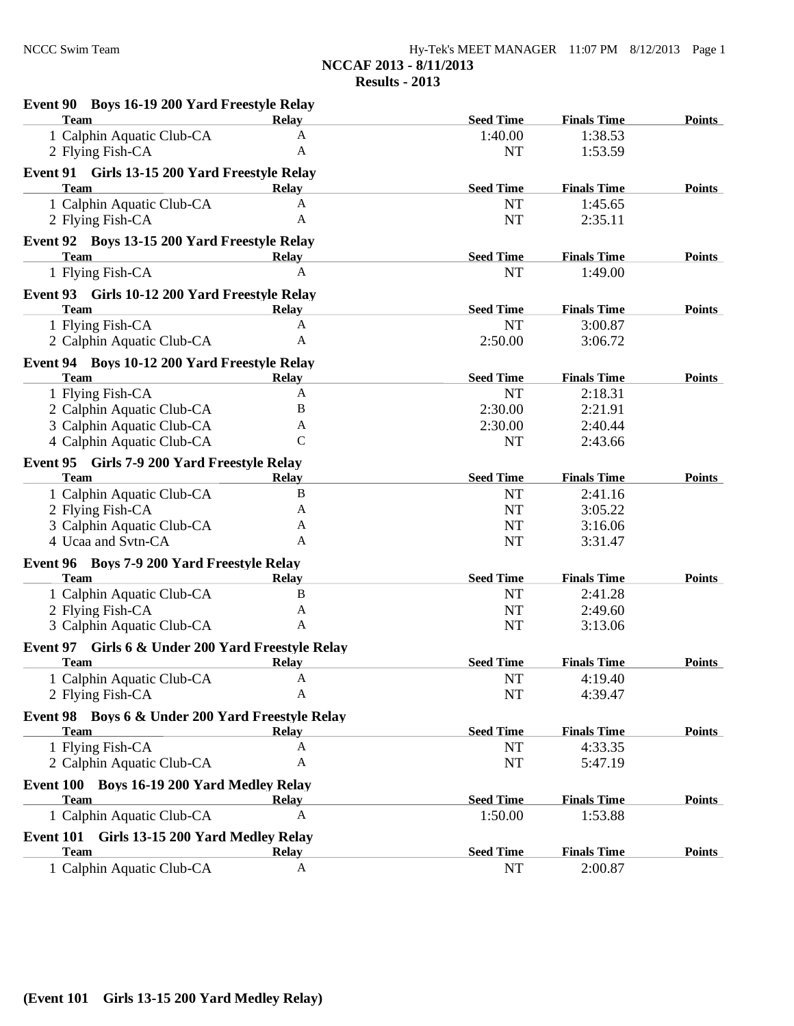| Event 90 Boys 16-19 200 Yard Freestyle Relay                 |               |                  |                    |               |
|--------------------------------------------------------------|---------------|------------------|--------------------|---------------|
| <b>Team</b>                                                  | <b>Relay</b>  | <b>Seed Time</b> | <b>Finals Time</b> | Points        |
| 1 Calphin Aquatic Club-CA                                    | A             | 1:40.00          | 1:38.53            |               |
| 2 Flying Fish-CA                                             | A             | NT               | 1:53.59            |               |
| Event 91 Girls 13-15 200 Yard Freestyle Relay                |               |                  |                    |               |
| <b>Team</b>                                                  | <b>Relay</b>  | <b>Seed Time</b> | <b>Finals Time</b> | <b>Points</b> |
| 1 Calphin Aquatic Club-CA                                    | $\mathbf{A}$  | <b>NT</b>        | 1:45.65            |               |
| 2 Flying Fish-CA                                             | A             | <b>NT</b>        | 2:35.11            |               |
| Event 92 Boys 13-15 200 Yard Freestyle Relay                 |               |                  |                    |               |
| <b>Team</b>                                                  | <b>Relay</b>  | <b>Seed Time</b> | <b>Finals Time</b> | <b>Points</b> |
| 1 Flying Fish-CA                                             | $\mathbf{A}$  | <b>NT</b>        | 1:49.00            |               |
|                                                              |               |                  |                    |               |
| Event 93 Girls 10-12 200 Yard Freestyle Relay<br><b>Team</b> | <b>Relay</b>  | <b>Seed Time</b> | <b>Finals Time</b> | <b>Points</b> |
| 1 Flying Fish-CA                                             | $\mathbf{A}$  | <b>NT</b>        | 3:00.87            |               |
| 2 Calphin Aquatic Club-CA                                    | Α             | 2:50.00          | 3:06.72            |               |
|                                                              |               |                  |                    |               |
| Event 94 Boys 10-12 200 Yard Freestyle Relay                 |               |                  |                    |               |
| <b>Team</b>                                                  | <b>Relay</b>  | <b>Seed Time</b> | <b>Finals Time</b> | <b>Points</b> |
| 1 Flying Fish-CA                                             | A             | NT               | 2:18.31            |               |
| 2 Calphin Aquatic Club-CA                                    | B             | 2:30.00          | 2:21.91            |               |
| 3 Calphin Aquatic Club-CA                                    | A             | 2:30.00          | 2:40.44            |               |
| 4 Calphin Aquatic Club-CA                                    | $\mathcal{C}$ | <b>NT</b>        | 2:43.66            |               |
| Event 95 Girls 7-9 200 Yard Freestyle Relay                  |               |                  |                    |               |
| <b>Team</b>                                                  | <b>Relay</b>  | <b>Seed Time</b> | <b>Finals Time</b> | <b>Points</b> |
| 1 Calphin Aquatic Club-CA                                    | B             | <b>NT</b>        | 2:41.16            |               |
| 2 Flying Fish-CA                                             | А             | <b>NT</b>        | 3:05.22            |               |
| 3 Calphin Aquatic Club-CA                                    | A             | <b>NT</b>        | 3:16.06            |               |
| 4 Ucaa and Svtn-CA                                           | A             | <b>NT</b>        | 3:31.47            |               |
| Event 96 Boys 7-9 200 Yard Freestyle Relay                   |               |                  |                    |               |
| <b>Team</b>                                                  | <b>Relay</b>  | <b>Seed Time</b> | <b>Finals Time</b> | <b>Points</b> |
| 1 Calphin Aquatic Club-CA                                    | B             | NT               | 2:41.28            |               |
| 2 Flying Fish-CA                                             | A             | <b>NT</b>        | 2:49.60            |               |
| 3 Calphin Aquatic Club-CA                                    | Α             | <b>NT</b>        | 3:13.06            |               |
| Event 97 Girls 6 & Under 200 Yard Freestyle Relay            |               |                  |                    |               |
| <b>Team</b>                                                  | <b>Relay</b>  | <b>Seed Time</b> | <b>Finals Time</b> | Points        |
| 1 Calphin Aquatic Club-CA                                    | A             | <b>NT</b>        | 4:19.40            |               |
| 2 Flying Fish-CA                                             | Α             | <b>NT</b>        | 4:39.47            |               |
|                                                              |               |                  |                    |               |
| Event 98 Boys 6 & Under 200 Yard Freestyle Relay             |               |                  |                    |               |
| <b>Team</b>                                                  | <b>Relay</b>  | <b>Seed Time</b> | <b>Finals Time</b> | <b>Points</b> |
| 1 Flying Fish-CA                                             | A             | <b>NT</b>        | 4:33.35            |               |
| 2 Calphin Aquatic Club-CA                                    | A             | <b>NT</b>        | 5:47.19            |               |
| Event 100 Boys 16-19 200 Yard Medley Relay                   |               |                  |                    |               |
| <b>Team</b>                                                  | <b>Relay</b>  | <b>Seed Time</b> | <b>Finals Time</b> | <b>Points</b> |
| 1 Calphin Aquatic Club-CA                                    | A             | 1:50.00          | 1:53.88            |               |
| Event 101<br>Girls 13-15 200 Yard Medley Relay               |               |                  |                    |               |
| <b>Team</b>                                                  | <b>Relay</b>  | <b>Seed Time</b> | <b>Finals Time</b> | <b>Points</b> |
| 1 Calphin Aquatic Club-CA                                    | A             | <b>NT</b>        | 2:00.87            |               |
|                                                              |               |                  |                    |               |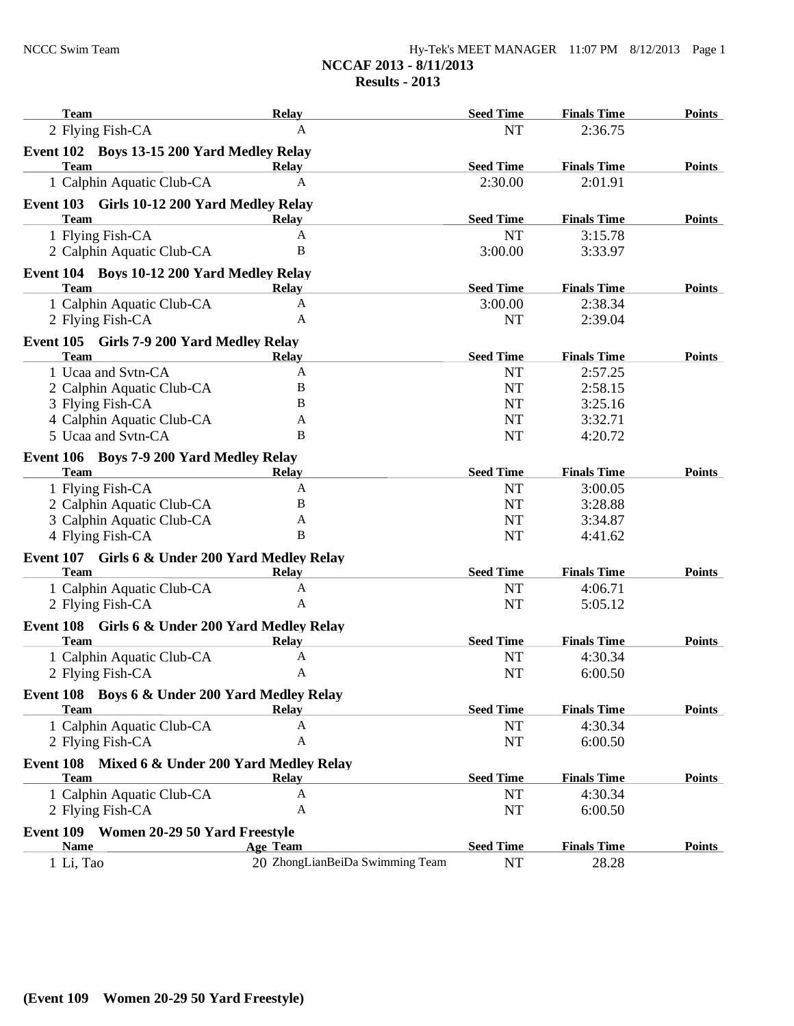| Hy-Tek's MEET MANAGER $11:07$ PM $8/12/2013$ Page 1 |  |  |
|-----------------------------------------------------|--|--|
| NCCAF 2013 - 8/11/2013                              |  |  |
| Results $-2013$                                     |  |  |

| <b>Team</b>                                                       | <b>Relay</b>                                       | <b>Seed Time</b> | <b>Finals Time</b> | <b>Points</b> |
|-------------------------------------------------------------------|----------------------------------------------------|------------------|--------------------|---------------|
| 2 Flying Fish-CA                                                  | A                                                  | <b>NT</b>        | 2:36.75            |               |
| Event 102 Boys 13-15 200 Yard Medley Relay                        |                                                    |                  |                    |               |
| <b>Team</b>                                                       | <b>Relay</b>                                       | <b>Seed Time</b> | <b>Finals Time</b> | <b>Points</b> |
| 1 Calphin Aquatic Club-CA                                         | $\mathbf{A}$                                       | 2:30.00          | 2:01.91            |               |
| Event 103 Girls 10-12 200 Yard Medley Relay                       |                                                    |                  |                    |               |
| <b>Team</b>                                                       | <b>Relay</b>                                       | <b>Seed Time</b> | <b>Finals Time</b> | <b>Points</b> |
| 1 Flying Fish-CA                                                  | A                                                  | <b>NT</b>        | 3:15.78            |               |
| 2 Calphin Aquatic Club-CA                                         | B                                                  | 3:00.00          | 3:33.97            |               |
| Event 104 Boys 10-12 200 Yard Medley Relay                        |                                                    |                  |                    |               |
| <b>Team</b>                                                       | <b>Relay</b>                                       | <b>Seed Time</b> | <b>Finals Time</b> | <b>Points</b> |
| 1 Calphin Aquatic Club-CA                                         | $\mathbf{A}$                                       | 3:00.00          | 2:38.34            |               |
| 2 Flying Fish-CA                                                  | A                                                  | NT               | 2:39.04            |               |
| Event 105 Girls 7-9 200 Yard Medley Relay                         |                                                    |                  |                    |               |
| <b>Team</b>                                                       | <b>Relay</b>                                       | <b>Seed Time</b> | <b>Finals Time</b> | <b>Points</b> |
| 1 Ucaa and Svtn-CA                                                | A                                                  | NT               | 2:57.25            |               |
| 2 Calphin Aquatic Club-CA                                         | B                                                  | NT               | 2:58.15            |               |
| 3 Flying Fish-CA                                                  | B                                                  | NT               | 3:25.16            |               |
| 4 Calphin Aquatic Club-CA                                         | A                                                  | NT               | 3:32.71            |               |
| 5 Ucaa and Svtn-CA                                                | B                                                  | NT               | 4:20.72            |               |
| Event 106 Boys 7-9 200 Yard Medley Relay                          |                                                    |                  |                    |               |
| <b>Team</b>                                                       | <b>Relay</b>                                       | <b>Seed Time</b> | <b>Finals Time</b> | <b>Points</b> |
| 1 Flying Fish-CA                                                  | A                                                  | NT               | 3:00.05            |               |
| 2 Calphin Aquatic Club-CA                                         | B                                                  | <b>NT</b>        | 3:28.88            |               |
| 3 Calphin Aquatic Club-CA                                         | A                                                  | NT               | 3:34.87            |               |
| 4 Flying Fish-CA                                                  | B                                                  | NT               | 4:41.62            |               |
| Event 107 Girls 6 & Under 200 Yard Medley Relay                   |                                                    |                  |                    |               |
| Team                                                              | <b>Relay</b>                                       | <b>Seed Time</b> | <b>Finals Time</b> | <b>Points</b> |
| 1 Calphin Aquatic Club-CA                                         | A                                                  | NT               | 4:06.71            |               |
| 2 Flying Fish-CA                                                  | A                                                  | <b>NT</b>        | 5:05.12            |               |
| Event 108<br>Girls 6 & Under 200 Yard Medley Relay                |                                                    |                  |                    |               |
| <b>Team</b>                                                       | <b>Relay</b>                                       | <b>Seed Time</b> | <b>Finals Time</b> | <b>Points</b> |
| 1 Calphin Aquatic Club-CA                                         | A                                                  | NT               | 4:30.34            |               |
| 2 Flying Fish-CA                                                  | A                                                  | <b>NT</b>        | 6:00.50            |               |
| Event 108 Boys 6 & Under 200 Yard Medley Relay                    |                                                    |                  |                    |               |
| <b>Team</b>                                                       | <b>Relay</b>                                       | <b>Seed Time</b> | <b>Finals Time</b> | <b>Points</b> |
| 1 Calphin Aquatic Club-CA                                         | A                                                  | NT               | 4:30.34            |               |
| 2 Flying Fish-CA                                                  | A                                                  | NT               | 6:00.50            |               |
|                                                                   |                                                    |                  |                    |               |
| Event 108<br>Mixed 6 & Under 200 Yard Medley Relay<br><b>Team</b> | <b>Relay</b>                                       | <b>Seed Time</b> | <b>Finals Time</b> | <b>Points</b> |
| 1 Calphin Aquatic Club-CA                                         | A                                                  | NT               | 4:30.34            |               |
| 2 Flying Fish-CA                                                  | A                                                  | NT               | 6:00.50            |               |
|                                                                   |                                                    |                  |                    |               |
| Event 109<br>Women 20-29 50 Yard Freestyle<br><b>Name</b>         |                                                    |                  |                    |               |
|                                                                   | <b>Age Team</b><br>20 ZhongLianBeiDa Swimming Team | <b>Seed Time</b> | <b>Finals Time</b> | <b>Points</b> |
| 1 Li, Tao                                                         |                                                    | NT               | 28.28              |               |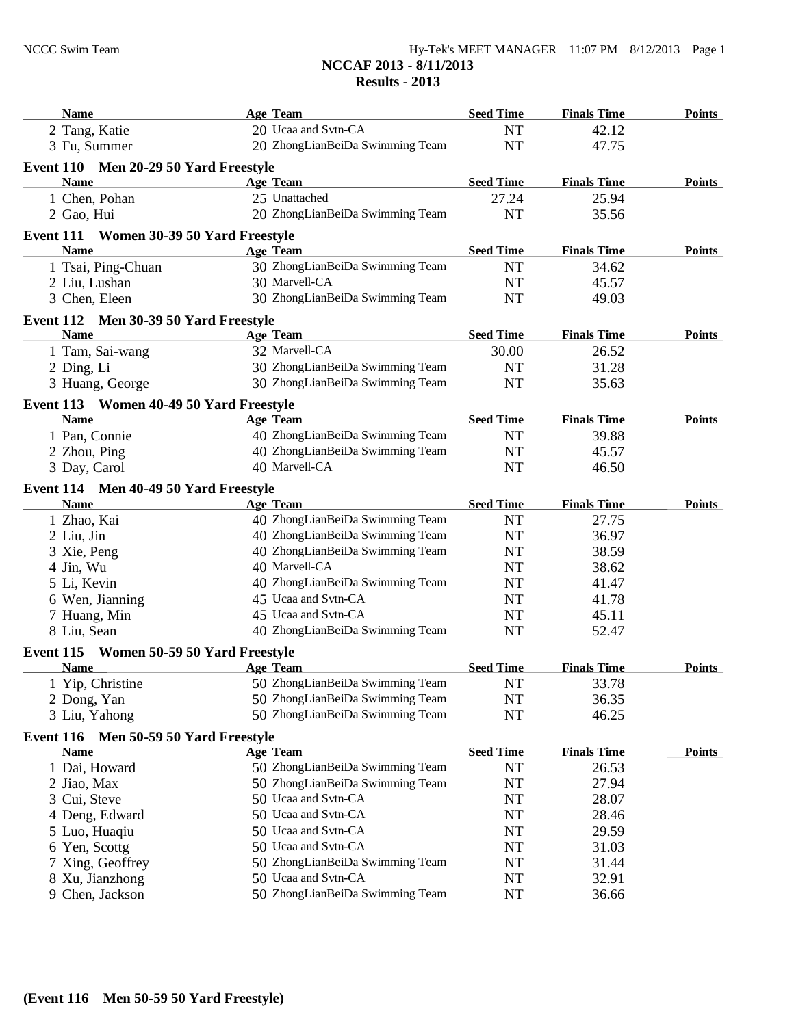#### **NCCAF 2013 - 8/11/2013 Results - 2013**

| <b>Name</b>                             | <b>Age Team</b>                 | <b>Seed Time</b> | <b>Finals Time</b> | <b>Points</b> |
|-----------------------------------------|---------------------------------|------------------|--------------------|---------------|
| 2 Tang, Katie                           | 20 Ucaa and Svtn-CA             | <b>NT</b>        | 42.12              |               |
| 3 Fu, Summer                            | 20 ZhongLianBeiDa Swimming Team | <b>NT</b>        | 47.75              |               |
| Event 110 Men 20-29 50 Yard Freestyle   |                                 |                  |                    |               |
| <b>Name</b>                             | <b>Age Team</b>                 | <b>Seed Time</b> | <b>Finals Time</b> | Points        |
| 1 Chen, Pohan                           | 25 Unattached                   | 27.24            | 25.94              |               |
| 2 Gao, Hui                              | 20 ZhongLianBeiDa Swimming Team | NT               | 35.56              |               |
|                                         |                                 |                  |                    |               |
| Event 111 Women 30-39 50 Yard Freestyle |                                 |                  |                    |               |
| <b>Name</b>                             | <b>Age Team</b>                 | <b>Seed Time</b> | <b>Finals Time</b> | <b>Points</b> |
| 1 Tsai, Ping-Chuan                      | 30 ZhongLianBeiDa Swimming Team | NT               | 34.62              |               |
| 2 Liu, Lushan                           | 30 Marvell-CA                   | NT               | 45.57              |               |
| 3 Chen, Eleen                           | 30 ZhongLianBeiDa Swimming Team | <b>NT</b>        | 49.03              |               |
| Event 112 Men 30-39 50 Yard Freestyle   |                                 |                  |                    |               |
| <b>Name</b>                             | <b>Age Team</b>                 | <b>Seed Time</b> | <b>Finals Time</b> | <b>Points</b> |
| 1 Tam, Sai-wang                         | 32 Marvell-CA                   | 30.00            | 26.52              |               |
| 2 Ding, Li                              | 30 ZhongLianBeiDa Swimming Team | NT               | 31.28              |               |
| 3 Huang, George                         | 30 ZhongLianBeiDa Swimming Team | <b>NT</b>        | 35.63              |               |
| Event 113 Women 40-49 50 Yard Freestyle |                                 |                  |                    |               |
| <b>Name</b>                             | Age Team                        | <b>Seed Time</b> | <b>Finals Time</b> | <b>Points</b> |
| 1 Pan, Connie                           | 40 ZhongLianBeiDa Swimming Team | <b>NT</b>        | 39.88              |               |
| 2 Zhou, Ping                            | 40 ZhongLianBeiDa Swimming Team | NT               | 45.57              |               |
| 3 Day, Carol                            | 40 Marvell-CA                   | NT               | 46.50              |               |
|                                         |                                 |                  |                    |               |
| Event 114 Men 40-49 50 Yard Freestyle   |                                 |                  |                    |               |
| <b>Name</b>                             | Age Team                        | <b>Seed Time</b> | <b>Finals Time</b> | <b>Points</b> |
| 1 Zhao, Kai                             | 40 ZhongLianBeiDa Swimming Team | <b>NT</b>        | 27.75              |               |
| 2 Liu, Jin                              | 40 ZhongLianBeiDa Swimming Team | NT               | 36.97              |               |
| 3 Xie, Peng                             | 40 ZhongLianBeiDa Swimming Team | NT               | 38.59              |               |
| 4 Jin, Wu                               | 40 Marvell-CA                   | NT               | 38.62              |               |
| 5 Li, Kevin                             | 40 ZhongLianBeiDa Swimming Team | NT               | 41.47              |               |
| 6 Wen, Jianning                         | 45 Ucaa and Svtn-CA             | NT               | 41.78              |               |
| 7 Huang, Min                            | 45 Ucaa and Svtn-CA             | NT               | 45.11              |               |
| 8 Liu, Sean                             | 40 ZhongLianBeiDa Swimming Team | <b>NT</b>        | 52.47              |               |
| Event 115 Women 50-59 50 Yard Freestyle |                                 |                  |                    |               |
| <b>Name</b>                             | <b>Age Team</b>                 | <b>Seed Time</b> | <b>Finals Time</b> | <b>Points</b> |
| 1 Yip, Christine                        | 50 ZhongLianBeiDa Swimming Team | NT               | 33.78              |               |
| 2 Dong, Yan                             | 50 ZhongLianBeiDa Swimming Team | NT               | 36.35              |               |
| 3 Liu, Yahong                           | 50 ZhongLianBeiDa Swimming Team | NT               | 46.25              |               |
|                                         |                                 |                  |                    |               |
| Event 116 Men 50-59 50 Yard Freestyle   |                                 |                  |                    |               |
| <u>Name</u>                             | Age Team                        | <b>Seed Time</b> | <b>Finals Time</b> | <b>Points</b> |
| 1 Dai, Howard                           | 50 ZhongLianBeiDa Swimming Team | NT               | 26.53              |               |
| 2 Jiao, Max                             | 50 ZhongLianBeiDa Swimming Team | <b>NT</b>        | 27.94              |               |
| 3 Cui, Steve                            | 50 Ucaa and Svtn-CA             | NT               | 28.07              |               |
| 4 Deng, Edward                          | 50 Ucaa and Svtn-CA             | NT               | 28.46              |               |
| 5 Luo, Huaqiu                           | 50 Ucaa and Svtn-CA             | NT               | 29.59              |               |
| 6 Yen, Scottg                           | 50 Ucaa and Svtn-CA             | NT               | 31.03              |               |
| 7 Xing, Geoffrey                        | 50 ZhongLianBeiDa Swimming Team | NT               | 31.44              |               |
| 8 Xu, Jianzhong                         | 50 Ucaa and Svtn-CA             | NT               | 32.91              |               |
| 9 Chen, Jackson                         | 50 ZhongLianBeiDa Swimming Team | NT               | 36.66              |               |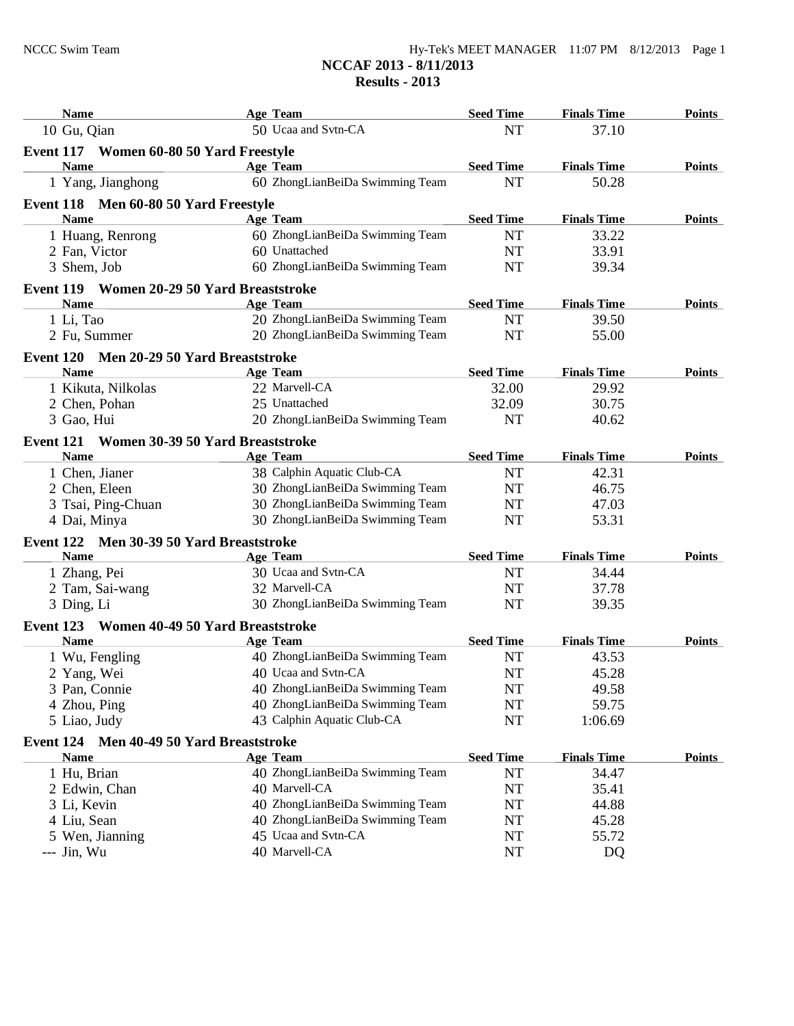| <b>Name</b>                                   | <b>Age Team</b>                 | <b>Seed Time</b> | <b>Finals Time</b> | <b>Points</b> |
|-----------------------------------------------|---------------------------------|------------------|--------------------|---------------|
| 10 Gu, Qian                                   | 50 Ucaa and Svtn-CA             | <b>NT</b>        | 37.10              |               |
| Event 117 Women 60-80 50 Yard Freestyle       |                                 |                  |                    |               |
| <b>Name</b>                                   | <b>Age Team</b>                 | <b>Seed Time</b> | <b>Finals Time</b> | <b>Points</b> |
| 1 Yang, Jianghong                             | 60 ZhongLianBeiDa Swimming Team | <b>NT</b>        | 50.28              |               |
| Event 118 Men 60-80 50 Yard Freestyle         |                                 |                  |                    |               |
| <b>Name</b>                                   | <b>Age Team</b>                 | <b>Seed Time</b> | <b>Finals Time</b> | <b>Points</b> |
| 1 Huang, Renrong                              | 60 ZhongLianBeiDa Swimming Team | <b>NT</b>        | 33.22              |               |
| 2 Fan, Victor                                 | 60 Unattached                   | <b>NT</b>        | 33.91              |               |
| 3 Shem, Job                                   | 60 ZhongLianBeiDa Swimming Team | <b>NT</b>        | 39.34              |               |
| Event 119 Women 20-29 50 Yard Breaststroke    |                                 |                  |                    |               |
| <b>Name</b>                                   | <b>Age Team</b>                 | <b>Seed Time</b> | <b>Finals Time</b> | <b>Points</b> |
| 1 Li, Tao                                     | 20 ZhongLianBeiDa Swimming Team | <b>NT</b>        | 39.50              |               |
| 2 Fu, Summer                                  | 20 ZhongLianBeiDa Swimming Team | <b>NT</b>        | 55.00              |               |
| Event 120 Men 20-29 50 Yard Breaststroke      |                                 |                  |                    |               |
| <b>Name</b>                                   | <b>Age Team</b>                 | <b>Seed Time</b> | <b>Finals Time</b> | <b>Points</b> |
| 1 Kikuta, Nilkolas                            | 22 Marvell-CA                   | 32.00            | 29.92              |               |
| 2 Chen, Pohan                                 | 25 Unattached                   | 32.09            | 30.75              |               |
| 3 Gao, Hui                                    | 20 ZhongLianBeiDa Swimming Team | <b>NT</b>        | 40.62              |               |
|                                               |                                 |                  |                    |               |
| Event 121 Women 30-39 50 Yard Breaststroke    |                                 |                  |                    |               |
| <b>Name</b>                                   | <b>Age Team</b>                 | <b>Seed Time</b> | <b>Finals Time</b> | <b>Points</b> |
| 1 Chen, Jianer                                | 38 Calphin Aquatic Club-CA      | NT               | 42.31              |               |
| 2 Chen, Eleen                                 | 30 ZhongLianBeiDa Swimming Team | NT               | 46.75              |               |
| 3 Tsai, Ping-Chuan                            | 30 ZhongLianBeiDa Swimming Team | NT               | 47.03              |               |
| 4 Dai, Minya                                  | 30 ZhongLianBeiDa Swimming Team | <b>NT</b>        | 53.31              |               |
| Event 122 Men 30-39 50 Yard Breaststroke      |                                 |                  |                    |               |
| <b>Name</b>                                   | <b>Age Team</b>                 | <b>Seed Time</b> | <b>Finals Time</b> | <b>Points</b> |
| 1 Zhang, Pei                                  | 30 Ucaa and Svtn-CA             | NT               | 34.44              |               |
| 2 Tam, Sai-wang                               | 32 Marvell-CA                   | <b>NT</b>        | 37.78              |               |
| 3 Ding, Li                                    | 30 ZhongLianBeiDa Swimming Team | <b>NT</b>        | 39.35              |               |
| Women 40-49 50 Yard Breaststroke<br>Event 123 |                                 |                  |                    |               |
| <b>Name</b>                                   | <b>Age Team</b>                 | <b>Seed Time</b> | <b>Finals Time</b> | <b>Points</b> |
| 1 Wu, Fengling                                | 40 ZhongLianBeiDa Swimming Team | NT               | 43.53              |               |
| 2 Yang, Wei                                   | 40 Ucaa and Svtn-CA             | NT               | 45.28              |               |
| 3 Pan, Connie                                 | 40 ZhongLianBeiDa Swimming Team | NT               | 49.58              |               |
| 4 Zhou, Ping                                  | 40 ZhongLianBeiDa Swimming Team | NT               | 59.75              |               |
| 5 Liao, Judy                                  | 43 Calphin Aquatic Club-CA      | NT               | 1:06.69            |               |
| Event 124 Men 40-49 50 Yard Breaststroke      |                                 |                  |                    |               |
| <b>Name</b>                                   | Age Team                        | <b>Seed Time</b> | <b>Finals Time</b> | <b>Points</b> |
| 1 Hu, Brian                                   | 40 ZhongLianBeiDa Swimming Team | NT               | 34.47              |               |
| 2 Edwin, Chan                                 | 40 Marvell-CA                   | NT               | 35.41              |               |
| 3 Li, Kevin                                   | 40 ZhongLianBeiDa Swimming Team | NT               | 44.88              |               |
| 4 Liu, Sean                                   | 40 ZhongLianBeiDa Swimming Team | NT               | 45.28              |               |
| 5 Wen, Jianning                               | 45 Ucaa and Svtn-CA             | NT               | 55.72              |               |
| --- Jin, Wu                                   | 40 Marvell-CA                   | NT               | DQ                 |               |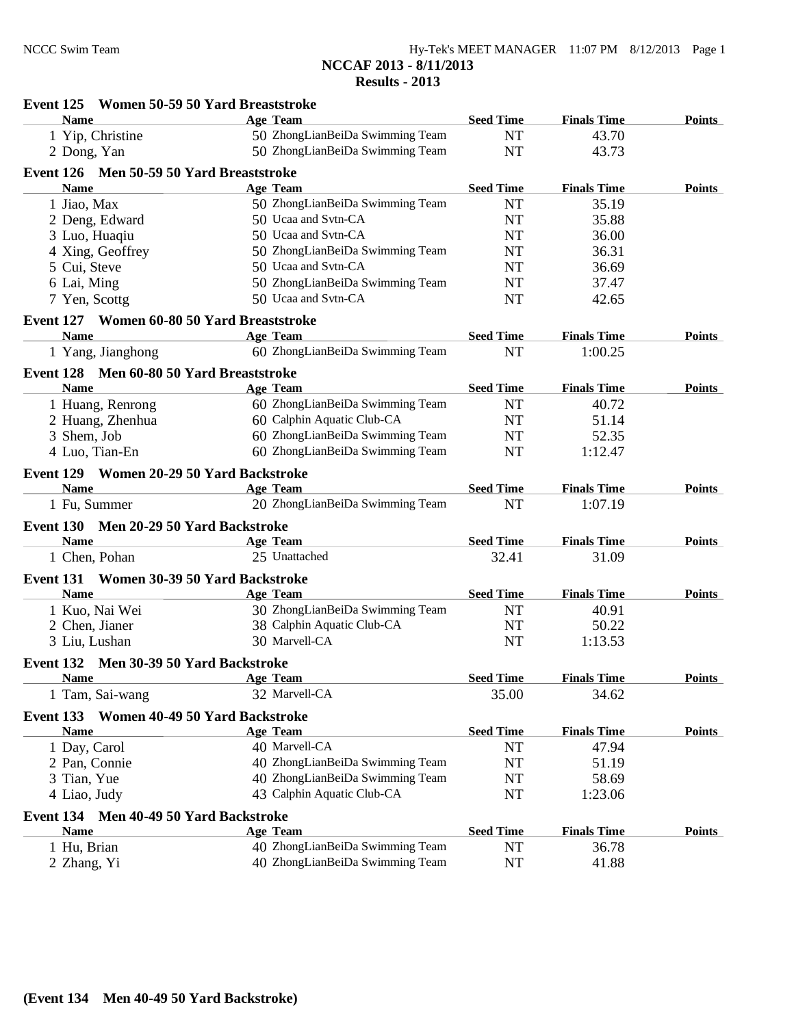#### **Event 125 Women 50-59 50 Yard Breaststroke Name Age Team Seed Time Finals Time Points** 1 Yip, Christine 50 ZhongLianBeiDa Swimming Team NT 43.70 2 Dong, Yan 50 ZhongLianBeiDa Swimming Team NT 43.73 **Event 126 Men 50-59 50 Yard Breaststroke Name Age Team Seed Time Finals Time Points** 1 Jiao, Max 50 ZhongLianBeiDa Swimming Team NT 35.19 2 Deng, Edward 50 Ucaa and Svtn-CA NT 35.88 3 Luo, Huaqiu 50 Ucaa and Svtn-CA NT 36.00 4 Xing, Geoffrey 50 ZhongLianBeiDa Swimming Team NT 36.31 5 Cui, Steve 50 Ucaa and Svtn-CA NT 36.69 6 Lai, Ming 50 ZhongLianBeiDa Swimming Team NT 37.47 7 Yen, Scottg 50 Ucaa and Svtn-CA NT 42.65 **Event 127 Women 60-80 50 Yard Breaststroke Name Age Team Seed Time Finals Time Points** 1 Yang, Jianghong 60 ZhongLianBeiDa Swimming Team NT 1:00.25 **Event 128 Men 60-80 50 Yard Breaststroke Name Age Team Seed Time Finals Time Points** 1 Huang, Renrong 60 ZhongLianBeiDa Swimming Team NT 40.72 2 Huang, Zhenhua 60 Calphin Aquatic Club-CA NT 51.14 3 Shem, Job 60 ZhongLianBeiDa Swimming Team NT 52.35 4 Luo, Tian-En 60 ZhongLianBeiDa Swimming Team NT 1:12.47 **Event 129 Women 20-29 50 Yard Backstroke Name Age Team Seed Time Finals Time Points** 1 Fu, Summer 20 ZhongLianBeiDa Swimming Team NT 1:07.19 **Event 130 Men 20-29 50 Yard Backstroke Name Age Team Seed Time Finals Time Points** 1 Chen, Pohan 25 Unattached 32.41 31.09 **Event 131 Women 30-39 50 Yard Backstroke Name Age Team Seed Time Finals Time Points** 1 Kuo, Nai Wei 30 ZhongLianBeiDa Swimming Team NT 40.91 2 Chen, Jianer 38 Calphin Aquatic Club-CA NT 50.22 3 Liu, Lushan 30 Marvell-CA NT 1:13.53 **Event 132 Men 30-39 50 Yard Backstroke Name Age Team Seed Time Finals Time Points** 1 Tam, Sai-wang 32 Marvell-CA 35.00 34.62 **Event 133 Women 40-49 50 Yard Backstroke Name Age Team Seed Time Finals Time Points** 1 Day, Carol 40 Marvell-CA NT 47.94 2 Pan, Connie 10 ZhongLianBeiDa Swimming Team 1 NT 51.19<br>
3 Tian, Yue 10 ZhongLianBeiDa Swimming Team 1 NT 58.69 40 ZhongLianBeiDa Swimming Team NT 58.69 4 Liao, Judy 43 Calphin Aquatic Club-CA NT 1:23.06 **Event 134 Men 40-49 50 Yard Backstroke Name Age Team Seed Time Finals Time Points** 1 Hu, Brian 40 ZhongLianBeiDa Swimming Team NT 36.78 2 Zhang, Yi 40 ZhongLianBeiDa Swimming Team NT 41.88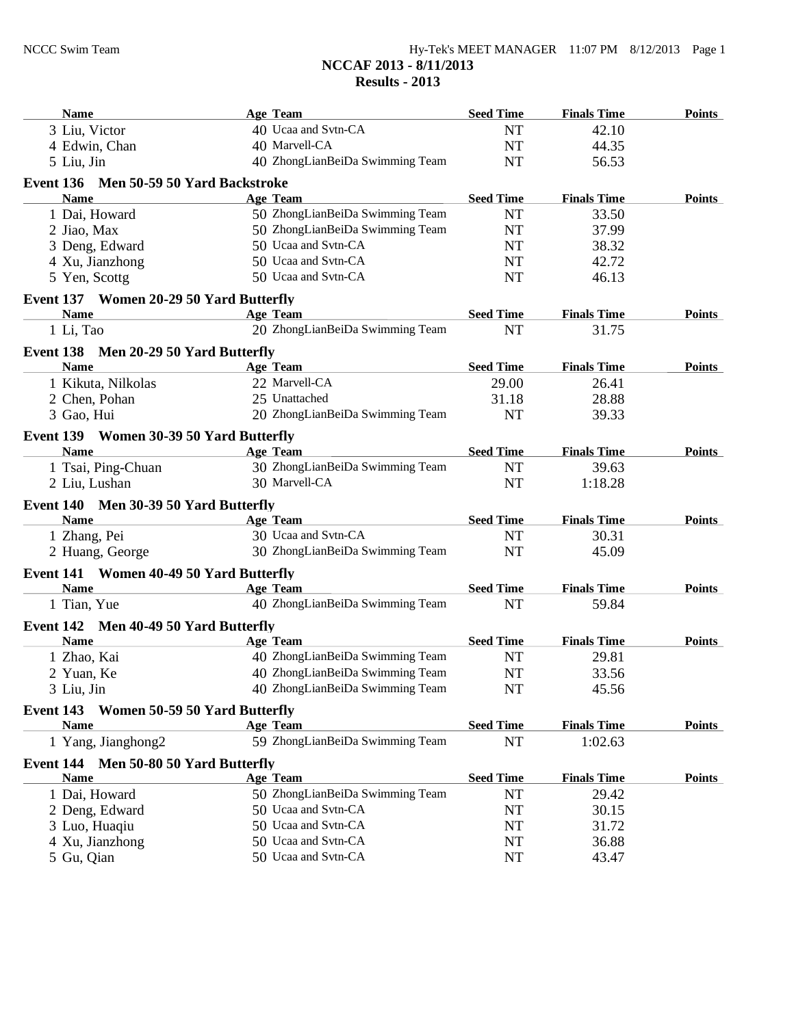| <b>Name</b>                                | Age Team                        | <b>Seed Time</b> | <b>Finals Time</b> | <b>Points</b> |
|--------------------------------------------|---------------------------------|------------------|--------------------|---------------|
| 3 Liu, Victor                              | 40 Ucaa and Svtn-CA             | <b>NT</b>        | 42.10              |               |
| 4 Edwin, Chan                              | 40 Marvell-CA                   | <b>NT</b>        | 44.35              |               |
| 5 Liu, Jin                                 | 40 ZhongLianBeiDa Swimming Team | <b>NT</b>        | 56.53              |               |
| Event 136 Men 50-59 50 Yard Backstroke     |                                 |                  |                    |               |
| <b>Name</b>                                | <b>Age Team</b>                 | <b>Seed Time</b> | <b>Finals Time</b> | <b>Points</b> |
| 1 Dai, Howard                              | 50 ZhongLianBeiDa Swimming Team | <b>NT</b>        | 33.50              |               |
| 2 Jiao, Max                                | 50 ZhongLianBeiDa Swimming Team | <b>NT</b>        | 37.99              |               |
| 3 Deng, Edward                             | 50 Ucaa and Svtn-CA             | NT               | 38.32              |               |
| 4 Xu, Jianzhong                            | 50 Ucaa and Svtn-CA             | <b>NT</b>        | 42.72              |               |
| 5 Yen, Scottg                              | 50 Ucaa and Svtn-CA             | <b>NT</b>        | 46.13              |               |
| Event 137 Women 20-29 50 Yard Butterfly    |                                 |                  |                    |               |
| <b>Name</b>                                | Age Team                        | <b>Seed Time</b> | <b>Finals Time</b> | <b>Points</b> |
| 1 Li, Tao                                  | 20 ZhongLianBeiDa Swimming Team | <b>NT</b>        | 31.75              |               |
| Event 138 Men 20-29 50 Yard Butterfly      |                                 |                  |                    |               |
| <b>Name</b>                                | <b>Age Team</b>                 | <b>Seed Time</b> | <b>Finals Time</b> | <b>Points</b> |
| 1 Kikuta, Nilkolas                         | 22 Marvell-CA                   | 29.00            | 26.41              |               |
| 2 Chen, Pohan                              | 25 Unattached                   | 31.18            | 28.88              |               |
| 3 Gao, Hui                                 | 20 ZhongLianBeiDa Swimming Team | <b>NT</b>        | 39.33              |               |
| Event 139 Women 30-39 50 Yard Butterfly    |                                 |                  |                    |               |
| <b>Name</b>                                | Age Team                        | <b>Seed Time</b> | <b>Finals Time</b> | <b>Points</b> |
| 1 Tsai, Ping-Chuan                         | 30 ZhongLianBeiDa Swimming Team | NT               | 39.63              |               |
| 2 Liu, Lushan                              | 30 Marvell-CA                   | <b>NT</b>        | 1:18.28            |               |
| Event 140 Men 30-39 50 Yard Butterfly      |                                 |                  |                    |               |
| <b>Name</b>                                | <b>Age Team</b>                 | <b>Seed Time</b> | <b>Finals Time</b> | <b>Points</b> |
| 1 Zhang, Pei                               | 30 Ucaa and Svtn-CA             | <b>NT</b>        | 30.31              |               |
| 2 Huang, George                            | 30 ZhongLianBeiDa Swimming Team | <b>NT</b>        | 45.09              |               |
| Event 141 Women 40-49 50 Yard Butterfly    |                                 |                  |                    |               |
| <b>Name</b>                                | <b>Age Team</b>                 | <b>Seed Time</b> | <b>Finals Time</b> | <b>Points</b> |
| 1 Tian, Yue                                | 40 ZhongLianBeiDa Swimming Team | <b>NT</b>        | 59.84              |               |
| Event 142 Men 40-49 50 Yard Butterfly      |                                 |                  |                    |               |
| <b>Name</b>                                | <b>Age Team</b>                 | <b>Seed Time</b> | <b>Finals Time</b> | <b>Points</b> |
| 1 Zhao, Kai                                | 40 ZhongLianBeiDa Swimming Team | <b>NT</b>        | 29.81              |               |
| 2 Yuan, Ke                                 | 40 ZhongLianBeiDa Swimming Team | <b>NT</b>        | 33.56              |               |
| 3 Liu, Jin                                 | 40 ZhongLianBeiDa Swimming Team | NT               | 45.56              |               |
| Event 143<br>Women 50-59 50 Yard Butterfly |                                 |                  |                    |               |
| <b>Name</b>                                | <b>Age Team</b>                 | <b>Seed Time</b> | <b>Finals Time</b> | <b>Points</b> |
| 1 Yang, Jianghong2                         | 59 ZhongLianBeiDa Swimming Team | $\rm{NT}$        | 1:02.63            |               |
| Event 144 Men 50-80 50 Yard Butterfly      |                                 |                  |                    |               |
| <b>Name</b>                                | Age Team                        | <b>Seed Time</b> | <b>Finals Time</b> | <b>Points</b> |
| 1 Dai, Howard                              | 50 ZhongLianBeiDa Swimming Team | NT               | 29.42              |               |
| 2 Deng, Edward                             | 50 Ucaa and Svtn-CA             | NT               | 30.15              |               |
| 3 Luo, Huaqiu                              | 50 Ucaa and Svtn-CA             | NT               | 31.72              |               |
| 4 Xu, Jianzhong                            | 50 Ucaa and Svtn-CA             | NT               | 36.88              |               |
| 5 Gu, Qian                                 | 50 Ucaa and Svtn-CA             | NT               | 43.47              |               |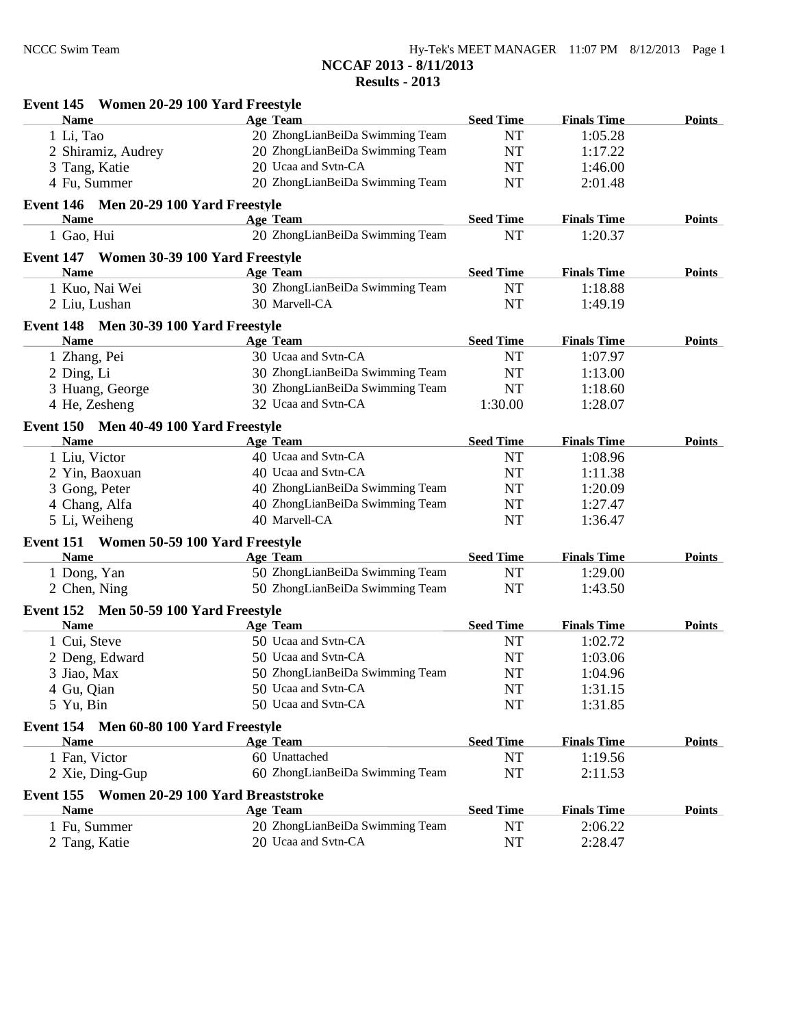**Results - 2013**

| <b>Name</b>                                 | <b>Age Team</b>                 | <b>Seed Time</b> | <b>Finals Time</b> | <b>Points</b> |
|---------------------------------------------|---------------------------------|------------------|--------------------|---------------|
| 1 Li, Tao                                   | 20 ZhongLianBeiDa Swimming Team | NT               | 1:05.28            |               |
| 2 Shiramiz, Audrey                          | 20 ZhongLianBeiDa Swimming Team | <b>NT</b>        | 1:17.22            |               |
| 3 Tang, Katie                               | 20 Ucaa and Svtn-CA             | NT               | 1:46.00            |               |
| 4 Fu, Summer                                | 20 ZhongLianBeiDa Swimming Team | <b>NT</b>        | 2:01.48            |               |
| Event 146 Men 20-29 100 Yard Freestyle      |                                 |                  |                    |               |
| <b>Name</b>                                 | <b>Age Team</b>                 | <b>Seed Time</b> | <b>Finals Time</b> | <b>Points</b> |
| 1 Gao, Hui                                  | 20 ZhongLianBeiDa Swimming Team | <b>NT</b>        | 1:20.37            |               |
| Event 147 Women 30-39 100 Yard Freestyle    |                                 |                  |                    |               |
| <b>Name</b>                                 | <b>Age Team</b>                 | <b>Seed Time</b> | <b>Finals Time</b> | <b>Points</b> |
| 1 Kuo, Nai Wei                              | 30 ZhongLianBeiDa Swimming Team | <b>NT</b>        | 1:18.88            |               |
| 2 Liu, Lushan                               | 30 Marvell-CA                   | <b>NT</b>        | 1:49.19            |               |
| Event 148 Men 30-39 100 Yard Freestyle      |                                 |                  |                    |               |
| <b>Name</b>                                 | <b>Age Team</b>                 | <b>Seed Time</b> | <b>Finals Time</b> | <b>Points</b> |
| 1 Zhang, Pei                                | 30 Ucaa and Svtn-CA             | <b>NT</b>        | 1:07.97            |               |
| 2 Ding, Li                                  | 30 ZhongLianBeiDa Swimming Team | <b>NT</b>        | 1:13.00            |               |
| 3 Huang, George                             | 30 ZhongLianBeiDa Swimming Team | <b>NT</b>        | 1:18.60            |               |
| 4 He, Zesheng                               | 32 Ucaa and Svtn-CA             | 1:30.00          | 1:28.07            |               |
| Event 150 Men 40-49 100 Yard Freestyle      |                                 |                  |                    |               |
| <b>Name</b>                                 | <b>Age Team</b>                 | <b>Seed Time</b> | <b>Finals Time</b> | <b>Points</b> |
| 1 Liu, Victor                               | 40 Ucaa and Svtn-CA             | <b>NT</b>        | 1:08.96            |               |
| 2 Yin, Baoxuan                              | 40 Ucaa and Svtn-CA             | <b>NT</b>        | 1:11.38            |               |
| 3 Gong, Peter                               | 40 ZhongLianBeiDa Swimming Team | <b>NT</b>        | 1:20.09            |               |
| 4 Chang, Alfa                               | 40 ZhongLianBeiDa Swimming Team | NT               | 1:27.47            |               |
| 5 Li, Weiheng                               | 40 Marvell-CA                   | <b>NT</b>        | 1:36.47            |               |
| Event 151<br>Women 50-59 100 Yard Freestyle |                                 |                  |                    |               |
| <b>Name</b>                                 | <b>Age Team</b>                 | <b>Seed Time</b> | <b>Finals Time</b> | <b>Points</b> |
| 1 Dong, Yan                                 | 50 ZhongLianBeiDa Swimming Team | <b>NT</b>        | 1:29.00            |               |
| 2 Chen, Ning                                | 50 ZhongLianBeiDa Swimming Team | <b>NT</b>        | 1:43.50            |               |
| Event 152 Men 50-59 100 Yard Freestyle      |                                 |                  |                    |               |
| <b>Name</b>                                 | <b>Age Team</b>                 | <b>Seed Time</b> | <b>Finals Time</b> | <b>Points</b> |
| 1 Cui, Steve                                | 50 Ucaa and Svtn-CA             | NT               | 1:02.72            |               |
| 2 Deng, Edward                              | 50 Ucaa and Svtn-CA             | <b>NT</b>        | 1:03.06            |               |
| 3 Jiao, Max                                 | 50 ZhongLianBeiDa Swimming Team | $\rm{NT}$        | 1:04.96            |               |
| 4 Gu, Qian                                  | 50 Ucaa and Svtn-CA             | NT               | 1:31.15            |               |
| 5 Yu, Bin                                   | 50 Ucaa and Svtn-CA             | <b>NT</b>        | 1:31.85            |               |
| Event 154<br>Men 60-80 100 Yard Freestyle   |                                 |                  |                    |               |
| <b>Name</b>                                 | <b>Age Team</b>                 | <b>Seed Time</b> | <b>Finals Time</b> | <b>Points</b> |
| 1 Fan, Victor                               | 60 Unattached                   | NT               | 1:19.56            |               |
| 2 Xie, Ding-Gup                             | 60 ZhongLianBeiDa Swimming Team | NT               | 2:11.53            |               |
| Event 155 Women 20-29 100 Yard Breaststroke |                                 |                  |                    |               |
| <b>Name</b>                                 | <b>Age Team</b>                 | <b>Seed Time</b> | <b>Finals Time</b> | <b>Points</b> |
| 1 Fu, Summer                                | 20 ZhongLianBeiDa Swimming Team | <b>NT</b>        | 2:06.22            |               |
| 2 Tang, Katie                               | 20 Ucaa and Svtn-CA             | NT               | 2:28.47            |               |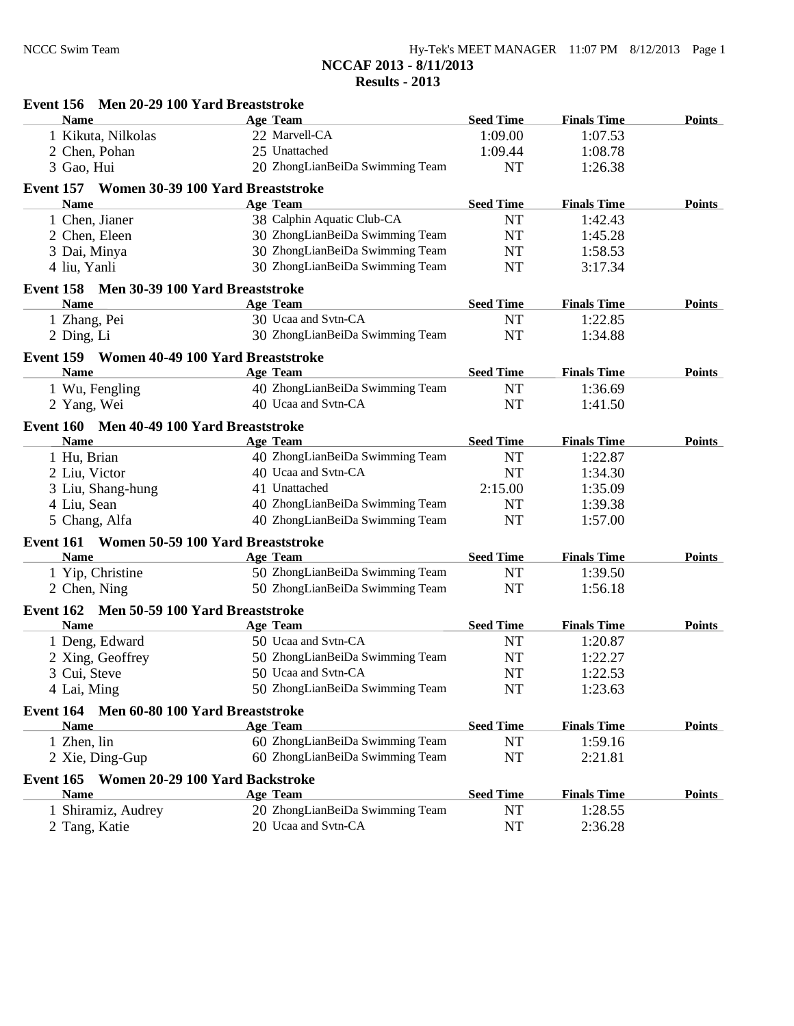| Event 156 Men 20-29 100 Yard Breaststroke                   |                                             |                  |                    |               |
|-------------------------------------------------------------|---------------------------------------------|------------------|--------------------|---------------|
| <b>Name</b>                                                 | <b>Age Team</b>                             | <b>Seed Time</b> | <b>Finals Time</b> | <b>Points</b> |
| 1 Kikuta, Nilkolas                                          | 22 Marvell-CA                               | 1:09.00          | 1:07.53            |               |
| 2 Chen, Pohan                                               | 25 Unattached                               | 1:09.44          | 1:08.78            |               |
| 3 Gao, Hui                                                  | 20 ZhongLianBeiDa Swimming Team             | <b>NT</b>        | 1:26.38            |               |
| Event 157 Women 30-39 100 Yard Breaststroke                 |                                             |                  |                    |               |
| Name                                                        | <b>Age Team</b>                             | <b>Seed Time</b> | <b>Finals Time</b> | <b>Points</b> |
| 1 Chen, Jianer                                              | 38 Calphin Aquatic Club-CA                  | NT               | 1:42.43            |               |
| 2 Chen, Eleen                                               | 30 ZhongLianBeiDa Swimming Team             | <b>NT</b>        | 1:45.28            |               |
| 3 Dai, Minya                                                | 30 ZhongLianBeiDa Swimming Team             | <b>NT</b>        | 1:58.53            |               |
| 4 liu, Yanli                                                | 30 ZhongLianBeiDa Swimming Team             | <b>NT</b>        | 3:17.34            |               |
| Event 158 Men 30-39 100 Yard Breaststroke                   |                                             |                  |                    |               |
| <b>Name</b>                                                 | <b>Age Team</b>                             | <b>Seed Time</b> | <b>Finals Time</b> | <b>Points</b> |
| 1 Zhang, Pei                                                | 30 Ucaa and Svtn-CA                         | <b>NT</b>        | 1:22.85            |               |
| 2 Ding, Li                                                  | 30 ZhongLianBeiDa Swimming Team             | <b>NT</b>        | 1:34.88            |               |
| Event 159 Women 40-49 100 Yard Breaststroke                 |                                             |                  |                    |               |
| <b>Name</b>                                                 | <b>Age Team</b>                             | <b>Seed Time</b> | <b>Finals Time</b> | <b>Points</b> |
| 1 Wu, Fengling                                              | 40 ZhongLianBeiDa Swimming Team             | <b>NT</b>        | 1:36.69            |               |
| 2 Yang, Wei                                                 | 40 Ucaa and Svtn-CA                         | <b>NT</b>        | 1:41.50            |               |
| Event 160 Men 40-49 100 Yard Breaststroke                   |                                             |                  |                    |               |
| <b>Name</b>                                                 | <b>Age Team</b>                             | <b>Seed Time</b> | <b>Finals Time</b> | <b>Points</b> |
| 1 Hu, Brian                                                 | 40 ZhongLianBeiDa Swimming Team             | <b>NT</b>        | 1:22.87            |               |
| 2 Liu, Victor                                               | 40 Ucaa and Svtn-CA                         | NT               | 1:34.30            |               |
| 3 Liu, Shang-hung                                           | 41 Unattached                               | 2:15.00          | 1:35.09            |               |
| 4 Liu, Sean                                                 | 40 ZhongLianBeiDa Swimming Team             | <b>NT</b>        | 1:39.38            |               |
| 5 Chang, Alfa                                               | 40 ZhongLianBeiDa Swimming Team             | <b>NT</b>        | 1:57.00            |               |
| Event 161                                                   | Women 50-59 100 Yard Breaststroke           |                  |                    |               |
| <b>Name</b>                                                 | <b>Age Team</b>                             | <b>Seed Time</b> | <b>Finals Time</b> | <b>Points</b> |
| 1 Yip, Christine                                            | 50 ZhongLianBeiDa Swimming Team             | NT               | 1:39.50            |               |
| 2 Chen, Ning                                                | 50 ZhongLianBeiDa Swimming Team             | <b>NT</b>        | 1:56.18            |               |
| Event 162 Men 50-59 100 Yard Breaststroke                   |                                             |                  |                    |               |
| Name                                                        | <b>Age Team</b>                             | <b>Seed Time</b> | <b>Finals Time</b> | <b>Points</b> |
| 1 Deng, Edward                                              | 50 Ucaa and Svtn-CA                         | NT               | 1:20.87            |               |
| 2 Xing, Geoffrey                                            | 50 ZhongLianBeiDa Swimming Team             | <b>NT</b>        | 1:22.27            |               |
| 3 Cui, Steve                                                | 50 Ucaa and Svtn-CA                         | NT               | 1:22.53            |               |
| 4 Lai, Ming                                                 | 50 ZhongLianBeiDa Swimming Team             | NT               | 1:23.63            |               |
|                                                             |                                             |                  |                    |               |
| Event 164<br>Men 60-80 100 Yard Breaststroke<br><b>Name</b> |                                             | <b>Seed Time</b> | <b>Finals Time</b> |               |
|                                                             | Age Team<br>60 ZhongLianBeiDa Swimming Team | <b>NT</b>        | 1:59.16            | <b>Points</b> |
| 1 Zhen, lin<br>2 Xie, Ding-Gup                              | 60 ZhongLianBeiDa Swimming Team             | NT               | 2:21.81            |               |
|                                                             |                                             |                  |                    |               |
| Event 165 Women 20-29 100 Yard Backstroke                   |                                             |                  |                    |               |
| <b>Name</b>                                                 | <u>Age Team</u>                             | <b>Seed Time</b> | <b>Finals Time</b> | <b>Points</b> |
| 1 Shiramiz, Audrey                                          | 20 ZhongLianBeiDa Swimming Team             | NT               | 1:28.55            |               |
| 2 Tang, Katie                                               | 20 Ucaa and Svtn-CA                         | NT               | 2:36.28            |               |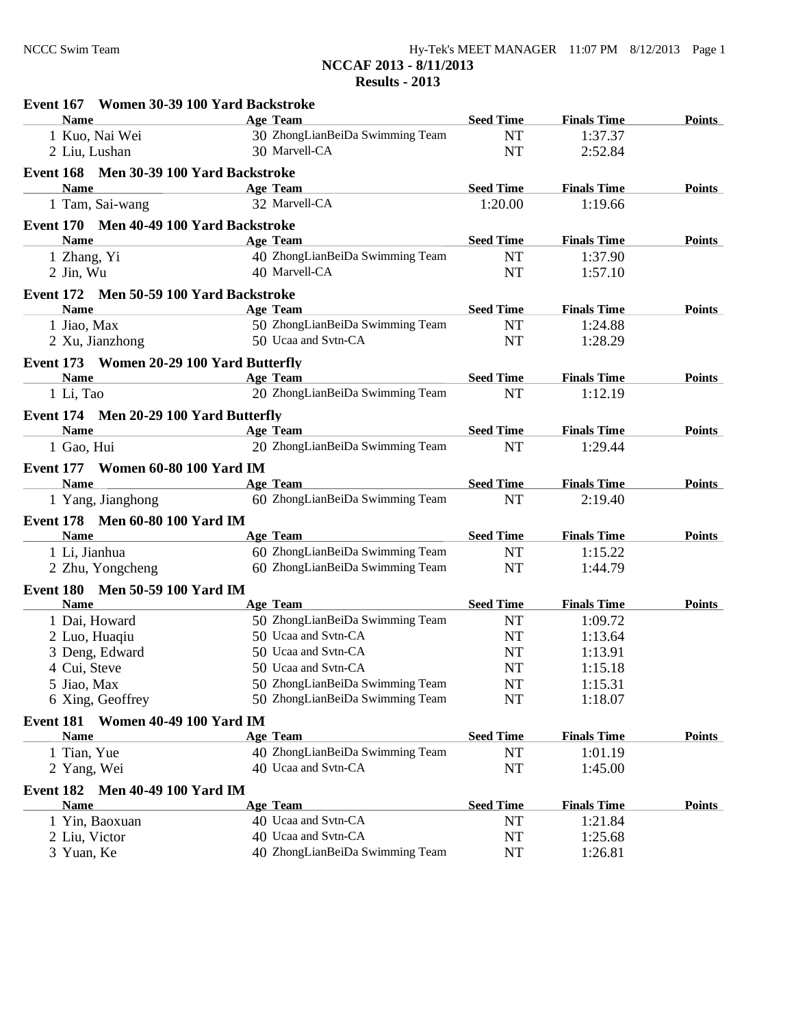| Event 167 Women 30-39 100 Yard Backstroke |                                 |                  |                    |               |
|-------------------------------------------|---------------------------------|------------------|--------------------|---------------|
| <b>Name</b>                               | <b>Age Team</b>                 | <b>Seed Time</b> | <b>Finals Time</b> | <b>Points</b> |
| 1 Kuo, Nai Wei                            | 30 ZhongLianBeiDa Swimming Team | NT               | 1:37.37            |               |
| 2 Liu, Lushan                             | 30 Marvell-CA                   | NT               | 2:52.84            |               |
| Event 168 Men 30-39 100 Yard Backstroke   |                                 |                  |                    |               |
| Name Age Team                             |                                 | <b>Seed Time</b> | <b>Finals Time</b> | <b>Points</b> |
| 1 Tam, Sai-wang 32 Marvell-CA             |                                 | 1:20.00          | 1:19.66            |               |
| Event 170 Men 40-49 100 Yard Backstroke   |                                 |                  |                    |               |
| <b>Name</b>                               | Age Team                        | <b>Seed Time</b> | <b>Finals Time</b> | <b>Points</b> |
| 1 Zhang, Yi                               | 40 ZhongLianBeiDa Swimming Team | <b>NT</b>        | 1:37.90            |               |
| 2 Jin, Wu                                 | 40 Marvell-CA                   | <b>NT</b>        | 1:57.10            |               |
| Event 172 Men 50-59 100 Yard Backstroke   |                                 |                  |                    |               |
| Name                                      | <b>Age Team</b>                 | <b>Seed Time</b> | <b>Finals Time</b> | <b>Points</b> |
| 1 Jiao, Max                               | 50 ZhongLianBeiDa Swimming Team | <b>NT</b>        | 1:24.88            |               |
| 2 Xu, Jianzhong                           | 50 Ucaa and Svtn-CA             | <b>NT</b>        | 1:28.29            |               |
| Event 173 Women 20-29 100 Yard Butterfly  |                                 |                  |                    |               |
| <b>Name</b>                               | <b>Age Team</b>                 | <b>Seed Time</b> | <b>Finals Time</b> | <b>Points</b> |
| 1 Li, Tao                                 | 20 ZhongLianBeiDa Swimming Team | NT               | 1:12.19            |               |
| Event 174 Men 20-29 100 Yard Butterfly    |                                 |                  |                    |               |
| <b>Name</b>                               | <b>Example 2018</b> Age Team    | <b>Seed Time</b> | <b>Finals Time</b> | <b>Points</b> |
| 1 Gao, Hui                                | 20 ZhongLianBeiDa Swimming Team | <b>NT</b>        | 1:29.44            |               |
| Event 177 Women 60-80 100 Yard IM         |                                 |                  |                    |               |
| Name Age Team                             |                                 | <b>Seed Time</b> | <b>Finals Time</b> | <b>Points</b> |
| 1 Yang, Jianghong                         | 60 ZhongLianBeiDa Swimming Team | <b>NT</b>        | 2:19.40            |               |
| Event 178 Men 60-80 100 Yard IM           |                                 |                  |                    |               |
| <b>Name</b>                               | Age Team                        | <b>Seed Time</b> | <b>Finals Time</b> | <b>Points</b> |
| 1 Li, Jianhua                             | 60 ZhongLianBeiDa Swimming Team | NT               | 1:15.22            |               |
| 2 Zhu, Yongcheng                          | 60 ZhongLianBeiDa Swimming Team | NT               | 1:44.79            |               |
| Event 180 Men 50-59 100 Yard IM           |                                 |                  |                    |               |
| <b>Name</b>                               | Age Team                        | <b>Seed Time</b> | <b>Finals Time</b> | <b>Points</b> |
| 1 Dai, Howard                             | 50 ZhongLianBeiDa Swimming Team | NT               | 1:09.72            |               |
| 2 Luo, Huaqiu                             | 50 Ucaa and Svtn-CA             | NT               | 1:13.64            |               |
| 3 Deng, Edward                            | 50 Ucaa and Svtn-CA             | <b>NT</b>        | 1:13.91            |               |
| 4 Cui, Steve                              | 50 Ucaa and Svtn-CA             | <b>NT</b>        | 1:15.18            |               |
| 5 Jiao, Max                               | 50 ZhongLianBeiDa Swimming Team | NT               | 1:15.31            |               |
| 6 Xing, Geoffrey                          | 50 ZhongLianBeiDa Swimming Team | NT               | 1:18.07            |               |
| Event 181 Women 40-49 100 Yard IM         |                                 |                  |                    |               |
| <b>Name</b>                               | Age Team                        | <b>Seed Time</b> | <b>Finals Time</b> | <b>Points</b> |
| 1 Tian, Yue                               | 40 ZhongLianBeiDa Swimming Team | <b>NT</b>        | 1:01.19            |               |
| 2 Yang, Wei                               | 40 Ucaa and Svtn-CA             | NT               | 1:45.00            |               |
| Event 182 Men 40-49 100 Yard IM           |                                 |                  |                    |               |
| <b>Name</b>                               | <b>Age Team</b>                 | <b>Seed Time</b> | <b>Finals Time</b> | <b>Points</b> |
| 1 Yin, Baoxuan                            | 40 Ucaa and Svtn-CA             | <b>NT</b>        | 1:21.84            |               |
| 2 Liu, Victor                             | 40 Ucaa and Svtn-CA             | NT               | 1:25.68            |               |
| 3 Yuan, Ke                                | 40 ZhongLianBeiDa Swimming Team | NT               | 1:26.81            |               |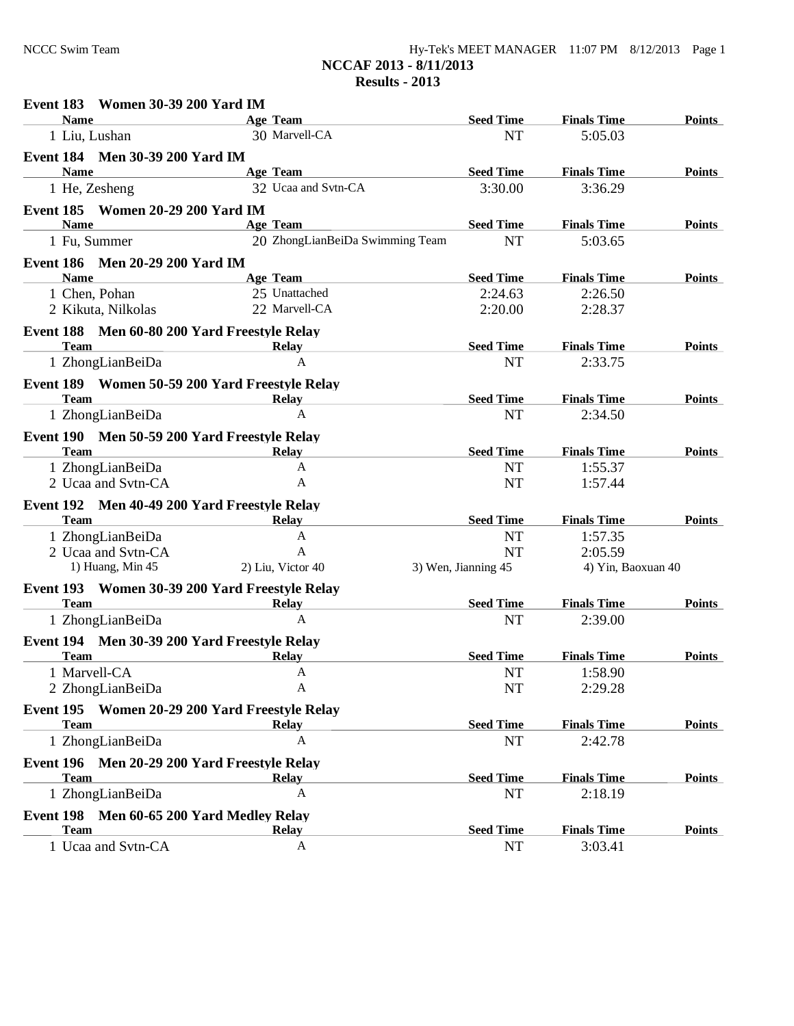| $Hy-Tek's MEET MANAGER$ 11:07 PM $8/12/2013$ Page 1 |  |  |
|-----------------------------------------------------|--|--|
| NCCAF 2013 - 8/11/2013                              |  |  |
| Results $-2013$                                     |  |  |

| Event 183 Women 30-39 200 Yard IM              |                                 |                     |                    |               |
|------------------------------------------------|---------------------------------|---------------------|--------------------|---------------|
| <b>Name</b>                                    | Age Team                        | <b>Seed Time</b>    | <b>Finals Time</b> | <b>Points</b> |
| 1 Liu, Lushan                                  | 30 Marvell-CA                   | <b>NT</b>           | 5:05.03            |               |
| Event 184 Men 30-39 200 Yard IM                |                                 |                     |                    |               |
| <b>Name</b>                                    | Age Team                        | <b>Seed Time</b>    | <b>Finals Time</b> | <b>Points</b> |
| 1 He, Zesheng                                  | 32 Ucaa and Svtn-CA             | 3:30.00             | 3:36.29            |               |
| Event 185 Women 20-29 200 Yard IM              |                                 |                     |                    |               |
| <b>Name</b>                                    | <b>Age Team</b>                 | <b>Seed Time</b>    | <b>Finals Time</b> | <b>Points</b> |
| 1 Fu, Summer                                   | 20 ZhongLianBeiDa Swimming Team | <b>NT</b>           | 5:03.65            |               |
| Event 186 Men 20-29 200 Yard IM                |                                 |                     |                    |               |
| <b>Name</b>                                    | Age Team                        | <b>Seed Time</b>    | <b>Finals Time</b> | <b>Points</b> |
| 1 Chen, Pohan                                  | 25 Unattached                   | 2:24.63             | 2:26.50            |               |
| 2 Kikuta, Nilkolas                             | 22 Marvell-CA                   | 2:20.00             | 2:28.37            |               |
| Event 188 Men 60-80 200 Yard Freestyle Relay   |                                 |                     |                    |               |
| <b>Team</b>                                    | <b>Relay</b>                    | <b>Seed Time</b>    | <b>Finals Time</b> | <b>Points</b> |
| 1 ZhongLianBeiDa                               | $\mathbf{A}$                    | NT                  | 2:33.75            |               |
| Event 189 Women 50-59 200 Yard Freestyle Relay |                                 |                     |                    |               |
| <b>Team</b>                                    | Relay                           | <b>Seed Time</b>    | <b>Finals Time</b> | <b>Points</b> |
| 1 ZhongLianBeiDa                               | $\mathbf{A}$                    | <b>NT</b>           | 2:34.50            |               |
| Event 190 Men 50-59 200 Yard Freestyle Relay   |                                 |                     |                    |               |
| <b>Team</b>                                    | <b>Relay</b>                    | <b>Seed Time</b>    | <b>Finals Time</b> | <b>Points</b> |
| 1 ZhongLianBeiDa                               | A                               | NT                  | 1:55.37            |               |
| 2 Ucaa and Svtn-CA                             | A                               | NT                  | 1:57.44            |               |
| Event 192 Men 40-49 200 Yard Freestyle Relay   |                                 |                     |                    |               |
| <b>Team</b>                                    | <b>Relay</b>                    | <b>Seed Time</b>    | <b>Finals Time</b> | <b>Points</b> |
| 1 ZhongLianBeiDa                               | $\mathbf{A}$                    | <b>NT</b>           | 1:57.35            |               |
| 2 Ucaa and Svtn-CA                             | A                               | NT                  | 2:05.59            |               |
| 1) Huang, Min 45                               | 2) Liu, Victor 40               | 3) Wen, Jianning 45 | 4) Yin, Baoxuan 40 |               |
| Event 193 Women 30-39 200 Yard Freestyle Relay |                                 |                     |                    |               |
| <b>Team</b>                                    | Relay                           | <b>Seed Time</b>    | <b>Finals Time</b> | <b>Points</b> |
| 1 ZhongLianBeiDa                               | $\mathsf{A}$                    | <b>NT</b>           | 2:39.00            |               |
| Event 194 Men 30-39 200 Yard Freestyle Relay   |                                 |                     |                    |               |
| <b>Team</b>                                    | <b>Relay</b>                    | <b>Seed Time</b>    | <b>Finals Time</b> | <b>Points</b> |
| 1 Marvell-CA                                   | A                               | <b>NT</b>           | 1:58.90            |               |
| 2 ZhongLianBeiDa                               | A                               | NT                  | 2:29.28            |               |
| Event 195 Women 20-29 200 Yard Freestyle Relay |                                 |                     |                    |               |
| <b>Team</b>                                    | <b>Relay</b>                    | <b>Seed Time</b>    | <b>Finals Time</b> | <b>Points</b> |
| 1 ZhongLianBeiDa                               | $\mathbf{A}$                    | NT                  | 2:42.78            |               |
| Event 196 Men 20-29 200 Yard Freestyle Relay   |                                 |                     |                    |               |
| <b>Team</b>                                    | <b>Relay</b>                    | <b>Seed Time</b>    | <b>Finals Time</b> | <b>Points</b> |
| 1 ZhongLianBeiDa                               | A                               | NT                  | 2:18.19            |               |
| Event 198 Men 60-65 200 Yard Medley Relay      |                                 |                     |                    |               |
| <b>Team</b>                                    | <b>Relay</b>                    | <b>Seed Time</b>    | <b>Finals Time</b> | <b>Points</b> |
| 1 Ucaa and Svtn-CA                             | A                               | NT                  | 3:03.41            |               |